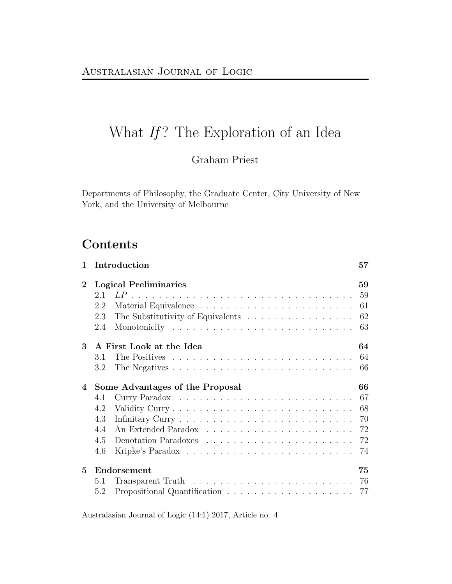# What  $If$ ? The Exploration of an Idea

# Graham Priest

Departments of Philosophy, the Graduate Center, City University of New York, and the University of Melbourne

# Contents

| $\mathbf{1}$ | Introduction<br>57                                                                            |                                        |  |  |  |  |
|--------------|-----------------------------------------------------------------------------------------------|----------------------------------------|--|--|--|--|
| $\bf{2}$     | <b>Logical Preliminaries</b><br>2.1<br>2.2<br>2.3<br>The Substitutivity of Equivalents<br>2.4 | 59<br>61<br>62<br>63                   |  |  |  |  |
| 3            | A First Look at the Idea<br>3.1<br>3.2                                                        | 64<br>64<br>66                         |  |  |  |  |
| 4            | Some Advantages of the Proposal<br>4.1<br>4.2<br>4.3<br>44<br>4.5<br>4.6                      | 66<br>67<br>68<br>70<br>72<br>72<br>74 |  |  |  |  |
| 5            | Endorsement<br>5.1<br>5.2                                                                     | 75<br>76<br>77                         |  |  |  |  |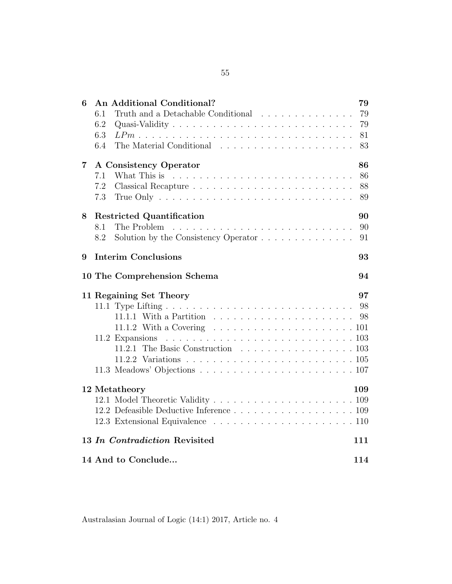| 6                                    | An Additional Conditional?<br>Truth and a Detachable Conditional<br>6.1<br>6.2<br>6.3<br>6.4                                                                            | 79<br>79<br>79<br>81<br>83 |  |  |  |  |  |  |  |
|--------------------------------------|-------------------------------------------------------------------------------------------------------------------------------------------------------------------------|----------------------------|--|--|--|--|--|--|--|
| $\overline{7}$                       | A Consistency Operator<br>7.1<br>7.2                                                                                                                                    | 86<br>86<br>88             |  |  |  |  |  |  |  |
|                                      | 7.3<br>True Only $\ldots \ldots \ldots \ldots \ldots \ldots \ldots \ldots \ldots \ldots$                                                                                | 89                         |  |  |  |  |  |  |  |
| 8                                    | <b>Restricted Quantification</b><br>8.1<br>8.2<br>Solution by the Consistency Operator                                                                                  | 90<br>90<br>91             |  |  |  |  |  |  |  |
| 9                                    | <b>Interim Conclusions</b><br>93                                                                                                                                        |                            |  |  |  |  |  |  |  |
|                                      | 10 The Comprehension Schema                                                                                                                                             | 94                         |  |  |  |  |  |  |  |
|                                      | 11 Regaining Set Theory<br>11.1.2 With a Covering $\ldots \ldots \ldots \ldots \ldots \ldots \ldots \ldots 101$<br>11.2 Expansions<br>11.2.1 The Basic Construction 103 | 97                         |  |  |  |  |  |  |  |
|                                      | 12 Metatheory<br>12.2 Defeasible Deductive Inference 109                                                                                                                | 109                        |  |  |  |  |  |  |  |
| 13 In Contradiction Revisited<br>111 |                                                                                                                                                                         |                            |  |  |  |  |  |  |  |
|                                      | 14 And to Conclude                                                                                                                                                      | 114                        |  |  |  |  |  |  |  |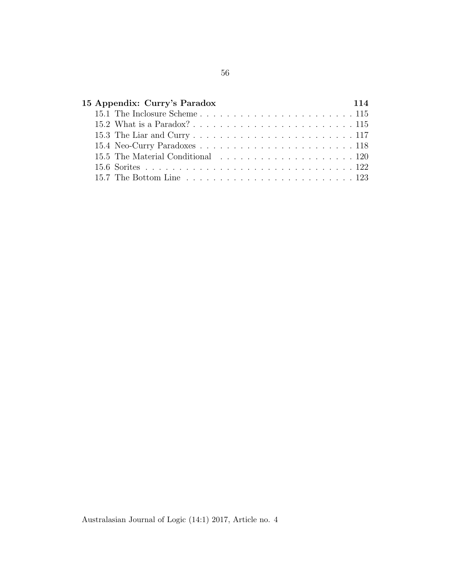| 15 Appendix: Curry's Paradox                                                              |  |  |  |  |  |  |  | 114 |  |  |  |  |  |
|-------------------------------------------------------------------------------------------|--|--|--|--|--|--|--|-----|--|--|--|--|--|
|                                                                                           |  |  |  |  |  |  |  |     |  |  |  |  |  |
|                                                                                           |  |  |  |  |  |  |  |     |  |  |  |  |  |
|                                                                                           |  |  |  |  |  |  |  |     |  |  |  |  |  |
|                                                                                           |  |  |  |  |  |  |  |     |  |  |  |  |  |
|                                                                                           |  |  |  |  |  |  |  |     |  |  |  |  |  |
|                                                                                           |  |  |  |  |  |  |  |     |  |  |  |  |  |
| 15.7 The Bottom Line $\ldots \ldots \ldots \ldots \ldots \ldots \ldots \ldots \ldots 123$ |  |  |  |  |  |  |  |     |  |  |  |  |  |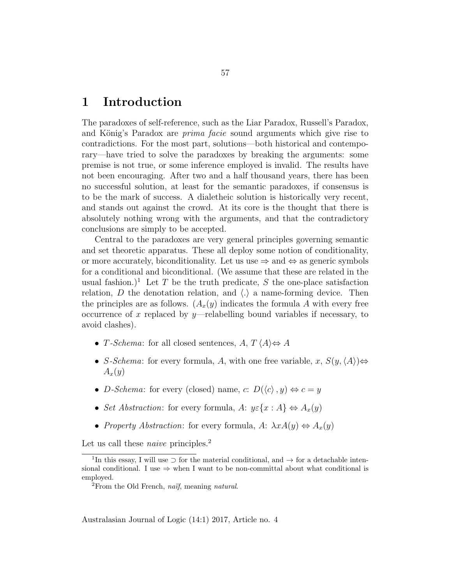# 1 Introduction

The paradoxes of self-reference, such as the Liar Paradox, Russell's Paradox, and König's Paradox are *prima facie* sound arguments which give rise to contradictions. For the most part, solutions—both historical and contemporary—have tried to solve the paradoxes by breaking the arguments: some premise is not true, or some inference employed is invalid. The results have not been encouraging. After two and a half thousand years, there has been no successful solution, at least for the semantic paradoxes, if consensus is to be the mark of success. A dialetheic solution is historically very recent, and stands out against the crowd. At its core is the thought that there is absolutely nothing wrong with the arguments, and that the contradictory conclusions are simply to be accepted.

Central to the paradoxes are very general principles governing semantic and set theoretic apparatus. These all deploy some notion of conditionality, or more accurately, biconditionality. Let us use  $\Rightarrow$  and  $\Leftrightarrow$  as generic symbols for a conditional and biconditional. (We assume that these are related in the usual fashion.)<sup>1</sup> Let T be the truth predicate, S the one-place satisfaction relation,  $D$  the denotation relation, and  $\langle . \rangle$  a name-forming device. Then the principles are as follows.  $(A_x(y))$  indicates the formula A with every free occurrence of x replaced by y—relabelling bound variables if necessary, to avoid clashes).

- T-Schema: for all closed sentences,  $A, T \langle A \rangle \Leftrightarrow A$
- S-Schema: for every formula, A, with one free variable, x,  $S(y,\langle A \rangle) \Leftrightarrow$  $A_x(y)$
- D-Schema: for every (closed) name, c:  $D(\langle c \rangle, y) \Leftrightarrow c = y$
- Set Abstraction: for every formula, A:  $y \in \{x : A\} \Leftrightarrow A_x(y)$
- Property Abstraction: for every formula, A:  $\lambda x A(y) \Leftrightarrow A_x(y)$

Let us call these *naive* principles.<sup>2</sup>

<sup>&</sup>lt;sup>1</sup>In this essay, I will use  $\supset$  for the material conditional, and  $\rightarrow$  for a detachable intensional conditional. I use  $\Rightarrow$  when I want to be non-committal about what conditional is employed.

 ${}^{2}$ From the Old French, naïf, meaning natural.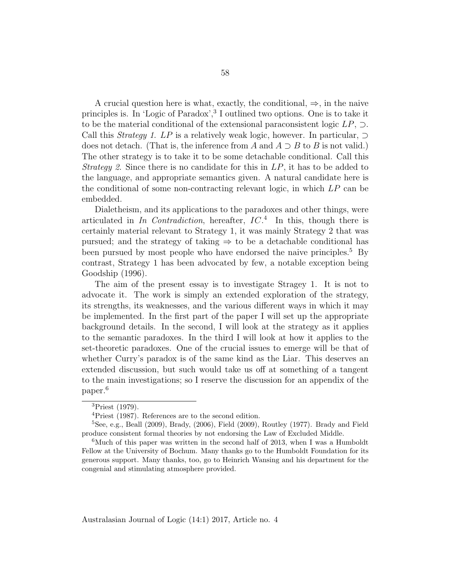A crucial question here is what, exactly, the conditional,  $\Rightarrow$ , in the naive principles is. In 'Logic of Paradox',<sup>3</sup> I outlined two options. One is to take it to be the material conditional of the extensional paraconsistent logic  $LP$ ,  $\supset$ . Call this *Strategy 1. LP* is a relatively weak logic, however. In particular,  $\supset$ does not detach. (That is, the inference from A and  $A \supset B$  to B is not valid.) The other strategy is to take it to be some detachable conditional. Call this *Strategy 2.* Since there is no candidate for this in  $LP$ , it has to be added to the language, and appropriate semantics given. A natural candidate here is the conditional of some non-contracting relevant logic, in which LP can be embedded.

Dialetheism, and its applications to the paradoxes and other things, were articulated in In Contradiction, hereafter,  $IC^4$ . In this, though there is certainly material relevant to Strategy 1, it was mainly Strategy 2 that was pursued; and the strategy of taking  $\Rightarrow$  to be a detachable conditional has been pursued by most people who have endorsed the naive principles.<sup>5</sup> By contrast, Strategy 1 has been advocated by few, a notable exception being Goodship (1996).

The aim of the present essay is to investigate Stragey 1. It is not to advocate it. The work is simply an extended exploration of the strategy, its strengths, its weaknesses, and the various different ways in which it may be implemented. In the first part of the paper I will set up the appropriate background details. In the second, I will look at the strategy as it applies to the semantic paradoxes. In the third I will look at how it applies to the set-theoretic paradoxes. One of the crucial issues to emerge will be that of whether Curry's paradox is of the same kind as the Liar. This deserves an extended discussion, but such would take us off at something of a tangent to the main investigations; so I reserve the discussion for an appendix of the paper.<sup>6</sup>

<sup>3</sup>Priest (1979).

<sup>4</sup>Priest (1987). References are to the second edition.

 ${}^{5}$ See, e.g., Beall (2009), Brady, (2006), Field (2009), Routley (1977). Brady and Field produce consistent formal theories by not endorsing the Law of Excluded Middle.

 ${}^{6}$ Much of this paper was written in the second half of 2013, when I was a Humboldt Fellow at the University of Bochum. Many thanks go to the Humboldt Foundation for its generous support. Many thanks, too, go to Heinrich Wansing and his department for the congenial and stimulating atmosphere provided.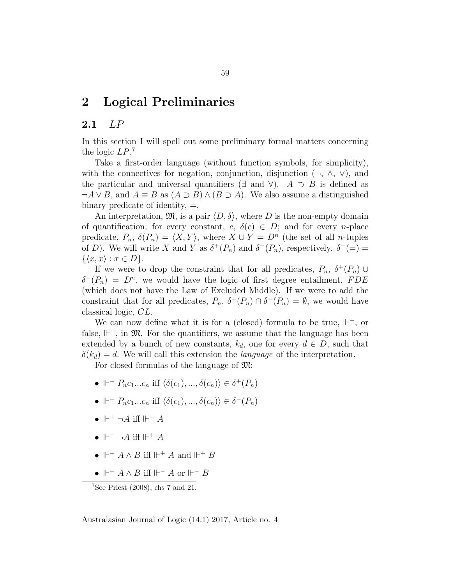# 2 Logical Preliminaries

# 2.1 LP

In this section I will spell out some preliminary formal matters concerning the logic  $LP.^7$ 

Take a first-order language (without function symbols, for simplicity), with the connectives for negation, conjunction, disjunction  $(\neg, \wedge, \vee)$ , and the particular and universal quantifiers ( $\exists$  and  $\forall$ ). A  $\supset$  B is defined as  $\neg A \lor B$ , and  $A \equiv B$  as  $(A \supset B) \land (B \supset A)$ . We also assume a distinguished binary predicate of identity,  $=$ .

An interpretation,  $\mathfrak{M}$ , is a pair  $\langle D, \delta \rangle$ , where D is the non-empty domain of quantification; for every constant,  $c, \delta(c) \in D$ ; and for every *n*-place predicate,  $P_n$ ,  $\delta(P_n) = \langle X, Y \rangle$ , where  $X \cup Y = D^n$  (the set of all *n*-tuples of D). We will write X and Y as  $\delta^+(P_n)$  and  $\delta^-(P_n)$ , respectively.  $\delta^+ (= ) =$  $\{\langle x, x\rangle : x \in D\}.$ 

If we were to drop the constraint that for all predicates,  $P_n$ ,  $\delta^+(P_n)$  $\delta^{-}(P_n) = D^n$ , we would have the logic of first degree entailment, FDE (which does not have the Law of Excluded Middle). If we were to add the constraint that for all predicates,  $P_n$ ,  $\delta^+(P_n) \cap \delta^-(P_n) = \emptyset$ , we would have classical logic, CL.

We can now define what it is for a (closed) formula to be true,  $\mathbb{H}^+$ , or false,  $\mathbb{H}^-$ , in  $\mathfrak{M}$ . For the quantifiers, we assume that the language has been extended by a bunch of new constants,  $k_d$ , one for every  $d \in D$ , such that  $\delta(k_d) = d$ . We will call this extension the *language* of the interpretation.

For closed formulas of the language of M:

- $\Vdash^+ P_n c_1 ... c_n$  iff  $\langle \delta(c_1), ..., \delta(c_n) \rangle \in \delta^+(P_n)$
- $\Vdash$   $P_n c_1 ... c_n$  iff  $\langle \delta(c_1), ..., \delta(c_n) \rangle \in \delta^-(P_n)$
- $\mathbb{H}^+$  ¬A iff  $\mathbb{H}^-$  A
- $\Vdash^{-} \neg A$  iff  $\Vdash^{+} A$
- $\mathbb{H}^+ A \wedge B$  iff  $\mathbb{H}^+ A$  and  $\mathbb{H}^+ B$
- $\mathbb{H}^- A \wedge B$  iff  $\mathbb{H}^- A$  or  $\mathbb{H}^- B$

<sup>7</sup>See Priest (2008), chs 7 and 21.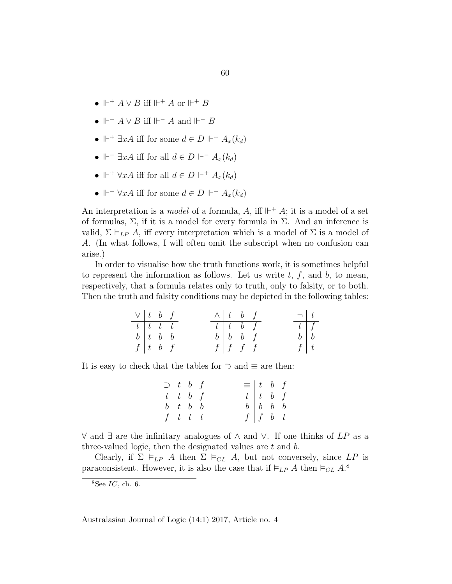- $\mathbb{H}^+ A \vee B$  iff  $\mathbb{H}^+ A$  or  $\mathbb{H}^+ B$
- $\mathbb{H}^- A \vee B$  iff  $\mathbb{H}^- A$  and  $\mathbb{H}^- B$
- $\mathbb{H}^+$   $\exists x A$  iff for some  $d \in D \mathbb{H}^+$   $A_x(k_d)$
- $\Vdash^{-} \exists x A$  iff for all  $d \in D \Vdash^{-} A_x(k_d)$
- $\Vdash^+ \forall x A$  iff for all  $d \in D \Vdash^+ A_x(k_d)$
- $\Vdash^{-} \forall x A$  iff for some  $d \in D \Vdash^{-} A_x(k_d)$

An interpretation is a *model* of a formula, A, iff  $\mathbb{H}^+$  A; it is a model of a set of formulas,  $\Sigma$ , if it is a model for every formula in  $\Sigma$ . And an inference is valid,  $\Sigma \models_{LP} A$ , iff every interpretation which is a model of  $\Sigma$  is a model of A. (In what follows, I will often omit the subscript when no confusion can arise.)

In order to visualise how the truth functions work, it is sometimes helpful to represent the information as follows. Let us write  $t, f$ , and  $b$ , to mean, respectively, that a formula relates only to truth, only to falsity, or to both. Then the truth and falsity conditions may be depicted in the following tables:

| $\vee$   t b f              |  |  | $\wedge$ t b f           |  | $\lnot$ $\lnot$    |  |
|-----------------------------|--|--|--------------------------|--|--------------------|--|
| $t$ $t$ $t$ $t$             |  |  | $t \mid t \mid b \mid f$ |  | $\boxed{t \mid f}$ |  |
| $b \vert t \vert b \vert b$ |  |  | $b \mid b \mid b \mid f$ |  | $b \mid b$         |  |
| $f\left(t\right)$ b f       |  |  | $f \mid f \mid f \mid f$ |  | f   t              |  |

It is easy to check that the tables for  $\supset$  and  $\equiv$  are then:

| $\supset$   t b f      |                                                                  |  | $\equiv$ $\begin{array}{cc} t & b & f \end{array}$ |                             |  |
|------------------------|------------------------------------------------------------------|--|----------------------------------------------------|-----------------------------|--|
|                        | $\begin{array}{c cc} t & t & b & f \\ b & t & b & b \end{array}$ |  |                                                    | $t \vert t \vert b \vert f$ |  |
|                        |                                                                  |  |                                                    | $b \mid b \mid b \mid b$    |  |
| $f\left(t\right)t$ t t |                                                                  |  |                                                    | $f \mid f \quad b \quad t$  |  |

 $\forall$  and  $\exists$  are the infinitary analogues of  $\land$  and  $\lor$ . If one thinks of LP as a three-valued logic, then the designated values are t and b.

Clearly, if  $\Sigma \models_{LP} A$  then  $\Sigma \models_{CL} A$ , but not conversely, since LP is paraconsistent. However, it is also the case that if  $\models_{LP} A$  then  $\models_{CL} A$ .<sup>8</sup>

 $8$ See *IC*, ch. 6.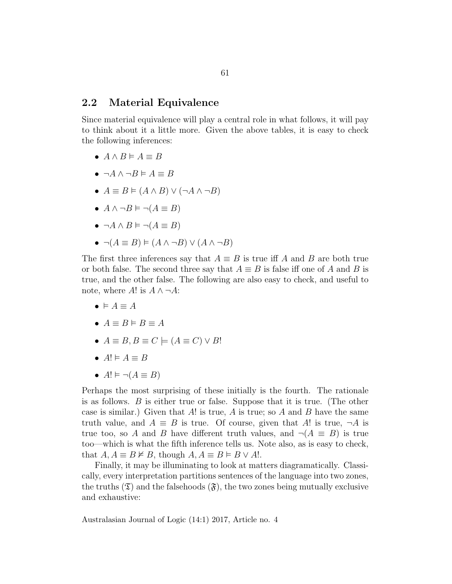### 2.2 Material Equivalence

Since material equivalence will play a central role in what follows, it will pay to think about it a little more. Given the above tables, it is easy to check the following inferences:

- $A \wedge B \models A \equiv B$
- $\neg A \wedge \neg B \models A \equiv B$
- $A \equiv B \models (A \land B) \lor (\neg A \land \neg B)$
- $A \wedge \neg B \models \neg (A \equiv B)$
- $\neg A \land B \models \neg (A \equiv B)$
- $\neg (A \equiv B) \models (A \land \neg B) \lor (A \land \neg B)$

The first three inferences say that  $A \equiv B$  is true iff A and B are both true or both false. The second three say that  $A \equiv B$  is false iff one of A and B is true, and the other false. The following are also easy to check, and useful to note, where A! is  $A \wedge \neg A$ :

- $\bullet \vDash A \equiv A$
- $A \equiv B \models B \equiv A$
- $A \equiv B, B \equiv C \models (A \equiv C) \vee B!$
- $A! \models A \equiv B$
- $A! \vDash \neg (A \equiv B)$

Perhaps the most surprising of these initially is the fourth. The rationale is as follows. B is either true or false. Suppose that it is true. (The other case is similar.) Given that A! is true, A is true; so A and B have the same truth value, and  $A \equiv B$  is true. Of course, given that A! is true,  $\neg A$  is true too, so A and B have different truth values, and  $\neg(A \equiv B)$  is true too—which is what the fifth inference tells us. Note also, as is easy to check, that  $A, A \equiv B \not\vDash B$ , though  $A, A \equiv B \models B \vee A!$ .

Finally, it may be illuminating to look at matters diagramatically. Classically, every interpretation partitions sentences of the language into two zones, the truths  $(\mathfrak{T})$  and the falsehoods  $(\mathfrak{F})$ , the two zones being mutually exclusive and exhaustive: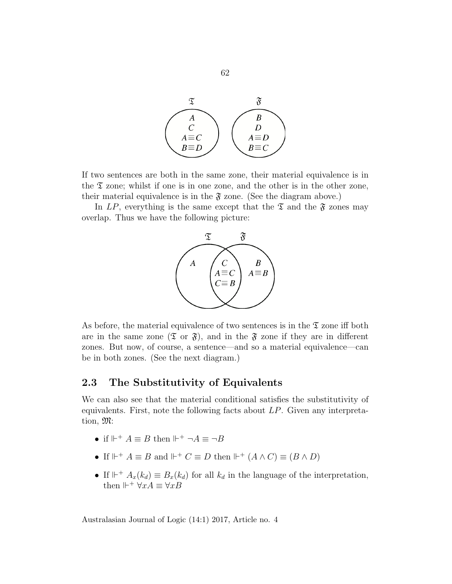

If two sentences are both in the same zone, their material equivalence is in the  $\mathfrak T$  zone; whilst if one is in one zone, and the other is in the other zone, their material equivalence is in the  $\mathfrak F$  zone. (See the diagram above.)

In LP, everything is the same except that the  $\mathfrak T$  and the  $\mathfrak F$  zones may overlap. Thus we have the following picture:



As before, the material equivalence of two sentences is in the  $\mathfrak T$  zone iff both are in the same zone  $(\mathfrak{T} \text{ or } \mathfrak{F})$ , and in the  $\mathfrak{F}$  zone if they are in different zones. But now, of course, a sentence—and so a material equivalence—can be in both zones. (See the next diagram.)

# 2.3 The Substitutivity of Equivalents

We can also see that the material conditional satisfies the substitutivity of equivalents. First, note the following facts about  $LP$ . Given any interpretation, M:

- if  $\mathbb{H}^+ A \equiv B$  then  $\mathbb{H}^+ \neg A \equiv \neg B$
- If  $\mathbb{H}^+ A \equiv B$  and  $\mathbb{H}^+ C \equiv D$  then  $\mathbb{H}^+ (A \wedge C) \equiv (B \wedge D)$
- If  $\mathbb{H}^+ A_x(k_d) \equiv B_x(k_d)$  for all  $k_d$  in the language of the interpretation, then  $\mathbb{H}^+$   $\forall x A \equiv \forall x B$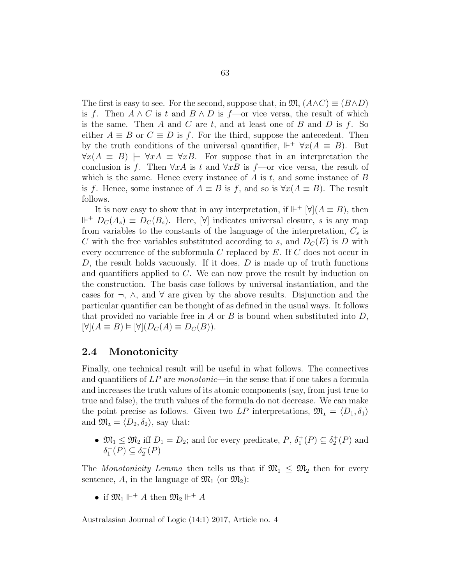The first is easy to see. For the second, suppose that, in  $\mathfrak{M}, (A\wedge C) \equiv (B\wedge D)$ is f. Then  $A \wedge C$  is t and  $B \wedge D$  is f—or vice versa, the result of which is the same. Then A and C are  $t$ , and at least one of B and D is  $f$ . So either  $A \equiv B$  or  $C \equiv D$  is f. For the third, suppose the antecedent. Then by the truth conditions of the universal quantifier,  $\mathbb{H}^+$   $\forall x(A \equiv B)$ . But  $\forall x(A \equiv B) \models \forall xA \equiv \forall xB$ . For suppose that in an interpretation the conclusion is f. Then  $\forall xA$  is t and  $\forall xB$  is f—or vice versa, the result of which is the same. Hence every instance of  $A$  is  $t$ , and some instance of  $B$ is f. Hence, some instance of  $A \equiv B$  is f, and so is  $\forall x(A \equiv B)$ . The result follows.

It is now easy to show that in any interpretation, if  $\mathbb{H}^+$   $[\forall](A \equiv B)$ , then  $\mathbb{H}^+$   $D_C(A_s) \equiv D_C(B_s)$ . Here,  $[\forall]$  indicates universal closure, s is any map from variables to the constants of the language of the interpretation,  $C_s$  is C with the free variables substituted according to s, and  $D<sub>C</sub>(E)$  is D with every occurrence of the subformula C replaced by E. If C does not occur in D, the result holds vacuously. If it does,  $D$  is made up of truth functions and quantifiers applied to C. We can now prove the result by induction on the construction. The basis case follows by universal instantiation, and the cases for  $\neg$ ,  $\wedge$ , and  $\forall$  are given by the above results. Disjunction and the particular quantifier can be thought of as defined in the usual ways. It follows that provided no variable free in  $A$  or  $B$  is bound when substituted into  $D$ ,  $[\forall](A \equiv B) \models [\forall](D_C(A) \equiv D_C(B)).$ 

### 2.4 Monotonicity

Finally, one technical result will be useful in what follows. The connectives and quantifiers of  $LP$  are monotonic—in the sense that if one takes a formula and increases the truth values of its atomic components (say, from just true to true and false), the truth values of the formula do not decrease. We can make the point precise as follows. Given two LP interpretations,  $\mathfrak{M}_1 = \langle D_1, \delta_1 \rangle$ and  $\mathfrak{M}_2 = \langle D_2, \delta_2 \rangle$ , say that:

•  $\mathfrak{M}_1 \leq \mathfrak{M}_2$  iff  $D_1 = D_2$ ; and for every predicate,  $P$ ,  $\delta_1^+(P) \subseteq \delta_2^+(P)$  and  $\delta_1^-(P) \subseteq \delta_2^-(P)$ 

The Monotonicity Lemma then tells us that if  $\mathfrak{M}_1 \leq \mathfrak{M}_2$  then for every sentence, A, in the language of  $\mathfrak{M}_1$  (or  $\mathfrak{M}_2$ ):

• if  $\mathfrak{M}_1 \Vdash^+ A$  then  $\mathfrak{M}_2 \Vdash^+ A$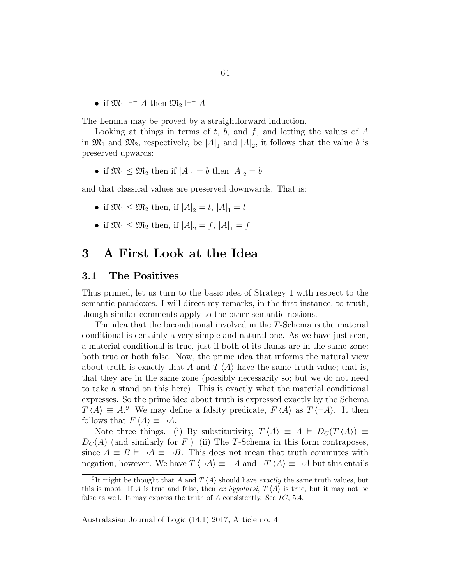• if  $\mathfrak{M}_1 \Vdash^{-} A$  then  $\mathfrak{M}_2 \Vdash^{-} A$ 

The Lemma may be proved by a straightforward induction.

Looking at things in terms of  $t, b$ , and  $f$ , and letting the values of  $A$ in  $\mathfrak{M}_1$  and  $\mathfrak{M}_2$ , respectively, be  $|A|_1$  and  $|A|_2$ , it follows that the value b is preserved upwards:

• if  $\mathfrak{M}_1 \leq \mathfrak{M}_2$  then if  $|A|_1 = b$  then  $|A|_2 = b$ 

and that classical values are preserved downwards. That is:

- if  $\mathfrak{M}_1 \leq \mathfrak{M}_2$  then, if  $|A|_2 = t$ ,  $|A|_1 = t$
- if  $\mathfrak{M}_1 \leq \mathfrak{M}_2$  then, if  $|A|_2 = f$ ,  $|A|_1 = f$

# 3 A First Look at the Idea

#### 3.1 The Positives

Thus primed, let us turn to the basic idea of Strategy 1 with respect to the semantic paradoxes. I will direct my remarks, in the first instance, to truth, though similar comments apply to the other semantic notions.

The idea that the biconditional involved in the T-Schema is the material conditional is certainly a very simple and natural one. As we have just seen, a material conditional is true, just if both of its flanks are in the same zone: both true or both false. Now, the prime idea that informs the natural view about truth is exactly that A and  $T \langle A \rangle$  have the same truth value; that is, that they are in the same zone (possibly necessarily so; but we do not need to take a stand on this here). This is exactly what the material conditional expresses. So the prime idea about truth is expressed exactly by the Schema  $T \langle A \rangle \equiv A^9$  We may define a falsity predicate,  $F \langle A \rangle$  as  $T \langle \neg A \rangle$ . It then follows that  $F \langle A \rangle \equiv \neg A$ .

Note three things. (i) By substitutivity,  $T \langle A \rangle \equiv A \models D_C(T \langle A \rangle) \equiv$  $D<sub>C</sub>(A)$  (and similarly for F.) (ii) The T-Schema in this form contraposes, since  $A \equiv B \models \neg A \equiv \neg B$ . This does not mean that truth commutes with negation, however. We have  $T \langle \neg A \rangle \equiv \neg A$  and  $\neg T \langle A \rangle \equiv \neg A$  but this entails

<sup>&</sup>lt;sup>9</sup>It might be thought that A and  $T \langle A \rangle$  should have exactly the same truth values, but this is moot. If A is true and false, then ex hypothesi,  $T \langle A \rangle$  is true, but it may not be false as well. It may express the truth of  $A$  consistently. See  $IC$ , 5.4.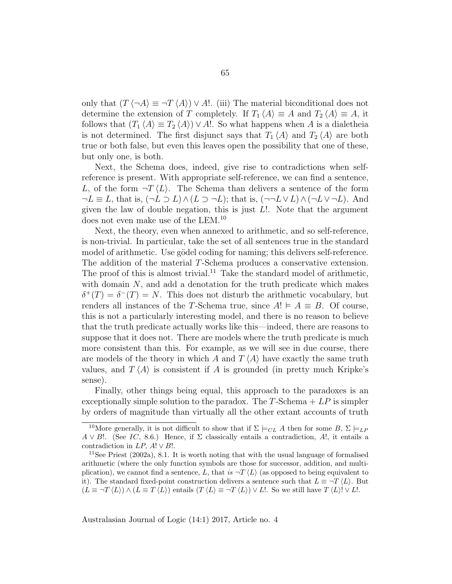only that  $(T \langle \neg A \rangle \equiv \neg T \langle A \rangle) \vee A!$ . (iii) The material biconditional does not determine the extension of T completely. If  $T_1 \langle A \rangle \equiv A$  and  $T_2 \langle A \rangle \equiv A$ , it follows that  $(T_1 \langle A \rangle \equiv T_2 \langle A \rangle) \vee A!$ . So what happens when A is a dialetheia is not determined. The first disjunct says that  $T_1 \langle A \rangle$  and  $T_2 \langle A \rangle$  are both true or both false, but even this leaves open the possibility that one of these, but only one, is both.

Next, the Schema does, indeed, give rise to contradictions when selfreference is present. With appropriate self-reference, we can find a sentence, L, of the form  $\neg T \langle L \rangle$ . The Schema than delivers a sentence of the form  $\neg L \equiv L$ , that is,  $(\neg L \supset L) \wedge (L \supset \neg L)$ ; that is,  $(\neg \neg L \vee L) \wedge (\neg L \vee \neg L)$ . And given the law of double negation, this is just  $L!$ . Note that the argument does not even make use of the LEM.<sup>10</sup>

Next, the theory, even when annexed to arithmetic, and so self-reference, is non-trivial. In particular, take the set of all sentences true in the standard model of arithmetic. Use gödel coding for naming; this delivers self-reference. The addition of the material T-Schema produces a conservative extension. The proof of this is almost trivial.<sup>11</sup> Take the standard model of arithmetic, with domain  $N$ , and add a denotation for the truth predicate which makes  $\delta^+(T) = \delta^-(T) = N$ . This does not disturb the arithmetic vocabulary, but renders all instances of the T-Schema true, since  $A! \vDash A \equiv B$ . Of course, this is not a particularly interesting model, and there is no reason to believe that the truth predicate actually works like this—indeed, there are reasons to suppose that it does not. There are models where the truth predicate is much more consistent than this. For example, as we will see in due course, there are models of the theory in which A and  $T \langle A \rangle$  have exactly the same truth values, and  $T \langle A \rangle$  is consistent if A is grounded (in pretty much Kripke's sense).

Finally, other things being equal, this approach to the paradoxes is an exceptionally simple solution to the paradox. The  $T$ -Schema  $+ LP$  is simpler by orders of magnitude than virtually all the other extant accounts of truth

<sup>&</sup>lt;sup>10</sup>More generally, it is not difficult to show that if  $\Sigma \models_{CL} A$  then for some  $B, \Sigma \models_{LP}$  $A \vee B!$ . (See IC, 8.6.) Hence, if  $\Sigma$  classically entails a contradiction, A!, it entails a contradiction in  $LP$ ,  $A! \vee B!$ .

<sup>11</sup>See Priest (2002a), 8.1. It is worth noting that with the usual language of formalised arithmetic (where the only function symbols are those for successor, addition, and multiplication), we cannot find a sentence, L, that is  $\neg T \langle L \rangle$  (as opposed to being equivalent to it). The standard fixed-point construction delivers a sentence such that  $L \equiv \neg T \langle L \rangle$ . But  $(L \equiv \neg T \langle L \rangle) \wedge (L \equiv T \langle L \rangle)$  entails  $(T \langle L \rangle \equiv \neg T \langle L \rangle) \vee L!$ . So we still have  $T \langle L \rangle! \vee L!$ .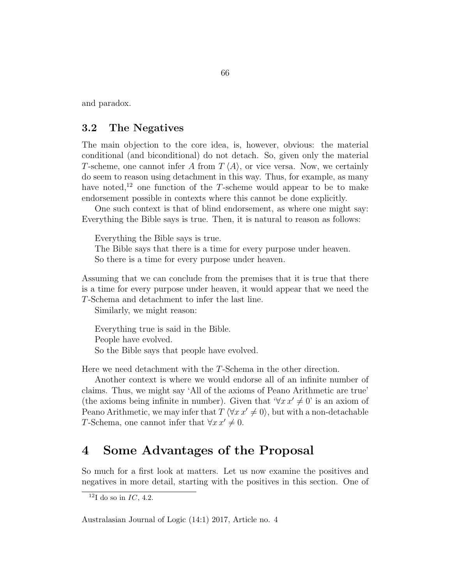and paradox.

### 3.2 The Negatives

The main objection to the core idea, is, however, obvious: the material conditional (and biconditional) do not detach. So, given only the material T-scheme, one cannot infer A from  $T \langle A \rangle$ , or vice versa. Now, we certainly do seem to reason using detachment in this way. Thus, for example, as many have noted,<sup>12</sup> one function of the T-scheme would appear to be to make endorsement possible in contexts where this cannot be done explicitly.

One such context is that of blind endorsement, as where one might say: Everything the Bible says is true. Then, it is natural to reason as follows:

Everything the Bible says is true.

The Bible says that there is a time for every purpose under heaven. So there is a time for every purpose under heaven.

Assuming that we can conclude from the premises that it is true that there is a time for every purpose under heaven, it would appear that we need the T-Schema and detachment to infer the last line.

Similarly, we might reason:

Everything true is said in the Bible. People have evolved. So the Bible says that people have evolved.

Here we need detachment with the T-Schema in the other direction.

Another context is where we would endorse all of an infinite number of claims. Thus, we might say 'All of the axioms of Peano Arithmetic are true' (the axioms being infinite in number). Given that  $\forall x x' \neq 0$ ' is an axiom of Peano Arithmetic, we may infer that  $T \langle \forall x \, x' \neq 0 \rangle$ , but with a non-detachable T-Schema, one cannot infer that  $\forall x \, x' \neq 0$ .

# 4 Some Advantages of the Proposal

So much for a first look at matters. Let us now examine the positives and negatives in more detail, starting with the positives in this section. One of

 $12$ I do so in IC, 4.2.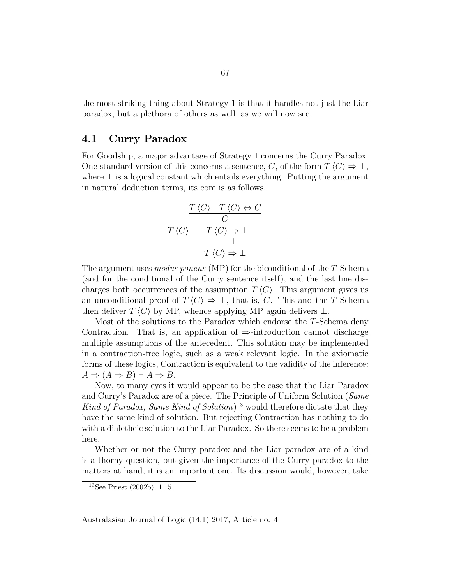the most striking thing about Strategy 1 is that it handles not just the Liar paradox, but a plethora of others as well, as we will now see.

### 4.1 Curry Paradox

For Goodship, a major advantage of Strategy 1 concerns the Curry Paradox. One standard version of this concerns a sentence, C, of the form  $T \langle C \rangle \Rightarrow \bot$ , where  $\perp$  is a logical constant which entails everything. Putting the argument in natural deduction terms, its core is as follows.

$$
\frac{\frac{\overline{T}\langle C \rangle \quad \overline{T}\langle C \rangle \Leftrightarrow C}{C}}{\frac{\overline{T}\langle C \rangle \quad \overline{T}\langle C \rangle \Rightarrow \bot}}{\frac{\bot}{T\langle C \rangle \Rightarrow \bot}}
$$

The argument uses *modus ponens* (MP) for the biconditional of the T-Schema (and for the conditional of the Curry sentence itself), and the last line discharges both occurrences of the assumption  $T\langle C \rangle$ . This argument gives us an unconditional proof of  $T \langle C \rangle \Rightarrow \bot$ , that is, C. This and the T-Schema then deliver  $T \langle C \rangle$  by MP, whence applying MP again delivers ⊥.

Most of the solutions to the Paradox which endorse the T-Schema deny Contraction. That is, an application of  $\Rightarrow$ -introduction cannot discharge multiple assumptions of the antecedent. This solution may be implemented in a contraction-free logic, such as a weak relevant logic. In the axiomatic forms of these logics, Contraction is equivalent to the validity of the inference:  $A \Rightarrow (A \Rightarrow B) \vdash A \Rightarrow B.$ 

Now, to many eyes it would appear to be the case that the Liar Paradox and Curry's Paradox are of a piece. The Principle of Uniform Solution (Same Kind of Paradox, Same Kind of Solution)<sup>13</sup> would therefore dictate that they have the same kind of solution. But rejecting Contraction has nothing to do with a dialetheic solution to the Liar Paradox. So there seems to be a problem here.

Whether or not the Curry paradox and the Liar paradox are of a kind is a thorny question, but given the importance of the Curry paradox to the matters at hand, it is an important one. Its discussion would, however, take

<sup>13</sup>See Priest (2002b), 11.5.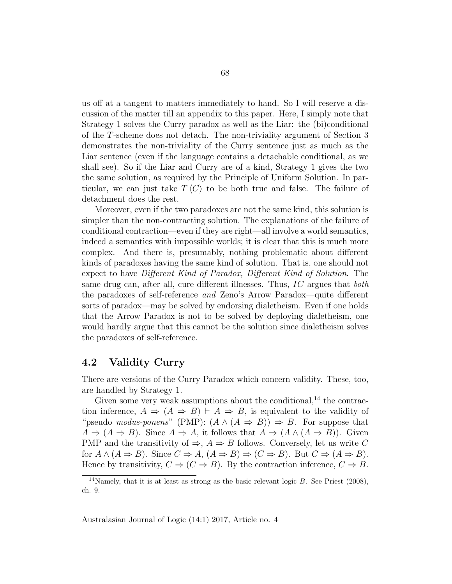us off at a tangent to matters immediately to hand. So I will reserve a discussion of the matter till an appendix to this paper. Here, I simply note that Strategy 1 solves the Curry paradox as well as the Liar: the (bi)conditional of the T-scheme does not detach. The non-triviality argument of Section 3 demonstrates the non-triviality of the Curry sentence just as much as the Liar sentence (even if the language contains a detachable conditional, as we shall see). So if the Liar and Curry are of a kind, Strategy 1 gives the two the same solution, as required by the Principle of Uniform Solution. In particular, we can just take  $T\langle C \rangle$  to be both true and false. The failure of detachment does the rest.

Moreover, even if the two paradoxes are not the same kind, this solution is simpler than the non-contracting solution. The explanations of the failure of conditional contraction—even if they are right—all involve a world semantics, indeed a semantics with impossible worlds; it is clear that this is much more complex. And there is, presumably, nothing problematic about different kinds of paradoxes having the same kind of solution. That is, one should not expect to have Different Kind of Paradox, Different Kind of Solution. The same drug can, after all, cure different illnesses. Thus, IC argues that both the paradoxes of self-reference and Zeno's Arrow Paradox—quite different sorts of paradox—may be solved by endorsing dialetheism. Even if one holds that the Arrow Paradox is not to be solved by deploying dialetheism, one would hardly argue that this cannot be the solution since dialetheism solves the paradoxes of self-reference.

### 4.2 Validity Curry

There are versions of the Curry Paradox which concern validity. These, too, are handled by Strategy 1.

Given some very weak assumptions about the conditional, $^{14}$  the contraction inference,  $A \Rightarrow (A \Rightarrow B) \vdash A \Rightarrow B$ , is equivalent to the validity of "pseudo modus-ponens" (PMP):  $(A \land (A \Rightarrow B)) \Rightarrow B$ . For suppose that  $A \Rightarrow (A \Rightarrow B)$ . Since  $A \Rightarrow A$ , it follows that  $A \Rightarrow (A \land (A \Rightarrow B))$ . Given PMP and the transitivity of  $\Rightarrow$ ,  $A \Rightarrow B$  follows. Conversely, let us write C for  $A \wedge (A \Rightarrow B)$ . Since  $C \Rightarrow A$ ,  $(A \Rightarrow B) \Rightarrow (C \Rightarrow B)$ . But  $C \Rightarrow (A \Rightarrow B)$ . Hence by transitivity,  $C \Rightarrow (C \Rightarrow B)$ . By the contraction inference,  $C \Rightarrow B$ .

<sup>&</sup>lt;sup>14</sup>Namely, that it is at least as strong as the basic relevant logic  $B$ . See Priest (2008), ch. 9.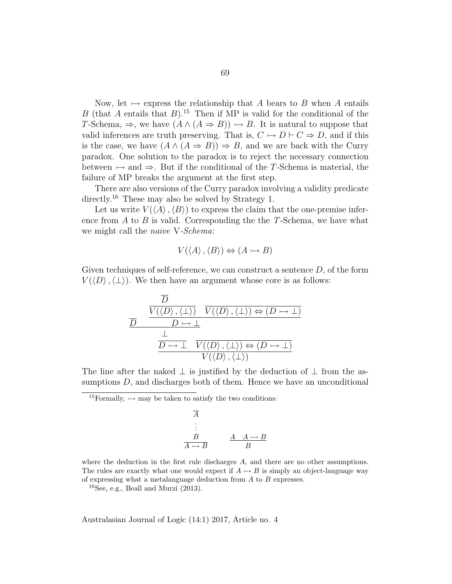Now, let  $\rightarrow$  express the relationship that A bears to B when A entails B (that A entails that B).<sup>15</sup> Then if MP is valid for the conditional of the T-Schema,  $\Rightarrow$ , we have  $(A \land (A \Rightarrow B)) \rightarrow B$ . It is natural to suppose that valid inferences are truth preserving. That is,  $C \rightarrow D \vdash C \Rightarrow D$ , and if this is the case, we have  $(A \wedge (A \Rightarrow B)) \Rightarrow B$ , and we are back with the Curry paradox. One solution to the paradox is to reject the necessary connection between  $\rightarrow$  and  $\Rightarrow$ . But if the conditional of the T-Schema is material, the failure of MP breaks the argument at the first step.

There are also versions of the Curry paradox involving a validity predicate directly.<sup>16</sup> These may also be solved by Strategy 1.

Let us write  $V(\langle A \rangle, \langle B \rangle)$  to express the claim that the one-premise inference from  $A$  to  $B$  is valid. Corresponding the the T-Schema, we have what we might call the *naive* V-*Schema*:

$$
V(\langle A \rangle, \langle B \rangle) \Leftrightarrow (A \rightarrowtail B)
$$

Given techniques of self-reference, we can construct a sentence  $D$ , of the form  $V(\langle D \rangle, \langle \perp \rangle)$ . We then have an argument whose core is as follows:

$$
\frac{\overline{D}}{\underline{D}} \quad \frac{\overline{V(\langle D \rangle, \langle \bot \rangle)} \quad \overline{V(\langle D \rangle, \langle \bot \rangle)} \Leftrightarrow (D \rightarrow \bot)}{\underline{D} \rightarrow \bot} \\\frac{\bot}{\underline{D} \rightarrow \bot} \quad \overline{V(\langle D \rangle, \langle \bot \rangle) \Leftrightarrow (D \rightarrow \bot)} \\\overline{V(\langle D \rangle, \langle \bot \rangle)}
$$

The line after the naked  $\perp$  is justified by the deduction of  $\perp$  from the assumptions  $D$ , and discharges both of them. Hence we have an unconditional

<sup>15</sup>Formally,  $\rightarrow$  may be taken to satisfy the two conditions:

$$
\begin{array}{c}\n\overline{A} \\
\vdots \\
\overline{B} \\
\overline{A \rightarrow B} \\
\end{array}\n\qquad\n\begin{array}{c}\nA & A \rightarrow B \\
\overline{A \rightarrow B} \\
\overline{B}\n\end{array}
$$

where the deduction in the first rule discharges A, and there are no other assumptions. The rules are exactly what one would expect if  $A \rightarrow B$  is simply an object-language way of expressing what a metalanguage deduction from  $A$  to  $B$  expresses.

 $^{16}$ See, e.g., Beall and Murzi (2013).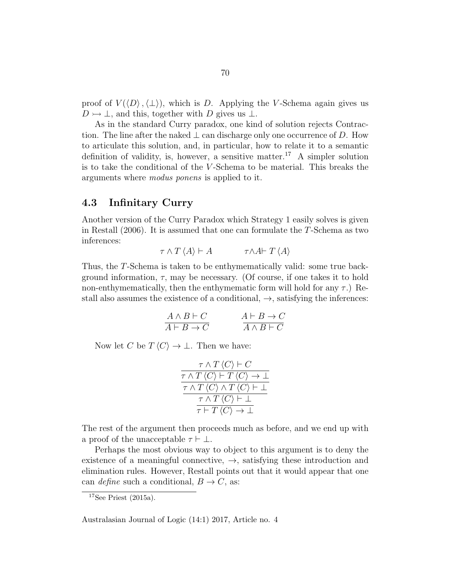proof of  $V(\langle D \rangle, \langle \perp \rangle)$ , which is D. Applying the V-Schema again gives us  $D \rightarrow \perp$ , and this, together with D gives us  $\perp$ .

As in the standard Curry paradox, one kind of solution rejects Contraction. The line after the naked  $\perp$  can discharge only one occurrence of D. How to articulate this solution, and, in particular, how to relate it to a semantic definition of validity, is, however, a sensitive matter.<sup>17</sup> A simpler solution is to take the conditional of the V -Schema to be material. This breaks the arguments where modus ponens is applied to it.

### 4.3 Infinitary Curry

Another version of the Curry Paradox which Strategy 1 easily solves is given in Restall (2006). It is assumed that one can formulate the T-Schema as two inferences:

$$
\tau \wedge T \langle A \rangle \vdash A \qquad \qquad \tau \wedge A \vdash T \langle A \rangle
$$

Thus, the T-Schema is taken to be enthymematically valid: some true background information,  $\tau$ , may be necessary. (Of course, if one takes it to hold non-enthymematically, then the enthymematic form will hold for any  $\tau$ .) Restall also assumes the existence of a conditional,  $\rightarrow$ , satisfying the inferences:

$$
\begin{array}{c}\nA \wedge B \vdash C \\
\hline\nA \vdash B \to C\n\end{array}\n\qquad\n\begin{array}{c}\nA \vdash B \to C \\
\hline\nA \wedge B \vdash C\n\end{array}
$$

Now let C be  $T \langle C \rangle \rightarrow \bot$ . Then we have:

$$
\frac{\tau \wedge T \langle C \rangle \vdash C}{\tau \wedge T \langle C \rangle \vdash T \langle C \rangle \rightarrow \bot}
$$
\n
$$
\frac{\tau \wedge T \langle C \rangle \wedge T \langle C \rangle \vdash \bot}{\tau \wedge T \langle C \rangle \vdash \bot}
$$
\n
$$
\frac{\tau \wedge T \langle C \rangle \vdash \bot}{\tau \vdash T \langle C \rangle \rightarrow \bot}
$$

The rest of the argument then proceeds much as before, and we end up with a proof of the unacceptable  $\tau \vdash \bot$ .

Perhaps the most obvious way to object to this argument is to deny the existence of a meaningful connective,  $\rightarrow$ , satisfying these introduction and elimination rules. However, Restall points out that it would appear that one can *define* such a conditional,  $B \to C$ , as:

 $17$ See Priest (2015a).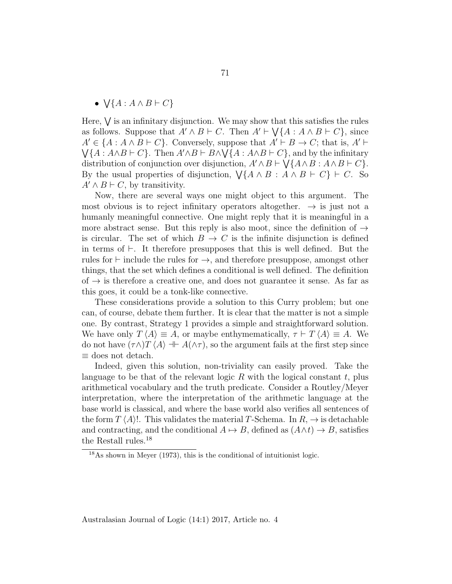•  $\bigvee \{A : A \wedge B \vdash C\}$ 

Here,  $\bigvee$  is an infinitary disjunction. We may show that this satisfies the rules as follows. Suppose that  $A' \wedge B \vdash C$ . Then  $A' \vdash \bigvee \{A : A \wedge B \vdash C\}$ , since  $A' \in \{A : A \wedge B \vdash C\}$ . Conversely, suppose that  $A' \vdash B \to C$ ; that is,  $A' \vdash$  $\bigvee \{A : A \wedge B \vdash C\}$ . Then  $A' \wedge B \vdash B \wedge \bigvee \{A : A \wedge B \vdash C\}$ , and by the infinitary distribution of conjunction over disjunction,  $A' \wedge B \vdash \bigvee \{A \wedge B : A \wedge B \vdash C\}.$ By the usual properties of disjunction,  $\bigvee \{ A \land B : A \land B \vdash C \} \vdash C$ . So  $A' \wedge B \vdash C$ , by transitivity.

Now, there are several ways one might object to this argument. The most obvious is to reject infinitary operators altogether.  $\rightarrow$  is just not a humanly meaningful connective. One might reply that it is meaningful in a more abstract sense. But this reply is also moot, since the definition of  $\rightarrow$ is circular. The set of which  $B \to C$  is the infinite disjunction is defined in terms of  $\vdash$ . It therefore presupposes that this is well defined. But the rules for  $\vdash$  include the rules for  $\rightarrow$ , and therefore presuppose, amongst other things, that the set which defines a conditional is well defined. The definition of  $\rightarrow$  is therefore a creative one, and does not guarantee it sense. As far as this goes, it could be a tonk-like connective.

These considerations provide a solution to this Curry problem; but one can, of course, debate them further. It is clear that the matter is not a simple one. By contrast, Strategy 1 provides a simple and straightforward solution. We have only  $T \langle A \rangle \equiv A$ , or maybe enthymematically,  $\tau \vdash T \langle A \rangle \equiv A$ . We do not have  $(\tau \wedge) T \langle A \rangle \dashv A(\wedge \tau)$ , so the argument fails at the first step since ≡ does not detach.

Indeed, given this solution, non-triviality can easily proved. Take the language to be that of the relevant logic  $R$  with the logical constant  $t$ , plus arithmetical vocabulary and the truth predicate. Consider a Routley/Meyer interpretation, where the interpretation of the arithmetic language at the base world is classical, and where the base world also verifies all sentences of the form  $T(A)!$ . This validates the material T-Schema. In  $R$ ,  $\rightarrow$  is detachable and contracting, and the conditional  $A \mapsto B$ , defined as  $(A \wedge t) \to B$ , satisfies the Restall rules.<sup>18</sup>

<sup>18</sup>As shown in Meyer (1973), this is the conditional of intuitionist logic.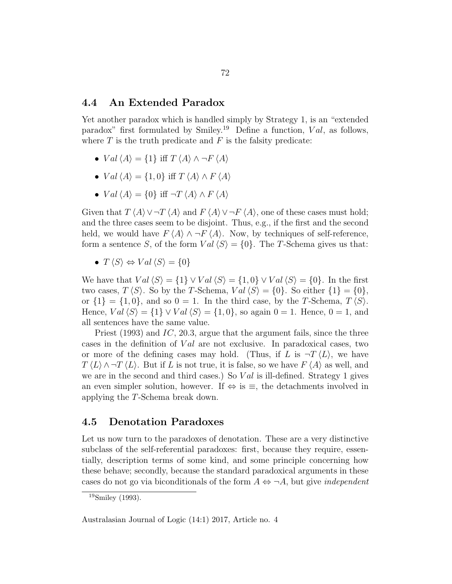#### 4.4 An Extended Paradox

Yet another paradox which is handled simply by Strategy 1, is an "extended paradox" first formulated by Smiley.<sup>19</sup> Define a function,  $Val$ , as follows, where  $T$  is the truth predicate and  $F$  is the falsity predicate:

- $Val \langle A \rangle = \{1\}$  iff  $T \langle A \rangle \wedge \neg F \langle A \rangle$
- $Val \langle A \rangle = \{1, 0\}$  iff  $T \langle A \rangle \wedge F \langle A \rangle$
- $Val \langle A \rangle = \{0\}$  iff  $\neg T \langle A \rangle \wedge F \langle A \rangle$

Given that  $T \langle A \rangle \vee T \langle A \rangle$  and  $F \langle A \rangle \vee T \langle A \rangle$ , one of these cases must hold; and the three cases seem to be disjoint. Thus, e.g., if the first and the second held, we would have  $F \langle A \rangle \wedge \neg F \langle A \rangle$ . Now, by techniques of self-reference, form a sentence S, of the form  $Val\langle S\rangle = \{0\}$ . The T-Schema gives us that:

•  $T \langle S \rangle \Leftrightarrow Val \langle S \rangle = \{0\}$ 

We have that  $Val\langle S\rangle = \{1\} \vee Val\langle S\rangle = \{1,0\} \vee Val\langle S\rangle = \{0\}.$  In the first two cases,  $T \langle S \rangle$ . So by the T-Schema,  $Val \langle S \rangle = \{0\}$ . So either  $\{1\} = \{0\}$ , or  $\{1\} = \{1, 0\}$ , and so  $0 = 1$ . In the third case, by the T-Schema,  $T\langle S \rangle$ . Hence,  $Val\langle S\rangle = \{1\} \vee Val\langle S\rangle = \{1,0\}$ , so again  $0 = 1$ . Hence,  $0 = 1$ , and all sentences have the same value.

Priest (1993) and IC, 20.3, argue that the argument fails, since the three cases in the definition of  $Val$  are not exclusive. In paradoxical cases, two or more of the defining cases may hold. (Thus, if L is  $\neg T \langle L \rangle$ , we have  $T \langle L \rangle \wedge T \langle L \rangle$ . But if L is not true, it is false, so we have  $F \langle A \rangle$  as well, and we are in the second and third cases.) So  $Val$  is ill-defined. Strategy 1 gives an even simpler solution, however. If  $\Leftrightarrow$  is  $\equiv$ , the detachments involved in applying the T-Schema break down.

# 4.5 Denotation Paradoxes

Let us now turn to the paradoxes of denotation. These are a very distinctive subclass of the self-referential paradoxes: first, because they require, essentially, description terms of some kind, and some principle concerning how these behave; secondly, because the standard paradoxical arguments in these cases do not go via biconditionals of the form  $A \Leftrightarrow \neg A$ , but give *independent* 

<sup>19</sup>Smiley (1993).

Australasian Journal of Logic (14:1) 2017, Article no. 4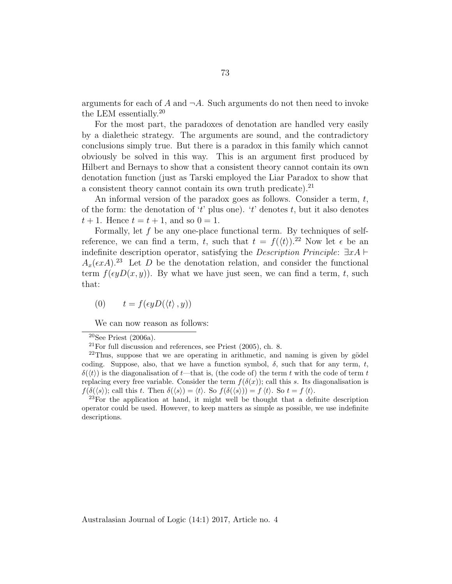arguments for each of A and  $\neg A$ . Such arguments do not then need to invoke the LEM essentially.<sup>20</sup>

For the most part, the paradoxes of denotation are handled very easily by a dialetheic strategy. The arguments are sound, and the contradictory conclusions simply true. But there is a paradox in this family which cannot obviously be solved in this way. This is an argument first produced by Hilbert and Bernays to show that a consistent theory cannot contain its own denotation function (just as Tarski employed the Liar Paradox to show that a consistent theory cannot contain its own truth predicate).<sup>21</sup>

An informal version of the paradox goes as follows. Consider a term,  $t$ , of the form: the denotation of 't' plus one). 't' denotes t, but it also denotes  $t + 1$ . Hence  $t = t + 1$ , and so  $0 = 1$ .

Formally, let  $f$  be any one-place functional term. By techniques of selfreference, we can find a term, t, such that  $t = f(\langle t \rangle)^{2}$ . Now let  $\epsilon$  be an indefinite description operator, satisfying the *Description Principle*:  $\exists x A \vdash$  $A_x(\epsilon x)$ <sup>23</sup> Let D be the denotation relation, and consider the functional term  $f(\epsilon yD(x, y))$ . By what we have just seen, we can find a term, t, such that:

(0)  $t = f(\epsilon y D(\langle t \rangle, y))$ 

We can now reason as follows:

 $23$ For the application at hand, it might well be thought that a definite description operator could be used. However, to keep matters as simple as possible, we use indefinite descriptions.

<sup>20</sup>See Priest (2006a).

 $^{21}$ For full discussion and references, see Priest (2005), ch. 8.

 $^{22}$ Thus, suppose that we are operating in arithmetic, and naming is given by gödel coding. Suppose, also, that we have a function symbol,  $\delta$ , such that for any term, t,  $\delta(\langle t \rangle)$  is the diagonalisation of t—that is, (the code of) the term t with the code of term t replacing every free variable. Consider the term  $f(\delta(x))$ ; call this s. Its diagonalisation is  $f(\delta(\langle s \rangle))$ ; call this t. Then  $\delta(\langle s \rangle) = \langle t \rangle$ . So  $f(\delta(\langle s \rangle)) = f \langle t \rangle$ . So  $t = f \langle t \rangle$ .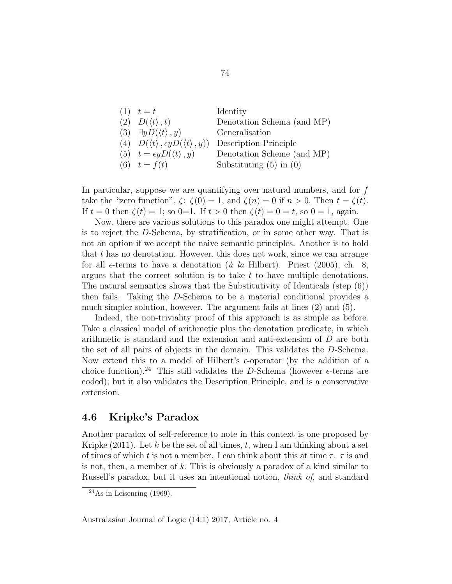| $(1)$ $t = t$                                                  | Identity                    |
|----------------------------------------------------------------|-----------------------------|
| $(2)$ $D(\langle t \rangle, t)$                                | Denotation Schema (and MP)  |
| (3) $\exists y D(\langle t \rangle, y)$                        | Generalisation              |
| (4) $D(\langle t \rangle, \epsilon y D(\langle t \rangle, y))$ | Description Principle       |
| (5) $t = \epsilon y D(\langle t \rangle, y)$                   | Denotation Scheme (and MP)  |
| (6) $t = f(t)$                                                 | Substituting $(5)$ in $(0)$ |

In particular, suppose we are quantifying over natural numbers, and for  $f$ take the "zero function",  $\zeta: \zeta(0) = 1$ , and  $\zeta(n) = 0$  if  $n > 0$ . Then  $t = \zeta(t)$ . If  $t = 0$  then  $\zeta(t) = 1$ ; so 0=1. If  $t > 0$  then  $\zeta(t) = 0 = t$ , so 0 = 1, again.

Now, there are various solutions to this paradox one might attempt. One is to reject the D-Schema, by stratification, or in some other way. That is not an option if we accept the naive semantic principles. Another is to hold that  $t$  has no denotation. However, this does not work, since we can arrange for all  $\epsilon$ -terms to have a denotation (à la Hilbert). Priest (2005), ch. 8, argues that the correct solution is to take  $t$  to have multiple denotations. The natural semantics shows that the Substitutivity of Identicals (step (6)) then fails. Taking the D-Schema to be a material conditional provides a much simpler solution, however. The argument fails at lines (2) and (5).

Indeed, the non-triviality proof of this approach is as simple as before. Take a classical model of arithmetic plus the denotation predicate, in which arithmetic is standard and the extension and anti-extension of D are both the set of all pairs of objects in the domain. This validates the D-Schema. Now extend this to a model of Hilbert's  $\epsilon$ -operator (by the addition of a choice function).<sup>24</sup> This still validates the D-Schema (however  $\epsilon$ -terms are coded); but it also validates the Description Principle, and is a conservative extension.

# 4.6 Kripke's Paradox

Another paradox of self-reference to note in this context is one proposed by Kripke  $(2011)$ . Let k be the set of all times, t, when I am thinking about a set of times of which t is not a member. I can think about this at time  $\tau$ .  $\tau$  is and is not, then, a member of k. This is obviously a paradox of a kind similar to Russell's paradox, but it uses an intentional notion, think of, and standard

 $^{24}$ As in Leisenring (1969).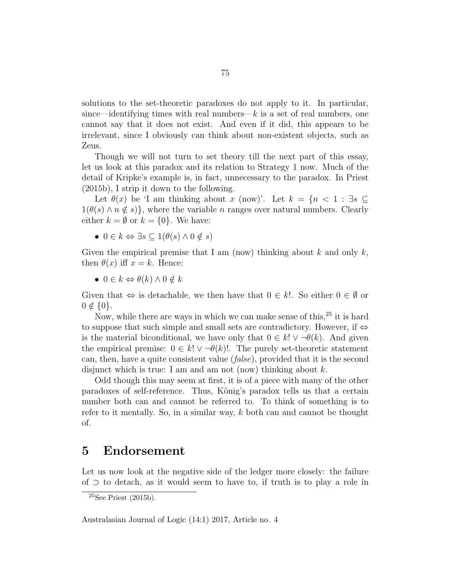solutions to the set-theoretic paradoxes do not apply to it. In particular, since—identifying times with real numbers— $k$  is a set of real numbers, one cannot say that it does not exist. And even if it did, this appears to be irrelevant, since I obviously can think about non-existent objects, such as Zeus.

Though we will not turn to set theory till the next part of this essay, let us look at this paradox and its relation to Strategy 1 now. Much of the detail of Kripke's example is, in fact, unnecessary to the paradox. In Priest (2015b), I strip it down to the following.

Let  $\theta(x)$  be 'I am thinking about x (now)'. Let  $k = \{n \leq 1 : \exists s \subseteq$  $1(\theta(s) \wedge n \notin s)$ , where the variable *n* ranges over natural numbers. Clearly either  $k = \emptyset$  or  $k = \{0\}$ . We have:

•  $0 \in k \Leftrightarrow \exists s \subseteq 1(\theta(s) \wedge 0 \notin s)$ 

Given the empirical premise that I am (now) thinking about k and only  $k$ , then  $\theta(x)$  iff  $x = k$ . Hence:

•  $0 \in k \Leftrightarrow \theta(k) \wedge 0 \notin k$ 

Given that  $\Leftrightarrow$  is detachable, we then have that  $0 \in k!$ . So either  $0 \in \emptyset$  or  $0 \notin \{0\}.$ 

Now, while there are ways in which we can make sense of this,  $25$  it is hard to suppose that such simple and small sets are contradictory. However, if  $\Leftrightarrow$ is the material biconditional, we have only that  $0 \in k! \vee \neg \theta(k)$ . And given the empirical premise:  $0 \in k! \vee \neg \theta(k)!$ . The purely set-theoretic statement can, then, have a quite consistent value (false), provided that it is the second disjunct which is true: I am and am not (now) thinking about  $k$ .

Odd though this may seem at first, it is of a piece with many of the other paradoxes of self-reference. Thus, König's paradox tells us that a certain number both can and cannot be referred to. To think of something is to refer to it mentally. So, in a similar way,  $k$  both can and cannot be thought of.

# 5 Endorsement

Let us now look at the negative side of the ledger more closely: the failure of ⊃ to detach, as it would seem to have to, if truth is to play a role in

 $25$ See Priest (2015b).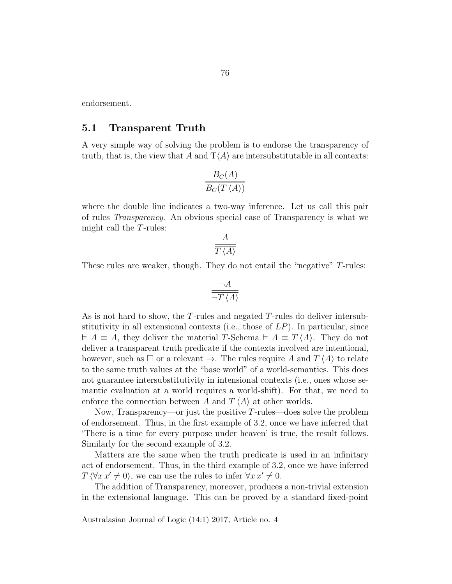endorsement.

#### 5.1 Transparent Truth

A very simple way of solving the problem is to endorse the transparency of truth, that is, the view that A and  $T\langle A \rangle$  are intersubstitutable in all contexts:

$$
\frac{B_C(A)}{B_C(T\left \langle A \right \rangle)}
$$

where the double line indicates a two-way inference. Let us call this pair of rules Transparency. An obvious special case of Transparency is what we might call the T-rules:

$$
\frac{A}{T\left\langle A\right\rangle}
$$

These rules are weaker, though. They do not entail the "negative" T-rules:

$$
\frac{\neg A}{\neg T \left\langle A \right\rangle}
$$

As is not hard to show, the T-rules and negated T-rules do deliver intersubstitutivity in all extensional contexts (i.e., those of  $LP$ ). In particular, since  $\vdash A \equiv A$ , they deliver the material T-Schema  $\vdash A \equiv T \langle A \rangle$ . They do not deliver a transparent truth predicate if the contexts involved are intentional, however, such as  $\square$  or a relevant  $\rightarrow$ . The rules require A and  $T \langle A \rangle$  to relate to the same truth values at the "base world" of a world-semantics. This does not guarantee intersubstitutivity in intensional contexts (i.e., ones whose semantic evaluation at a world requires a world-shift). For that, we need to enforce the connection between A and  $T \langle A \rangle$  at other worlds.

Now, Transparency—or just the positive  $T$ -rules—does solve the problem of endorsement. Thus, in the first example of 3.2, once we have inferred that 'There is a time for every purpose under heaven' is true, the result follows. Similarly for the second example of 3.2.

Matters are the same when the truth predicate is used in an infinitary act of endorsement. Thus, in the third example of 3.2, once we have inferred  $T \langle \forall x \, x' \neq 0 \rangle$ , we can use the rules to infer  $\forall x \, x' \neq 0$ .

The addition of Transparency, moreover, produces a non-trivial extension in the extensional language. This can be proved by a standard fixed-point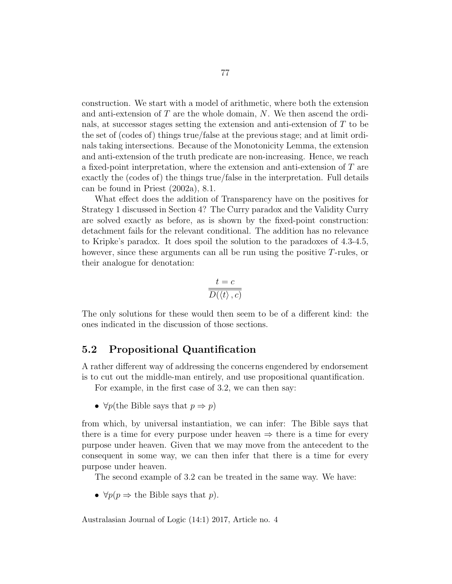construction. We start with a model of arithmetic, where both the extension and anti-extension of  $T$  are the whole domain,  $N$ . We then ascend the ordinals, at successor stages setting the extension and anti-extension of T to be the set of (codes of) things true/false at the previous stage; and at limit ordinals taking intersections. Because of the Monotonicity Lemma, the extension and anti-extension of the truth predicate are non-increasing. Hence, we reach a fixed-point interpretation, where the extension and anti-extension of T are exactly the (codes of) the things true/false in the interpretation. Full details can be found in Priest (2002a), 8.1.

What effect does the addition of Transparency have on the positives for Strategy 1 discussed in Section 4? The Curry paradox and the Validity Curry are solved exactly as before, as is shown by the fixed-point construction: detachment fails for the relevant conditional. The addition has no relevance to Kripke's paradox. It does spoil the solution to the paradoxes of 4.3-4.5, however, since these arguments can all be run using the positive  $T$ -rules, or their analogue for denotation:

$$
\frac{t=c}{D(\left\langle t\right\rangle ,c)}
$$

The only solutions for these would then seem to be of a different kind: the ones indicated in the discussion of those sections.

### 5.2 Propositional Quantification

A rather different way of addressing the concerns engendered by endorsement is to cut out the middle-man entirely, and use propositional quantification.

For example, in the first case of 3.2, we can then say:

•  $\forall p$ (the Bible says that  $p \Rightarrow p$ )

from which, by universal instantiation, we can infer: The Bible says that there is a time for every purpose under heaven  $\Rightarrow$  there is a time for every purpose under heaven. Given that we may move from the antecedent to the consequent in some way, we can then infer that there is a time for every purpose under heaven.

The second example of 3.2 can be treated in the same way. We have:

•  $\forall p(p \Rightarrow \text{the Bible says that } p)$ .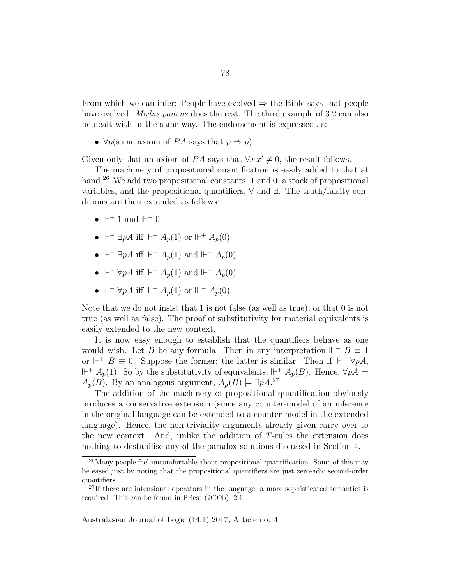From which we can infer: People have evolved  $\Rightarrow$  the Bible says that people have evolved. *Modus ponens* does the rest. The third example of 3.2 can also be dealt with in the same way. The endorsement is expressed as:

•  $\forall p$ (some axiom of PA says that  $p \Rightarrow p$ )

Given only that an axiom of PA says that  $\forall x \, x' \neq 0$ , the result follows.

The machinery of propositional quantification is easily added to that at hand.<sup>26</sup> We add two propositional constants, 1 and 0, a stock of propositional variables, and the propositional quantifiers,  $\forall$  and  $\exists$ . The truth/falsity conditions are then extended as follows:

- $\mathbb{H}^+$  1 and  $\mathbb{H}^-$  0
- $\Vdash^+ \exists pA$  iff  $\Vdash^+ A_p(1)$  or  $\Vdash^+ A_p(0)$
- $\Vdash^{-} \exists pA$  iff  $\Vdash^{-} A_p(1)$  and  $\Vdash^{-} A_p(0)$
- $\Vdash^+ \forall pA$  iff  $\Vdash^+ A_p(1)$  and  $\Vdash^+ A_p(0)$
- $\Vdash^{-} \forall p A$  iff  $\Vdash^{-} A_p(1)$  or  $\Vdash^{-} A_p(0)$

Note that we do not insist that 1 is not false (as well as true), or that 0 is not true (as well as false). The proof of substitutivity for material equivalents is easily extended to the new context.

It is now easy enough to establish that the quantifiers behave as one would wish. Let B be any formula. Then in any interpretation  $\mathbb{H}^+$  B  $\equiv$  1 or  $\mathbb{H}^+$  B  $\equiv$  0. Suppose the former; the latter is similar. Then if  $\mathbb{H}^+$   $\forall pA$ ,  $\mathbb{H}^+$   $A_p(1)$ . So by the substitutivity of equivalents,  $\mathbb{H}^+$   $A_p(B)$ . Hence,  $\forall pA \models$  $A_p(B)$ . By an analagous argument,  $A_p(B) \models \exists pA$ .<sup>27</sup>

The addition of the machinery of propositional quantification obviously produces a conservative extension (since any counter-model of an inference in the original language can be extended to a counter-model in the extended language). Hence, the non-triviality arguments already given carry over to the new context. And, unlike the addition of T-rules the extension does nothing to destabilise any of the paradox solutions discussed in Section 4.

<sup>&</sup>lt;sup>26</sup>Many people feel uncomfortable about propositional quantification. Some of this may be eased just by noting that the propositional quantifiers are just zero-adic second-order quantifiers.

<sup>&</sup>lt;sup>27</sup>If there are intensional operators in the language, a more sophisticated semantics is required. This can be found in Priest (2009b), 2.1.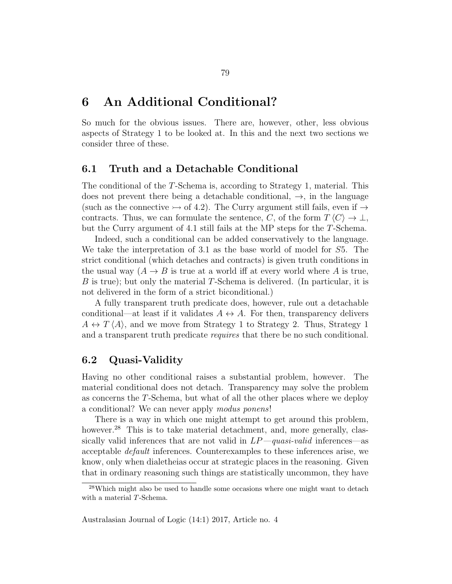# 6 An Additional Conditional?

So much for the obvious issues. There are, however, other, less obvious aspects of Strategy 1 to be looked at. In this and the next two sections we consider three of these.

### 6.1 Truth and a Detachable Conditional

The conditional of the T-Schema is, according to Strategy 1, material. This does not prevent there being a detachable conditional,  $\rightarrow$ , in the language (such as the connective  $\rightarrow$  of 4.2). The Curry argument still fails, even if  $\rightarrow$ contracts. Thus, we can formulate the sentence, C, of the form  $T \langle C \rangle \rightarrow \bot$ , but the Curry argument of 4.1 still fails at the MP steps for the T-Schema.

Indeed, such a conditional can be added conservatively to the language. We take the interpretation of 3.1 as the base world of model for S5. The strict conditional (which detaches and contracts) is given truth conditions in the usual way  $(A \rightarrow B$  is true at a world iff at every world where A is true, B is true); but only the material T-Schema is delivered. (In particular, it is not delivered in the form of a strict biconditional.)

A fully transparent truth predicate does, however, rule out a detachable conditional—at least if it validates  $A \leftrightarrow A$ . For then, transparency delivers  $A \leftrightarrow T \langle A \rangle$ , and we move from Strategy 1 to Strategy 2. Thus, Strategy 1 and a transparent truth predicate requires that there be no such conditional.

### 6.2 Quasi-Validity

Having no other conditional raises a substantial problem, however. The material conditional does not detach. Transparency may solve the problem as concerns the T-Schema, but what of all the other places where we deploy a conditional? We can never apply modus ponens!

There is a way in which one might attempt to get around this problem, however.<sup>28</sup> This is to take material detachment, and, more generally, classically valid inferences that are not valid in  $LP-quasi-valued$  inferences—as acceptable default inferences. Counterexamples to these inferences arise, we know, only when dialetheias occur at strategic places in the reasoning. Given that in ordinary reasoning such things are statistically uncommon, they have

<sup>&</sup>lt;sup>28</sup>Which might also be used to handle some occasions where one might want to detach with a material T-Schema.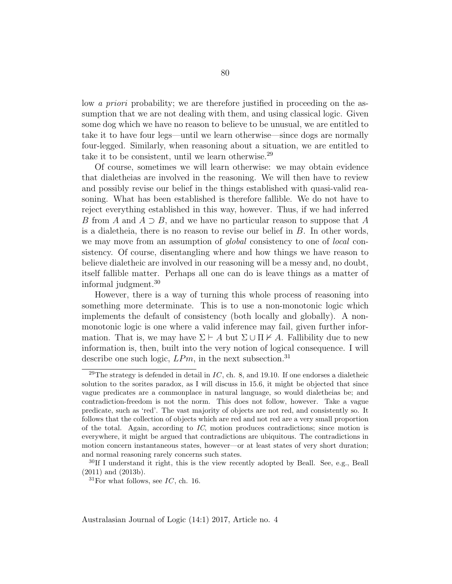low a priori probability; we are therefore justified in proceeding on the assumption that we are not dealing with them, and using classical logic. Given some dog which we have no reason to believe to be unusual, we are entitled to take it to have four legs—until we learn otherwise—since dogs are normally four-legged. Similarly, when reasoning about a situation, we are entitled to take it to be consistent, until we learn otherwise.<sup>29</sup>

Of course, sometimes we will learn otherwise: we may obtain evidence that dialetheias are involved in the reasoning. We will then have to review and possibly revise our belief in the things established with quasi-valid reasoning. What has been established is therefore fallible. We do not have to reject everything established in this way, however. Thus, if we had inferred B from A and  $A \supset B$ , and we have no particular reason to suppose that A is a dialetheia, there is no reason to revise our belief in B. In other words, we may move from an assumption of *global* consistency to one of *local* consistency. Of course, disentangling where and how things we have reason to believe dialetheic are involved in our reasoning will be a messy and, no doubt, itself fallible matter. Perhaps all one can do is leave things as a matter of informal judgment.<sup>30</sup>

However, there is a way of turning this whole process of reasoning into something more determinate. This is to use a non-monotonic logic which implements the default of consistency (both locally and globally). A nonmonotonic logic is one where a valid inference may fail, given further information. That is, we may have  $\Sigma \vdash A$  but  $\Sigma \cup \Pi \nvdash A$ . Fallibility due to new information is, then, built into the very notion of logical consequence. I will describe one such logic,  $LPm$ , in the next subsection.<sup>31</sup>

<sup>&</sup>lt;sup>29</sup>The strategy is defended in detail in  $IC$ , ch. 8, and 19.10. If one endorses a dialetheic solution to the sorites paradox, as I will discuss in 15.6, it might be objected that since vague predicates are a commonplace in natural language, so would dialetheias be; and contradiction-freedom is not the norm. This does not follow, however. Take a vague predicate, such as 'red'. The vast majority of objects are not red, and consistently so. It follows that the collection of objects which are red and not red are a very small proportion of the total. Again, according to  $IC$ , motion produces contradictions; since motion is everywhere, it might be argued that contradictions are ubiquitous. The contradictions in motion concern instantaneous states, however—or at least states of very short duration; and normal reasoning rarely concerns such states.

 $30$ If I understand it right, this is the view recently adopted by Beall. See, e.g., Beall (2011) and (2013b).

 ${}^{31}$ For what follows, see *IC*, ch. 16.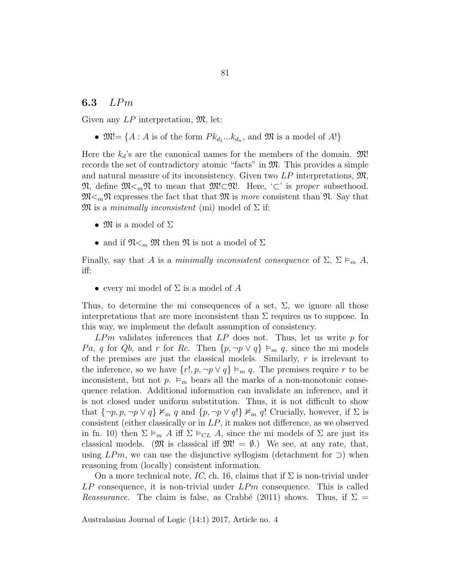# 6.3 LPm

Given any  $LP$  interpretation,  $\mathfrak{M}$ , let:

•  $\mathfrak{M} = \{A : A \text{ is of the form } P k_{d_1} ... k_{d_n}, \text{ and } \mathfrak{M} \text{ is a model of } A!\}$ 

Here the  $k_d$ 's are the canonical names for the members of the domain.  $\mathfrak{M}!$ records the set of contradictory atomic "facts" in  $\mathfrak{M}$ . This provides a simple and natural measure of its inconsistency. Given two  $LP$  interpretations,  $\mathfrak{M}$ ,  $\mathfrak{N},$  define  $\mathfrak{M}\leq_m\mathfrak{N}$  to mean that  $\mathfrak{M}\subset \mathfrak{N}!$ . Here, '⊂' is proper subsethood.  $\mathfrak{M}_{\leq m} \mathfrak{N}$  expresses the fact that that  $\mathfrak{M}$  is more consistent than  $\mathfrak{N}$ . Say that  $\mathfrak{M}$  is a minimally inconsistent (mi) model of  $\Sigma$  if:

- $\mathfrak{M}$  is a model of  $\Sigma$
- and if  $\mathfrak{N}_{\leq m}$  M then  $\mathfrak{N}$  is not a model of  $\Sigma$

Finally, say that A is a minimally inconsistent consequence of  $\Sigma$ ,  $\Sigma \vDash_m A$ , iff:

• every mi model of  $\Sigma$  is a model of A

Thus, to determine the mi consequences of a set,  $\Sigma$ , we ignore all those interpretations that are more inconsistent than  $\Sigma$  requires us to suppose. In this way, we implement the default assumption of consistency.

 $LPm$  validates inferences that  $LP$  does not. Thus, let us write p for Pa, q for Qb, and r for Rc. Then  $\{p, \neg p \lor q\} \vDash_m q$ , since the mi models of the premises are just the classical models. Similarly,  $r$  is irrelevant to the inference, so we have  $\{r!, p, \neg p \lor q\} \vDash_m q$ . The premises require r to be inconsistent, but not  $p \nightharpoonup_m$  bears all the marks of a non-monotonic consequence relation. Additional information can invalidate an inference, and it is not closed under uniform substitution. Thus, it is not difficult to show that  ${\neg p, p, \neg p \lor q} \not\vDash_m q$  and  ${p, \neg p \lor q} \not\vDash_m q!$  Crucially, however, if  $\Sigma$  is consistent (either classically or in  $LP$ , it makes not difference, as we observed in fn. 10) then  $\Sigma \vDash_m A$  iff  $\Sigma \vDash_{CL} A$ , since the mi models of  $\Sigma$  are just its classical models.  $(\mathfrak{M}$  is classical iff  $\mathfrak{M}! = \emptyset$ .) We see, at any rate, that, using  $LPm$ , we can use the disjunctive syllogism (detachment for  $\supset$ ) when reasoning from (locally) consistent information.

On a more technical note, IC, ch. 16, claims that if  $\Sigma$  is non-trivial under  $LP$  consequence, it is non-trivial under  $LPm$  consequence. This is called *Reassurance.* The claim is false, as Crabbé (2011) shows. Thus, if  $\Sigma =$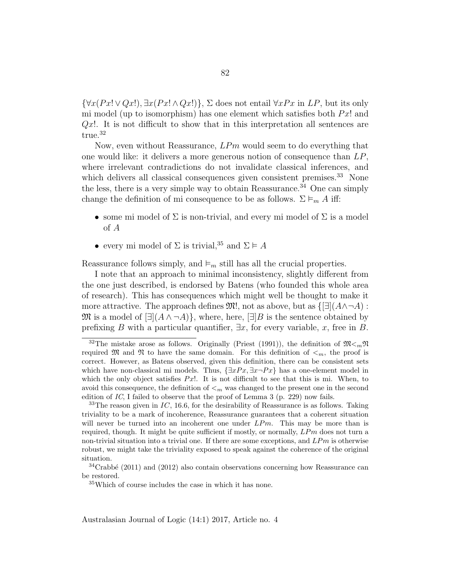$\{\forall x(Px! \vee Qx!, \exists x(Px! \wedge Qx!)\}, \Sigma$  does not entail  $\forall xPx$  in LP, but its only mi model (up to isomorphism) has one element which satisfies both  $Px$ ! and  $Qx!$ . It is not difficult to show that in this interpretation all sentences are true.<sup>32</sup>

Now, even without Reassurance,  $LPm$  would seem to do everything that one would like: it delivers a more generous notion of consequence than  $LP$ , where irrelevant contradictions do not invalidate classical inferences, and which delivers all classical consequences given consistent premises.<sup>33</sup> None the less, there is a very simple way to obtain Reassurance.<sup>34</sup> One can simply change the definition of mi consequence to be as follows.  $\Sigma \vDash_m A$  iff:

- some mi model of  $\Sigma$  is non-trivial, and every mi model of  $\Sigma$  is a model of A
- every mi model of  $\Sigma$  is trivial,<sup>35</sup> and  $\Sigma \models A$

Reassurance follows simply, and  $\vDash_m$  still has all the crucial properties.

I note that an approach to minimal inconsistency, slightly different from the one just described, is endorsed by Batens (who founded this whole area of research). This has consequences which might well be thought to make it more attractive. The approach defines  $\mathfrak{M}$ , not as above, but as  $\{\exists |(A\wedge\neg A):$  $\mathfrak{M}$  is a model of  $\exists (A \land \neg A)$ , where, here,  $\exists B$  is the sentence obtained by prefixing B with a particular quantifier,  $\exists x$ , for every variable, x, free in B.

<sup>&</sup>lt;sup>32</sup>The mistake arose as follows. Originally (Priest (1991)), the definition of  $\mathfrak{M} \leq_m \mathfrak{N}$ required M and N to have the same domain. For this definition of  $\lt_m$ , the proof is correct. However, as Batens observed, given this definition, there can be consistent sets which have non-classical mi models. Thus,  $\{\exists xPx, \exists x \neg Px\}$  has a one-element model in which the only object satisfies  $Px!$ . It is not difficult to see that this is mi. When, to avoid this consequence, the definition of  $\leq_m$  was changed to the present one in the second edition of IC, I failed to observe that the proof of Lemma 3 (p. 229) now fails.

 $33$ The reason given in  $IC$ , 16.6, for the desirability of Reassurance is as follows. Taking triviality to be a mark of incoherence, Reassurance guarantees that a coherent situation will never be turned into an incoherent one under  $LPm$ . This may be more than is required, though. It might be quite sufficient if mostly, or normally,  $LPm$  does not turn a non-trivial situation into a trivial one. If there are some exceptions, and  $LPm$  is otherwise robust, we might take the triviality exposed to speak against the coherence of the original situation.

 $34$ Crabbé (2011) and (2012) also contain observations concerning how Reassurance can be restored.

<sup>35</sup>Which of course includes the case in which it has none.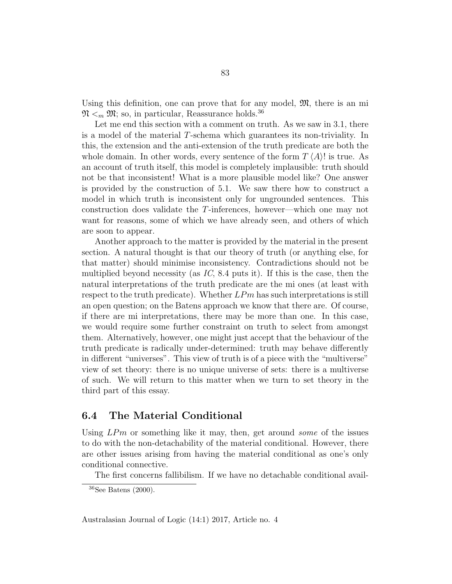Using this definition, one can prove that for any model,  $\mathfrak{M}$ , there is an mi  $\mathfrak{N} \leq_m \mathfrak{M}$ ; so, in particular, Reassurance holds.<sup>36</sup>

Let me end this section with a comment on truth. As we saw in 3.1, there is a model of the material T-schema which guarantees its non-triviality. In this, the extension and the anti-extension of the truth predicate are both the whole domain. In other words, every sentence of the form  $T \langle A \rangle$ ! is true. As an account of truth itself, this model is completely implausible: truth should not be that inconsistent! What is a more plausible model like? One answer is provided by the construction of 5.1. We saw there how to construct a model in which truth is inconsistent only for ungrounded sentences. This construction does validate the T-inferences, however—which one may not want for reasons, some of which we have already seen, and others of which are soon to appear.

Another approach to the matter is provided by the material in the present section. A natural thought is that our theory of truth (or anything else, for that matter) should minimise inconsistency. Contradictions should not be multiplied beyond necessity (as  $IC$ , 8.4 puts it). If this is the case, then the natural interpretations of the truth predicate are the mi ones (at least with respect to the truth predicate). Whether  $LPm$  has such interpretations is still an open question; on the Batens approach we know that there are. Of course, if there are mi interpretations, there may be more than one. In this case, we would require some further constraint on truth to select from amongst them. Alternatively, however, one might just accept that the behaviour of the truth predicate is radically under-determined: truth may behave differently in different "universes". This view of truth is of a piece with the "multiverse" view of set theory: there is no unique universe of sets: there is a multiverse of such. We will return to this matter when we turn to set theory in the third part of this essay.

### 6.4 The Material Conditional

Using  $LPm$  or something like it may, then, get around some of the issues to do with the non-detachability of the material conditional. However, there are other issues arising from having the material conditional as one's only conditional connective.

The first concerns fallibilism. If we have no detachable conditional avail-

 $36$ See Batens (2000).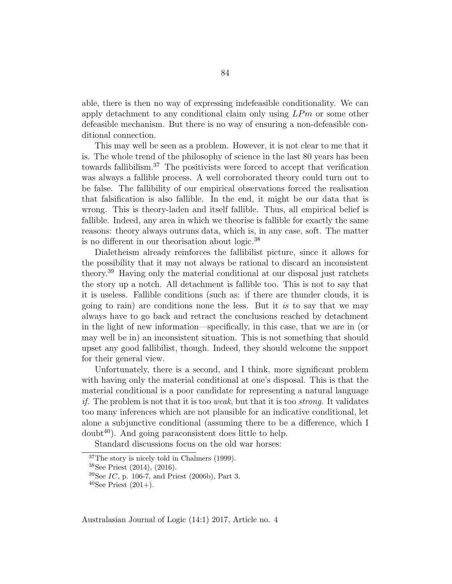able, there is then no way of expressing indefeasible conditionality. We can apply detachment to any conditional claim only using  $LPm$  or some other defeasible mechanism. But there is no way of ensuring a non-defeasible conditional connection.

This may well be seen as a problem. However, it is not clear to me that it is. The whole trend of the philosophy of science in the last 80 years has been towards fallibilism.<sup>37</sup> The positivists were forced to accept that verification was always a fallible process. A well corroborated theory could turn out to be false. The fallibility of our empirical observations forced the realisation that falsification is also fallible. In the end, it might be our data that is wrong. This is theory-laden and itself fallible. Thus, all empirical belief is fallible. Indeed, any area in which we theorise is fallible for exactly the same reasons: theory always outruns data, which is, in any case, soft. The matter is no different in our theorisation about logic.<sup>38</sup>

Dialetheism already reinforces the fallibilist picture, since it allows for the possibility that it may not always be rational to discard an inconsistent theory.<sup>39</sup> Having only the material conditional at our disposal just ratchets the story up a notch. All detachment is fallible too. This is not to say that it is useless. Fallible conditions (such as: if there are thunder clouds, it is going to rain) are conditions none the less. But it is to say that we may always have to go back and retract the conclusions reached by detachment in the light of new information—specifically, in this case, that we are in (or may well be in) an inconsistent situation. This is not something that should upset any good fallibilist, though. Indeed, they should welcome the support for their general view.

Unfortunately, there is a second, and I think, more significant problem with having only the material conditional at one's disposal. This is that the material conditional is a poor candidate for representing a natural language *if.* The problem is not that it is too *weak*, but that it is too *strong*. It validates too many inferences which are not plausible for an indicative conditional, let alone a subjunctive conditional (assuming there to be a difference, which I  $doubt<sup>40</sup>$ . And going paraconsistent does little to help.

Standard discussions focus on the old war horses:

<sup>37</sup>The story is nicely told in Chalmers (1999).

<sup>38</sup>See Priest (2014), (2016).

 $39$ See IC, p. 106-7, and Priest (2006b), Part 3.

<sup>&</sup>lt;sup>40</sup>See Priest  $(201+)$ .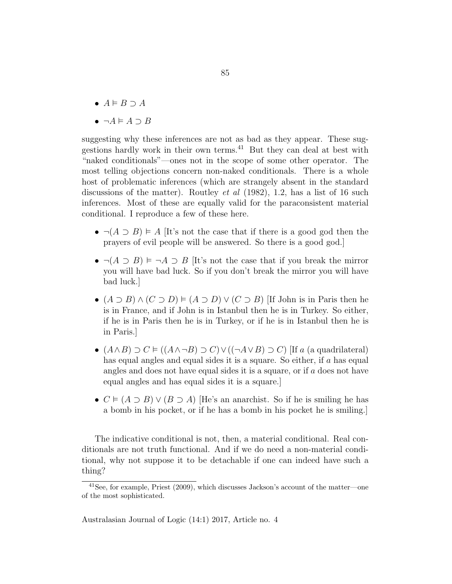- $A \models B \supset A$
- $\neg A \models A \supset B$

suggesting why these inferences are not as bad as they appear. These suggestions hardly work in their own terms.<sup>41</sup> But they can deal at best with "naked conditionals"—ones not in the scope of some other operator. The most telling objections concern non-naked conditionals. There is a whole host of problematic inferences (which are strangely absent in the standard discussions of the matter). Routley *et al* (1982), 1.2, has a list of 16 such inferences. Most of these are equally valid for the paraconsistent material conditional. I reproduce a few of these here.

- $\neg(A \supset B) \models A$  [It's not the case that if there is a good god then the prayers of evil people will be answered. So there is a good god.]
- $\neg(A \supset B) \models \neg A \supset B$  [It's not the case that if you break the mirror you will have bad luck. So if you don't break the mirror you will have bad luck.]
- $(A \supset B) \wedge (C \supset D) \models (A \supset D) \vee (C \supset B)$  [If John is in Paris then he is in France, and if John is in Istanbul then he is in Turkey. So either, if he is in Paris then he is in Turkey, or if he is in Istanbul then he is in Paris.]
- $(A \wedge B) \supset C \models ((A \wedge \neg B) \supset C) \vee ((\neg A \vee B) \supset C)$  [If a (a quadrilateral) has equal angles and equal sides it is a square. So either, if a has equal angles and does not have equal sides it is a square, or if a does not have equal angles and has equal sides it is a square.]
- $C \vDash (A \supset B) \vee (B \supset A)$  [He's an anarchist. So if he is smiling he has a bomb in his pocket, or if he has a bomb in his pocket he is smiling.]

The indicative conditional is not, then, a material conditional. Real conditionals are not truth functional. And if we do need a non-material conditional, why not suppose it to be detachable if one can indeed have such a thing?

<sup>41</sup>See, for example, Priest (2009), which discusses Jackson's account of the matter—one of the most sophisticated.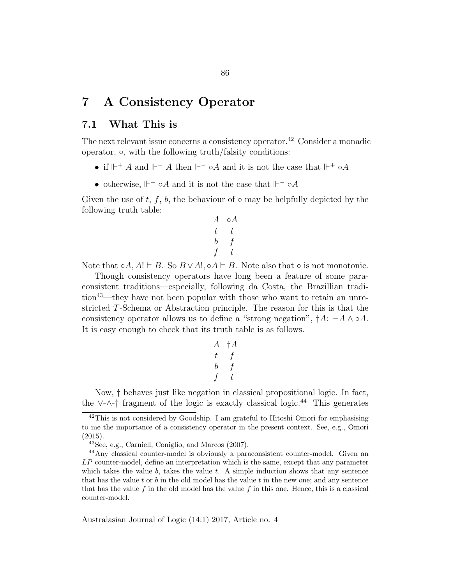# 7 A Consistency Operator

# 7.1 What This is

The next relevant issue concerns a consistency operator.<sup>42</sup> Consider a monadic operator, ◦, with the following truth/falsity conditions:

- if  $\mathbb{H}^+ A$  and  $\mathbb{H}^- A$  then  $\mathbb{H}^- \circ A$  and it is not the case that  $\mathbb{H}^+ \circ A$
- otherwise,  $\mathbb{H}^+ \circ A$  and it is not the case that  $\mathbb{H}^- \circ A$

Given the use of t, f, b, the behaviour of  $\circ$  may be helpfully depicted by the following truth table:

$$
\begin{array}{c|c}\nA & \circ A \\
\hline\nt & t \\
b & f \\
f & t\n\end{array}
$$

Note that  $\circ A, A! \vDash B$ . So  $B \vee A!, \circ A \vDash B$ . Note also that  $\circ$  is not monotonic.

Though consistency operators have long been a feature of some paraconsistent traditions—especially, following da Costa, the Brazillian tradition<sup>43</sup>—they have not been popular with those who want to retain an unrestricted T-Schema or Abstraction principle. The reason for this is that the consistency operator allows us to define a "strong negation",  $\dagger A: \neg A \wedge \circ A$ . It is easy enough to check that its truth table is as follows.

$$
\begin{array}{c|c}\nA & \dagger A \\
\hline\nt & f \\
b & f \\
f & t\n\end{array}
$$

Now, † behaves just like negation in classical propositional logic. In fact, the ∨-∧-† fragment of the logic is exactly classical logic.<sup>44</sup> This generates

 $\frac{42}{10}$  This is not considered by Goodship. I am grateful to Hitoshi Omori for emphasising to me the importance of a consistency operator in the present context. See, e.g., Omori (2015).

<sup>43</sup>See, e.g., Carniell, Coniglio, and Marcos (2007).

<sup>44</sup>Any classical counter-model is obviously a paraconsistent counter-model. Given an  $LP$  counter-model, define an interpretation which is the same, except that any parameter which takes the value  $b$ , takes the value  $t$ . A simple induction shows that any sentence that has the value t or b in the old model has the value t in the new one; and any sentence that has the value f in the old model has the value f in this one. Hence, this is a classical counter-model.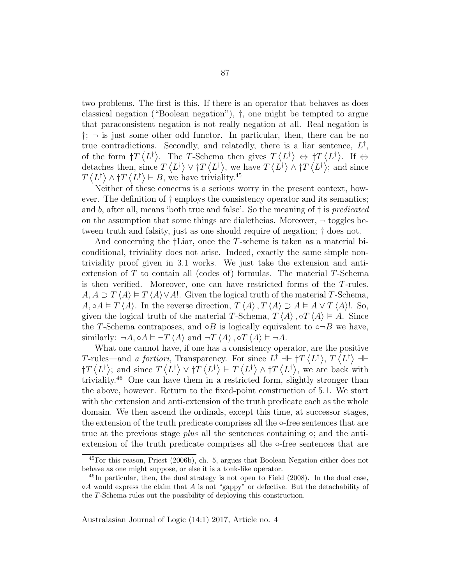two problems. The first is this. If there is an operator that behaves as does classical negation ("Boolean negation"), †, one might be tempted to argue that paraconsistent negation is not really negation at all. Real negation is  $\dagger$ ;  $\neg$  is just some other odd functor. In particular, then, there can be no true contradictions. Secondly, and relatedly, there is a liar sentence,  $L^{\dagger}$ , of the form  $\dagger T \langle L^{\dagger} \rangle$ . The T-Schema then gives  $T \langle L^{\dagger} \rangle \Leftrightarrow \dagger T \langle L^{\dagger} \rangle$ . If  $\Leftrightarrow$ detaches then, since  $T \langle L^{\dagger} \rangle \vee \dagger T \langle L^{\dagger} \rangle$ , we have  $T \langle L^{\dagger} \rangle \wedge \dagger T \langle L^{\dagger} \rangle$ ; and since  $T \langle L^{\dagger} \rangle \wedge \dagger T \langle L^{\dagger} \rangle \vdash B$ , we have triviality.<sup>45</sup>

Neither of these concerns is a serious worry in the present context, however. The definition of † employs the consistency operator and its semantics; and b, after all, means 'both true and false'. So the meaning of  $\dagger$  is predicated on the assumption that some things are dialetheias. Moreover,  $\neg$  toggles between truth and falsity, just as one should require of negation; † does not.

And concerning the †Liar, once the T-scheme is taken as a material biconditional, triviality does not arise. Indeed, exactly the same simple nontriviality proof given in 3.1 works. We just take the extension and antiextension of  $T$  to contain all (codes of) formulas. The material  $T$ -Schema is then verified. Moreover, one can have restricted forms of the T-rules.  $A, A \supset T \langle A \rangle \models T \langle A \rangle \vee A!$ . Given the logical truth of the material T-Schema,  $A, \circ A \vDash T \langle A \rangle$ . In the reverse direction,  $T \langle A \rangle$ ,  $T \langle A \rangle \supset A \vDash A \vee T \langle A \rangle!$ . So, given the logical truth of the material T-Schema,  $T \langle A \rangle$ , ∘ $T \langle A \rangle \models A$ . Since the T-Schema contraposes, and  $\circ B$  is logically equivalent to  $\circ \neg B$  we have, similarly:  $\neg A, \circ A \models \neg T \langle A \rangle$  and  $\neg T \langle A \rangle$ ,  $\circ T \langle A \rangle \models \neg A$ .

What one cannot have, if one has a consistency operator, are the positive T-rules—and a fortiori, Transparency. For since  $L^{\dagger}$  +  $\dagger T \langle L^{\dagger} \rangle$ ,  $T \langle L^{\dagger} \rangle$  +  $\{\overline{T}\langle L^{\dagger}\rangle\}$ ; and since  $T\langle L^{\dagger}\rangle \vee \{\overline{T}\langle L^{\dagger}\rangle + \overline{T}\langle L^{\dagger}\rangle \wedge \{\overline{T}\langle L^{\dagger}\rangle\}$ , we are back with triviality.<sup>46</sup> One can have them in a restricted form, slightly stronger than the above, however. Return to the fixed-point construction of 5.1. We start with the extension and anti-extension of the truth predicate each as the whole domain. We then ascend the ordinals, except this time, at successor stages, the extension of the truth predicate comprises all the ◦-free sentences that are true at the previous stage *plus* all the sentences containing  $\circ$ ; and the antiextension of the truth predicate comprises all the ◦-free sentences that are

<sup>45</sup>For this reason, Priest (2006b), ch. 5, argues that Boolean Negation either does not behave as one might suppose, or else it is a tonk-like operator.

 $^{46}$ In particular, then, the dual strategy is not open to Field (2008). In the dual case,  $\circ A$  would express the claim that A is not "gappy" or defective. But the detachability of the T-Schema rules out the possibility of deploying this construction.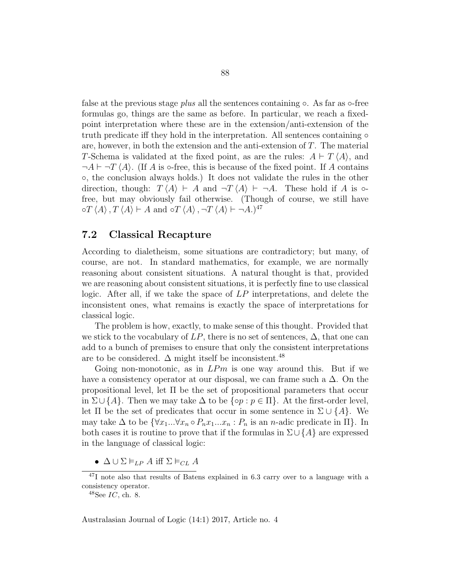false at the previous stage *plus* all the sentences containing  $\circ$ . As far as  $\circ$ -free formulas go, things are the same as before. In particular, we reach a fixedpoint interpretation where these are in the extension/anti-extension of the truth predicate iff they hold in the interpretation. All sentences containing  $\circ$ are, however, in both the extension and the anti-extension of  $T$ . The material T-Schema is validated at the fixed point, as are the rules:  $A \vdash T \langle A \rangle$ , and  $\neg A \vdash \neg T \langle A \rangle$ . (If A is  $\circ$ -free, this is because of the fixed point. If A contains ◦, the conclusion always holds.) It does not validate the rules in the other direction, though:  $T \langle A \rangle \vdash A$  and  $\neg T \langle A \rangle \vdash \neg A$ . These hold if A is  $\circ$ free, but may obviously fail otherwise. (Though of course, we still have  $\circ T \langle A \rangle$ ,  $T \langle A \rangle \vdash A$  and  $\circ T \langle A \rangle$ ,  $\neg T \langle A \rangle \vdash \neg A.$ <sup>47</sup>

### 7.2 Classical Recapture

According to dialetheism, some situations are contradictory; but many, of course, are not. In standard mathematics, for example, we are normally reasoning about consistent situations. A natural thought is that, provided we are reasoning about consistent situations, it is perfectly fine to use classical logic. After all, if we take the space of LP interpretations, and delete the inconsistent ones, what remains is exactly the space of interpretations for classical logic.

The problem is how, exactly, to make sense of this thought. Provided that we stick to the vocabulary of  $LP$ , there is no set of sentences,  $\Delta$ , that one can add to a bunch of premises to ensure that only the consistent interpretations are to be considered.  $\Delta$  might itself be inconsistent.<sup>48</sup>

Going non-monotonic, as in  $L P m$  is one way around this. But if we have a consistency operator at our disposal, we can frame such a  $\Delta$ . On the propositional level, let  $\Pi$  be the set of propositional parameters that occur in  $\Sigma \cup \{A\}$ . Then we may take  $\Delta$  to be  $\{\circ p : p \in \Pi\}$ . At the first-order level, let  $\Pi$  be the set of predicates that occur in some sentence in  $\Sigma \cup \{A\}$ . We may take  $\Delta$  to be  $\{\forall x_1...\forall x_n \circ P_n x_1...x_n : P_n$  is an *n*-adic predicate in  $\Pi\}$ . In both cases it is routine to prove that if the formulas in  $\Sigma \cup \{A\}$  are expressed in the language of classical logic:

•  $\Delta \cup \Sigma \vDash_{LP} A$  iff  $\Sigma \vDash_{CL} A$ 

<sup>47</sup>I note also that results of Batens explained in 6.3 carry over to a language with a consistency operator.

 $48$ See  $IC$ , ch. 8.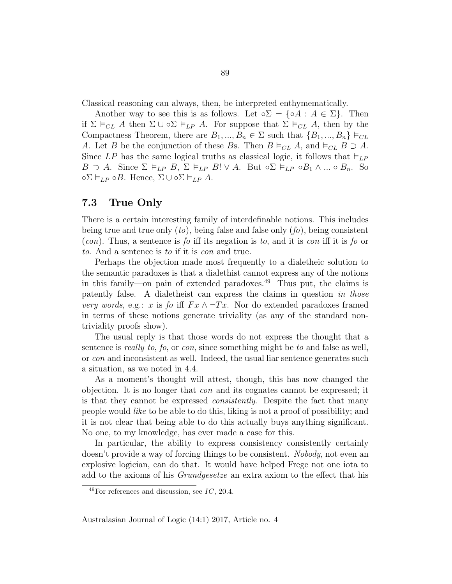Classical reasoning can always, then, be interpreted enthymematically.

Another way to see this is as follows. Let  $\circ \Sigma = {\circ A : A \in \Sigma}$ . Then if  $\Sigma \vDash_{CL} A$  then  $\Sigma \cup \circ \Sigma \vDash_{LP} A$ . For suppose that  $\Sigma \vDash_{CL} A$ , then by the Compactness Theorem, there are  $B_1, ..., B_n \in \Sigma$  such that  $\{B_1, ..., B_n\} \models_{CL}$ A. Let B be the conjunction of these Bs. Then  $B \vDash_{CL} A$ , and  $\vDash_{CL} B \supset A$ . Since LP has the same logical truths as classical logic, it follows that  $\models_{LP}$ B ⊃ A. Since  $\Sigma \vDash_{LP} B$ ,  $\Sigma \vDash_{LP} B! \vee A$ . But  $\circ \Sigma \vDash_{LP} \circ B_1 \wedge ... \circ B_n$ . So  $\circ \Sigma \vDash_{LP} \circ B$ . Hence,  $\Sigma \cup \circ \Sigma \vDash_{LP} A$ .

### 7.3 True Only

There is a certain interesting family of interdefinable notions. This includes being true and true only  $(to)$ , being false and false only  $(fo)$ , being consistent  $(con)$ . Thus, a sentence is fo iff its negation is to, and it is con iff it is fo or to. And a sentence is to if it is con and true.

Perhaps the objection made most frequently to a dialetheic solution to the semantic paradoxes is that a dialethist cannot express any of the notions in this family—on pain of extended paradoxes.<sup>49</sup> Thus put, the claims is patently false. A dialetheist can express the claims in question in those very words, e.g.: x is fo iff  $Fx \wedge \neg Tx$ . Nor do extended paradoxes framed in terms of these notions generate triviality (as any of the standard nontriviality proofs show).

The usual reply is that those words do not express the thought that a sentence is really to, fo, or con, since something might be to and false as well, or con and inconsistent as well. Indeed, the usual liar sentence generates such a situation, as we noted in 4.4.

As a moment's thought will attest, though, this has now changed the objection. It is no longer that con and its cognates cannot be expressed; it is that they cannot be expressed *consistently*. Despite the fact that many people would like to be able to do this, liking is not a proof of possibility; and it is not clear that being able to do this actually buys anything significant. No one, to my knowledge, has ever made a case for this.

In particular, the ability to express consistency consistently certainly doesn't provide a way of forcing things to be consistent. Nobody, not even an explosive logician, can do that. It would have helped Frege not one iota to add to the axioms of his Grundgesetze an extra axiom to the effect that his

 $^{49}$ For references and discussion, see IC, 20.4.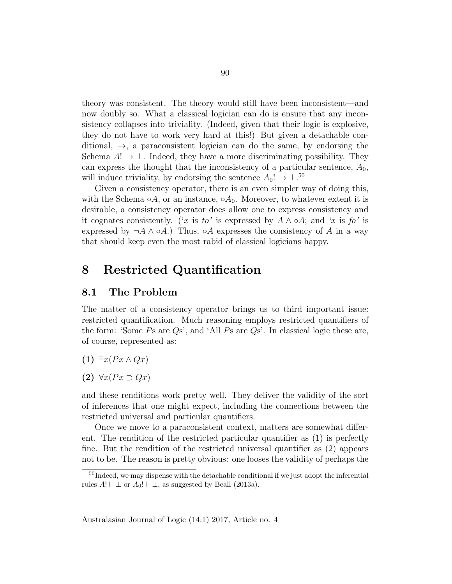theory was consistent. The theory would still have been inconsistent—and now doubly so. What a classical logician can do is ensure that any inconsistency collapses into triviality. (Indeed, given that their logic is explosive, they do not have to work very hard at this!) But given a detachable conditional,  $\rightarrow$ , a paraconsistent logician can do the same, by endorsing the Schema  $A! \rightarrow \perp$ . Indeed, they have a more discriminating possibility. They can express the thought that the inconsistency of a particular sentence,  $A_0$ , will induce triviality, by endorsing the sentence  $A_0! \rightarrow \perp^{50}$ 

Given a consistency operator, there is an even simpler way of doing this, with the Schema  $\circ A$ , or an instance,  $\circ A_0$ . Moreover, to whatever extent it is desirable, a consistency operator does allow one to express consistency and it cognates consistently. ('x is to' is expressed by  $A \wedge \circ A$ ; and 'x is fo' is expressed by  $\neg A \wedge \circ A$ .) Thus,  $\circ A$  expresses the consistency of A in a way that should keep even the most rabid of classical logicians happy.

## 8 Restricted Quantification

#### 8.1 The Problem

The matter of a consistency operator brings us to third important issue: restricted quantification. Much reasoning employs restricted quantifiers of the form: 'Some Ps are Qs', and 'All Ps are Qs'. In classical logic these are, of course, represented as:

$$
(1) \ \exists x (Px \land Qx)
$$

(2)  $\forall x (Px \supset Qx)$ 

and these renditions work pretty well. They deliver the validity of the sort of inferences that one might expect, including the connections between the restricted universal and particular quantifiers.

Once we move to a paraconsistent context, matters are somewhat different. The rendition of the restricted particular quantifier as (1) is perfectly fine. But the rendition of the restricted universal quantifier as (2) appears not to be. The reason is pretty obvious: one looses the validity of perhaps the

<sup>&</sup>lt;sup>50</sup>Indeed, we may dispense with the detachable conditional if we just adopt the inferential rules  $A! \vdash \bot$  or  $A_0! \vdash \bot$ , as suggested by Beall (2013a).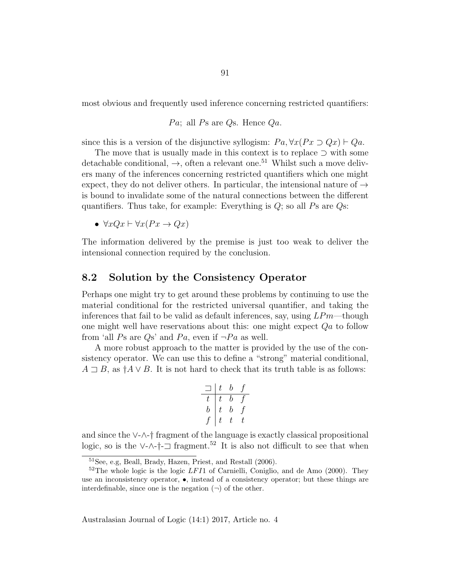most obvious and frequently used inference concerning restricted quantifiers:

Pa; all Ps are Qs. Hence  $Qa$ .

since this is a version of the disjunctive syllogism:  $Pa, \forall x (Px \supset Qx) \vdash Qa$ .

The move that is usually made in this context is to replace ⊃ with some detachable conditional,  $\rightarrow$ , often a relevant one.<sup>51</sup> Whilst such a move delivers many of the inferences concerning restricted quantifiers which one might expect, they do not deliver others. In particular, the intensional nature of  $\rightarrow$ is bound to invalidate some of the natural connections between the different quantifiers. Thus take, for example: Everything is  $Q$ ; so all  $Ps$  are  $Qs$ :

•  $\forall x Qx \vdash \forall x (Px \rightarrow Qx)$ 

The information delivered by the premise is just too weak to deliver the intensional connection required by the conclusion.

### 8.2 Solution by the Consistency Operator

Perhaps one might try to get around these problems by continuing to use the material conditional for the restricted universal quantifier, and taking the inferences that fail to be valid as default inferences, say, using  $LPm$ —though one might well have reservations about this: one might expect  $Qa$  to follow from 'all Ps are Qs' and Pa, even if  $\neg Pa$  as well.

A more robust approach to the matter is provided by the use of the consistency operator. We can use this to define a "strong" material conditional,  $A \supseteq B$ , as  $\dagger A \vee B$ . It is not hard to check that its truth table is as follows:

$$
\begin{array}{c|cc} \hline \hline \hline t & t & b & f \\ \hline t & t & b & f \\ b & t & b & f \\ f & t & t & t \end{array}
$$

and since the ∨-∧-† fragment of the language is exactly classical propositional logic, so is the ∨-∧-†- $\Box$  fragment.<sup>52</sup> It is also not difficult to see that when

<sup>51</sup>See, e.g, Beall, Brady, Hazen, Priest, and Restall (2006).

 $52$ The whole logic is the logic LFI1 of Carnielli, Coniglio, and de Amo (2000). They use an inconsistency operator,  $\bullet$ , instead of a consistency operator; but these things are interdefinable, since one is the negation  $(\neg)$  of the other.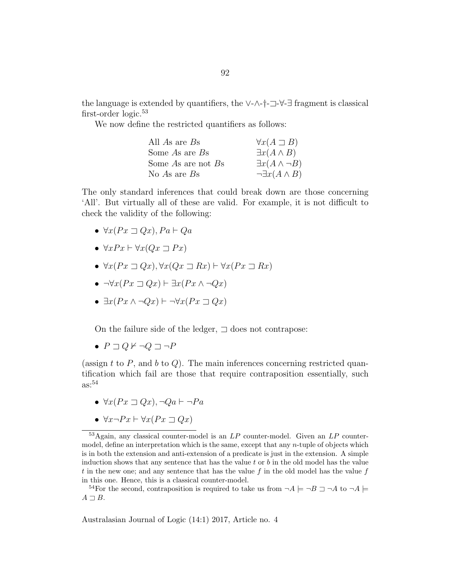the language is extended by quantifiers, the  $\vee$ - $\wedge$ - $\dagger$ - $\Box$ - $\forall$ - $\exists$  fragment is classical first-order logic.<sup>53</sup>

We now define the restricted quantifiers as follows:

| All As are Bs      | $\forall x(A \sqsupset B)$    |
|--------------------|-------------------------------|
| Some $As$ are $Bs$ | $\exists x(A \wedge B)$       |
| Some As are not Bs | $\exists x(A \wedge \neg B)$  |
| No As are $Bs$     | $\neg \exists x (A \wedge B)$ |

The only standard inferences that could break down are those concerning 'All'. But virtually all of these are valid. For example, it is not difficult to check the validity of the following:

- $\forall x (Px \sqsupset Qx), Pa \vdash Qa$
- $\forall x Px \vdash \forall x (Qx \sqsupset Px)$
- $\forall x (Px \sqsupset Qx), \forall x (Qx \sqsupset Rx) \vdash \forall x (Px \sqsupset Rx)$
- $\neg\forall x (Px \sqsupset Qx) \vdash \exists x (Px \land \neg Qx)$
- $\exists x (Px \land \neg Qx) \vdash \neg \forall x (Px \sqsupset Qx)$

On the failure side of the ledger,  $\exists$  does not contrapose:

 $\bullet$   $P \sqsupset Q \nvdash \neg Q \sqsupset \neg P$ 

(assign t to  $P$ , and  $b$  to  $Q$ ). The main inferences concerning restricted quantification which fail are those that require contraposition essentially, such  $\text{as}:$ <sup>54</sup>

- $\forall x (Px \sqsupset Qx), \neg Qa \vdash \neg Pa$
- $\forall x \neg Px \vdash \forall x (Px \sqsupset Qx)$

 $53$ Again, any classical counter-model is an  $LP$  counter-model. Given an  $LP$  countermodel, define an interpretation which is the same, except that any *n*-tuple of objects which is in both the extension and anti-extension of a predicate is just in the extension. A simple induction shows that any sentence that has the value  $t$  or  $b$  in the old model has the value t in the new one; and any sentence that has the value f in the old model has the value f in this one. Hence, this is a classical counter-model.

<sup>54</sup>For the second, contraposition is required to take us from  $\neg A \models \neg B \sqsupset \neg A$  to  $\neg A \models$  $A \sqsupset B$ .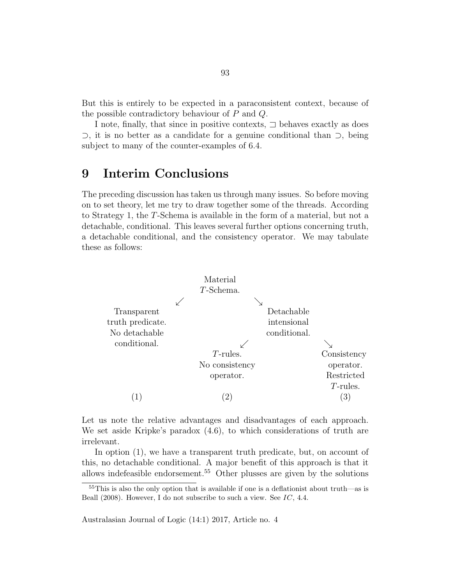But this is entirely to be expected in a paraconsistent context, because of the possible contradictory behaviour of P and Q.

I note, finally, that since in positive contexts,  $\Box$  behaves exactly as does ⊃, it is no better as a candidate for a genuine conditional than ⊃, being subject to many of the counter-examples of 6.4.

# 9 Interim Conclusions

The preceding discussion has taken us through many issues. So before moving on to set theory, let me try to draw together some of the threads. According to Strategy 1, the T-Schema is available in the form of a material, but not a detachable, conditional. This leaves several further options concerning truth, a detachable conditional, and the consistency operator. We may tabulate these as follows:



Let us note the relative advantages and disadvantages of each approach. We set aside Kripke's paradox (4.6), to which considerations of truth are irrelevant.

In option (1), we have a transparent truth predicate, but, on account of this, no detachable conditional. A major benefit of this approach is that it allows indefeasible endorsement.<sup>55</sup> Other plusses are given by the solutions

<sup>55</sup>This is also the only option that is available if one is a deflationist about truth—as is Beall  $(2008)$ . However, I do not subscribe to such a view. See IC, 4.4.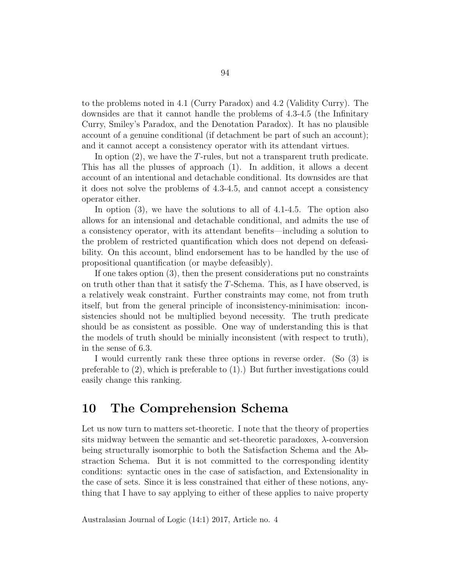to the problems noted in 4.1 (Curry Paradox) and 4.2 (Validity Curry). The downsides are that it cannot handle the problems of 4.3-4.5 (the Infinitary Curry, Smiley's Paradox, and the Denotation Paradox). It has no plausible account of a genuine conditional (if detachment be part of such an account); and it cannot accept a consistency operator with its attendant virtues.

In option (2), we have the T-rules, but not a transparent truth predicate. This has all the plusses of approach (1). In addition, it allows a decent account of an intentional and detachable conditional. Its downsides are that it does not solve the problems of 4.3-4.5, and cannot accept a consistency operator either.

In option (3), we have the solutions to all of 4.1-4.5. The option also allows for an intensional and detachable conditional, and admits the use of a consistency operator, with its attendant benefits—including a solution to the problem of restricted quantification which does not depend on defeasibility. On this account, blind endorsement has to be handled by the use of propositional quantification (or maybe defeasibly).

If one takes option (3), then the present considerations put no constraints on truth other than that it satisfy the T-Schema. This, as I have observed, is a relatively weak constraint. Further constraints may come, not from truth itself, but from the general principle of inconsistency-minimisation: inconsistencies should not be multiplied beyond necessity. The truth predicate should be as consistent as possible. One way of understanding this is that the models of truth should be minially inconsistent (with respect to truth), in the sense of 6.3.

I would currently rank these three options in reverse order. (So (3) is preferable to (2), which is preferable to (1).) But further investigations could easily change this ranking.

## 10 The Comprehension Schema

Let us now turn to matters set-theoretic. I note that the theory of properties sits midway between the semantic and set-theoretic paradoxes, λ-conversion being structurally isomorphic to both the Satisfaction Schema and the Abstraction Schema. But it is not committed to the corresponding identity conditions: syntactic ones in the case of satisfaction, and Extensionality in the case of sets. Since it is less constrained that either of these notions, anything that I have to say applying to either of these applies to naive property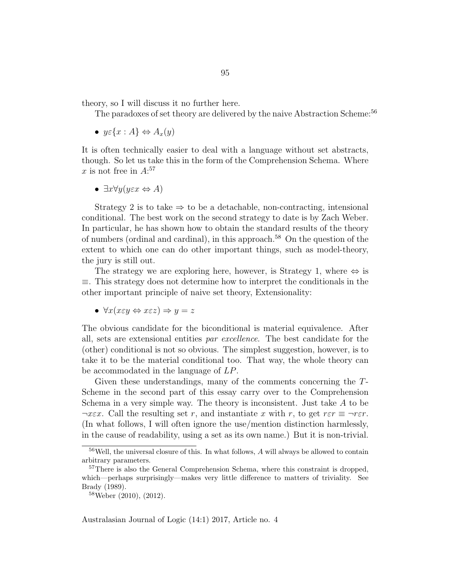theory, so I will discuss it no further here.

The paradoxes of set theory are delivered by the naive Abstraction Scheme:<sup>56</sup>

•  $y \in \{x : A\} \Leftrightarrow A_x(y)$ 

It is often technically easier to deal with a language without set abstracts, though. So let us take this in the form of the Comprehension Schema. Where x is not free in  $A$ :<sup>57</sup>

•  $\exists x \forall y (y \in x \Leftrightarrow A)$ 

Strategy 2 is to take  $\Rightarrow$  to be a detachable, non-contracting, intensional conditional. The best work on the second strategy to date is by Zach Weber. In particular, he has shown how to obtain the standard results of the theory of numbers (ordinal and cardinal), in this approach.<sup>58</sup> On the question of the extent to which one can do other important things, such as model-theory, the jury is still out.

The strategy we are exploring here, however, is Strategy 1, where  $\Leftrightarrow$  is ≡. This strategy does not determine how to interpret the conditionals in the other important principle of naive set theory, Extensionality:

•  $\forall x (x \in \mathcal{U} \Leftrightarrow x \in \mathcal{Z}) \Rightarrow y = z$ 

The obvious candidate for the biconditional is material equivalence. After all, sets are extensional entities par excellence. The best candidate for the (other) conditional is not so obvious. The simplest suggestion, however, is to take it to be the material conditional too. That way, the whole theory can be accommodated in the language of LP.

Given these understandings, many of the comments concerning the T-Scheme in the second part of this essay carry over to the Comprehension Schema in a very simple way. The theory is inconsistent. Just take A to be  $\neg x \in \mathcal{X}$ . Call the resulting set r, and instantiate x with r, to get  $r \in \neg r \in \mathcal{X}$ . (In what follows, I will often ignore the use/mention distinction harmlessly, in the cause of readability, using a set as its own name.) But it is non-trivial.

<sup>56</sup>Well, the universal closure of this. In what follows, A will always be allowed to contain arbitrary parameters.

<sup>&</sup>lt;sup>57</sup>There is also the General Comprehension Schema, where this constraint is dropped, which—perhaps surprisingly—makes very little difference to matters of triviality. See Brady (1989).

<sup>58</sup>Weber (2010), (2012).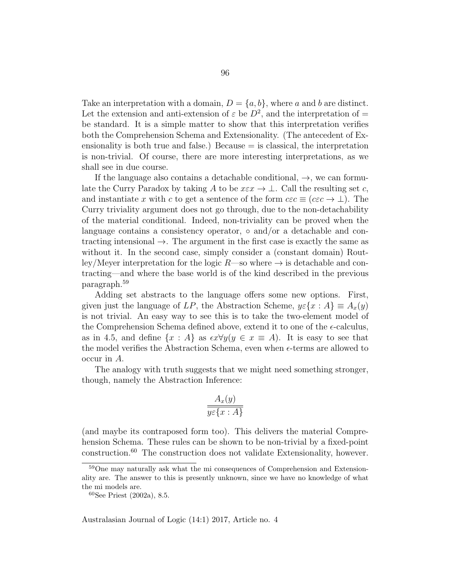Take an interpretation with a domain,  $D = \{a, b\}$ , where a and b are distinct. Let the extension and anti-extension of  $\varepsilon$  be  $D^2$ , and the interpretation of = be standard. It is a simple matter to show that this interpretation verifies both the Comprehension Schema and Extensionality. (The antecedent of Exensionality is both true and false.) Because  $=$  is classical, the interpretation is non-trivial. Of course, there are more interesting interpretations, as we shall see in due course.

If the language also contains a detachable conditional,  $\rightarrow$ , we can formulate the Curry Paradox by taking A to be  $x \in \mathcal{X} \to \bot$ . Call the resulting set c, and instantiate x with c to get a sentence of the form  $c\epsilon c \equiv (c\epsilon c \rightarrow \bot)$ . The Curry triviality argument does not go through, due to the non-detachability of the material conditional. Indeed, non-triviality can be proved when the language contains a consistency operator,  $\circ$  and/or a detachable and contracting intensional  $\rightarrow$ . The argument in the first case is exactly the same as without it. In the second case, simply consider a (constant domain) Routley/Meyer interpretation for the logic  $R$ —so where  $\rightarrow$  is detachable and contracting—and where the base world is of the kind described in the previous paragraph.<sup>59</sup>

Adding set abstracts to the language offers some new options. First, given just the language of LP, the Abstraction Scheme,  $y \in \{x : A\} \equiv A_x(y)$ is not trivial. An easy way to see this is to take the two-element model of the Comprehension Schema defined above, extend it to one of the  $\epsilon$ -calculus, as in 4.5, and define  $\{x : A\}$  as  $\epsilon x \forall y (y \in x \equiv A)$ . It is easy to see that the model verifies the Abstraction Schema, even when  $\epsilon$ -terms are allowed to occur in A.

The analogy with truth suggests that we might need something stronger, though, namely the Abstraction Inference:

$$
\frac{A_x(y)}{y \in \{x \, : \, A\}}
$$

(and maybe its contraposed form too). This delivers the material Comprehension Schema. These rules can be shown to be non-trivial by a fixed-point construction.<sup>60</sup> The construction does not validate Extensionality, however.

<sup>59</sup>One may naturally ask what the mi consequences of Comprehension and Extensionality are. The answer to this is presently unknown, since we have no knowledge of what the mi models are.

 $60$ See Priest (2002a), 8.5.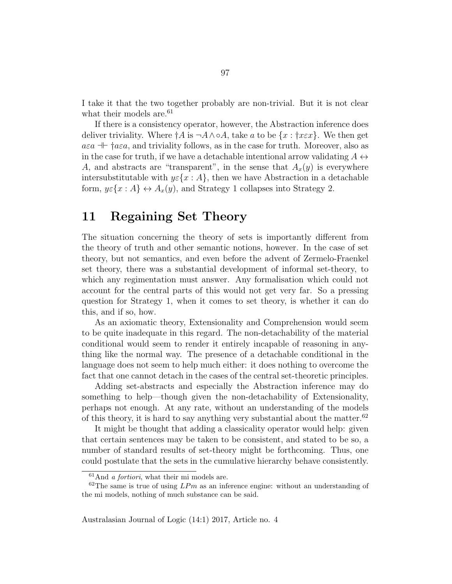I take it that the two together probably are non-trivial. But it is not clear what their models are.<sup>61</sup>

If there is a consistency operator, however, the Abstraction inference does deliver triviality. Where  $\dagger A$  is  $\neg A \wedge \neg A$ , take a to be  $\{x : \dagger x \in x\}$ . We then get  $a \in \mathbb{R}^+$  †a $\varepsilon a$ , and triviality follows, as in the case for truth. Moreover, also as in the case for truth, if we have a detachable intentional arrow validating  $A \leftrightarrow$ A, and abstracts are "transparent", in the sense that  $A_x(y)$  is everywhere intersubstitutable with  $y \in \{x : A\}$ , then we have Abstraction in a detachable form,  $y \in \{x : A\} \leftrightarrow A_x(y)$ , and Strategy 1 collapses into Strategy 2.

# 11 Regaining Set Theory

The situation concerning the theory of sets is importantly different from the theory of truth and other semantic notions, however. In the case of set theory, but not semantics, and even before the advent of Zermelo-Fraenkel set theory, there was a substantial development of informal set-theory, to which any regimentation must answer. Any formalisation which could not account for the central parts of this would not get very far. So a pressing question for Strategy 1, when it comes to set theory, is whether it can do this, and if so, how.

As an axiomatic theory, Extensionality and Comprehension would seem to be quite inadequate in this regard. The non-detachability of the material conditional would seem to render it entirely incapable of reasoning in anything like the normal way. The presence of a detachable conditional in the language does not seem to help much either: it does nothing to overcome the fact that one cannot detach in the cases of the central set-theoretic principles.

Adding set-abstracts and especially the Abstraction inference may do something to help—though given the non-detachability of Extensionality, perhaps not enough. At any rate, without an understanding of the models of this theory, it is hard to say anything very substantial about the matter.<sup>62</sup>

It might be thought that adding a classicality operator would help: given that certain sentences may be taken to be consistent, and stated to be so, a number of standard results of set-theory might be forthcoming. Thus, one could postulate that the sets in the cumulative hierarchy behave consistently.

 $61$ And *a fortiori*, what their mi models are.

 $62$ The same is true of using  $LPm$  as an inference engine: without an understanding of the mi models, nothing of much substance can be said.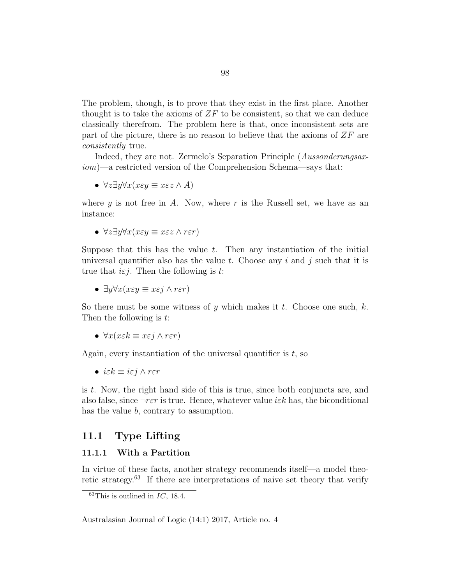The problem, though, is to prove that they exist in the first place. Another thought is to take the axioms of  $ZF$  to be consistent, so that we can deduce classically therefrom. The problem here is that, once inconsistent sets are part of the picture, there is no reason to believe that the axioms of  $ZF$  are consistently true.

Indeed, they are not. Zermelo's Separation Principle (Aussonderungsaxiom)—a restricted version of the Comprehension Schema—says that:

•  $\forall z \exists y \forall x (x \in y \equiv x \in z \land A)$ 

where  $y$  is not free in A. Now, where  $r$  is the Russell set, we have as an instance:

•  $\forall z \exists y \forall x (x \in y \equiv x \in z \land r \in r)$ 

Suppose that this has the value  $t$ . Then any instantiation of the initial universal quantifier also has the value t. Choose any i and j such that it is true that  $i \in j$ . Then the following is t:

•  $\exists y \forall x (x \in y \equiv x \in j \land r \in r)$ 

So there must be some witness of y which makes it t. Choose one such, k. Then the following is t:

•  $\forall x(x \in k \equiv x \in j \land r \in r)$ 

Again, every instantiation of the universal quantifier is  $t$ , so

• iε $k \equiv i \varepsilon j \wedge r \varepsilon r$ 

is t. Now, the right hand side of this is true, since both conjuncts are, and also false, since  $\neg r \varepsilon r$  is true. Hence, whatever value i $\varepsilon k$  has, the biconditional has the value b, contrary to assumption.

### 11.1 Type Lifting

#### 11.1.1 With a Partition

In virtue of these facts, another strategy recommends itself—a model theoretic strategy.<sup>63</sup> If there are interpretations of naive set theory that verify

 $63$ This is outlined in IC, 18.4.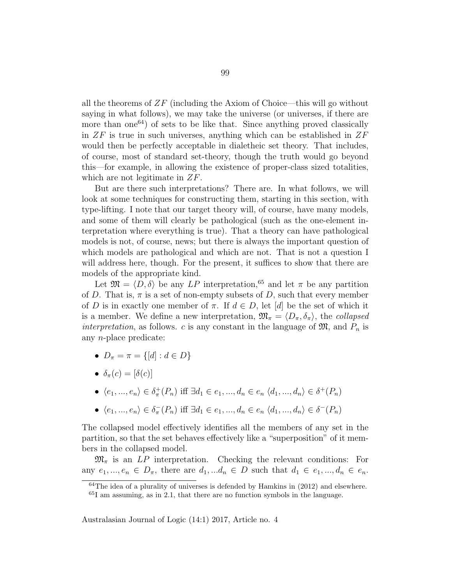all the theorems of  $ZF$  (including the Axiom of Choice—this will go without saying in what follows), we may take the universe (or universes, if there are more than one<sup>64</sup>) of sets to be like that. Since anything proved classically in  $ZF$  is true in such universes, anything which can be established in  $ZF$ would then be perfectly acceptable in dialetheic set theory. That includes, of course, most of standard set-theory, though the truth would go beyond this—for example, in allowing the existence of proper-class sized totalities, which are not legitimate in ZF.

But are there such interpretations? There are. In what follows, we will look at some techniques for constructing them, starting in this section, with type-lifting. I note that our target theory will, of course, have many models, and some of them will clearly be pathological (such as the one-element interpretation where everything is true). That a theory can have pathological models is not, of course, news; but there is always the important question of which models are pathological and which are not. That is not a question I will address here, though. For the present, it suffices to show that there are models of the appropriate kind.

Let  $\mathfrak{M} = \langle D, \delta \rangle$  be any LP interpretation,<sup>65</sup> and let  $\pi$  be any partition of D. That is,  $\pi$  is a set of non-empty subsets of D, such that every member of D is in exactly one member of  $\pi$ . If  $d \in D$ , let  $[d]$  be the set of which it is a member. We define a new interpretation,  $\mathfrak{M}_{\pi} = \langle D_{\pi}, \delta_{\pi} \rangle$ , the collapsed interpretation, as follows. c is any constant in the language of  $\mathfrak{M}$ , and  $P_n$  is any n-place predicate:

- $D_{\pi} = \pi = \{[d] : d \in D\}$
- $\delta_{\pi}(c) = [\delta(c)]$
- $\langle e_1, ..., e_n \rangle \in \delta^+_{\pi}(P_n)$  iff  $\exists d_1 \in e_1, ..., d_n \in e_n \langle d_1, ..., d_n \rangle \in \delta^+(P_n)$
- $\langle e_1, ..., e_n \rangle \in \delta_{\pi}^{-}(P_n)$  iff  $\exists d_1 \in e_1, ..., d_n \in e_n \langle d_1, ..., d_n \rangle \in \delta^{-}(P_n)$

The collapsed model effectively identifies all the members of any set in the partition, so that the set behaves effectively like a "superposition" of it members in the collapsed model.

 $\mathfrak{M}_{\pi}$  is an LP interpretation. Checking the relevant conditions: For any  $e_1, ..., e_n \in D_\pi$ , there are  $d_1, ..., d_n \in D$  such that  $d_1 \in e_1, ..., d_n \in e_n$ .

 $64$ The idea of a plurality of universes is defended by Hamkins in  $(2012)$  and elsewhere. <sup>65</sup>I am assuming, as in 2.1, that there are no function symbols in the language.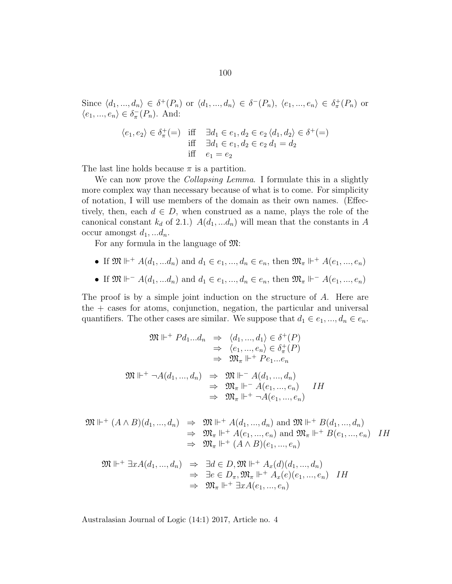Since  $\langle d_1, ..., d_n \rangle \in \delta^+(P_n)$  or  $\langle d_1, ..., d_n \rangle \in \delta^-(P_n)$ ,  $\langle e_1, ..., e_n \rangle \in \delta^+_n(P_n)$  or  $\langle e_1, ..., e_n \rangle \in \delta_{\pi}^{-}(P_n)$ . And:

$$
\langle e_1, e_2 \rangle \in \delta_{\pi}^+ (=) \quad \text{iff} \quad \exists d_1 \in e_1, d_2 \in e_2 \langle d_1, d_2 \rangle \in \delta^+ (=) \n\text{iff} \quad \exists d_1 \in e_1, d_2 \in e_2 \, d_1 = d_2 \n\text{iff} \quad e_1 = e_2
$$

The last line holds because  $\pi$  is a partition.

We can now prove the *Collapsing Lemma*. I formulate this in a slightly more complex way than necessary because of what is to come. For simplicity of notation, I will use members of the domain as their own names. (Effectively, then, each  $d \in D$ , when construed as a name, plays the role of the canonical constant  $k_d$  of 2.1.)  $A(d_1, ... d_n)$  will mean that the constants in A occur amongst  $d_1, \ldots, d_n$ .

For any formula in the language of M:

- If  $\mathfrak{M} \Vdash^+ A(d_1, ... d_n)$  and  $d_1 \in e_1, ..., d_n \in e_n$ , then  $\mathfrak{M}_{\pi} \Vdash^+ A(e_1, ..., e_n)$
- If  $\mathfrak{M} \Vdash \mathcal{A}(d_1, ... d_n)$  and  $d_1 \in e_1, ..., d_n \in e_n$ , then  $\mathfrak{M}_{\pi} \Vdash \mathcal{A}(e_1, ..., e_n)$

The proof is by a simple joint induction on the structure of A. Here are the + cases for atoms, conjunction, negation, the particular and universal quantifiers. The other cases are similar. We suppose that  $d_1 \in e_1, ..., d_n \in e_n$ .

$$
\mathfrak{M} \Vdash^{+} P d_{1}...d_{n} \Rightarrow \langle d_{1},...,d_{1} \rangle \in \delta^{+}(P)
$$
\n
$$
\Rightarrow \langle e_{1},...,e_{n} \rangle \in \delta_{\pi}^{+}(P)
$$
\n
$$
\Rightarrow \mathfrak{M}_{\pi} \Vdash^{+} P e_{1}...e_{n}
$$
\n
$$
\mathfrak{M} \Vdash^{+} \neg A(d_{1},...,d_{n}) \Rightarrow \mathfrak{M} \Vdash^{-} A(d_{1},...,d_{n})
$$
\n
$$
\Rightarrow \mathfrak{M}_{\pi} \Vdash^{-} A(e_{1},...,e_{n}) \quad IH
$$
\n
$$
\Rightarrow \mathfrak{M}_{\pi} \Vdash^{+} \neg A(e_{1},...,e_{n})
$$

$$
\mathfrak{M} \Vdash^+ (A \wedge B)(d_1, ..., d_n) \Rightarrow \mathfrak{M} \Vdash^+ A(d_1, ..., d_n) \text{ and } \mathfrak{M} \Vdash^+ B(d_1, ..., d_n)
$$
  
\n
$$
\Rightarrow \mathfrak{M}_{\pi} \Vdash^+ A(e_1, ..., e_n) \text{ and } \mathfrak{M}_{\pi} \Vdash^+ B(e_1, ..., e_n) \quad IH
$$
  
\n
$$
\Rightarrow \mathfrak{M}_{\pi} \Vdash^+ (A \wedge B)(e_1, ..., e_n)
$$

$$
\mathfrak{M} \Vdash^+ \exists x A(d_1, ..., d_n) \Rightarrow \exists d \in D, \mathfrak{M} \Vdash^+ A_x(d)(d_1, ..., d_n) \n\Rightarrow \exists e \in D_\pi, \mathfrak{M}_\pi \Vdash^+ A_x(e)(e_1, ..., e_n) \quad IH \n\Rightarrow \mathfrak{M}_\pi \Vdash^+ \exists x A(e_1, ..., e_n)
$$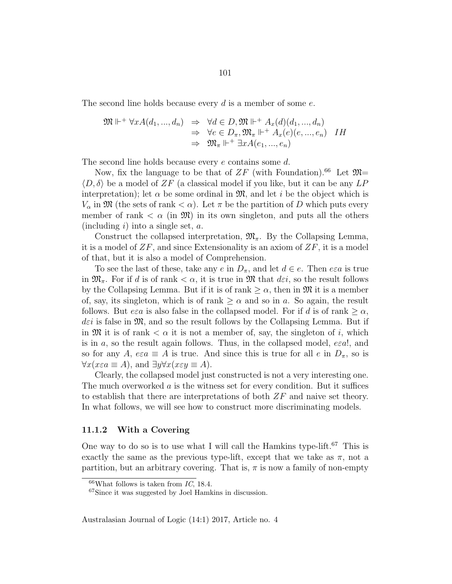The second line holds because every d is a member of some e.

$$
\mathfrak{M} \Vdash^+ \forall x A(d_1, ..., d_n) \Rightarrow \forall d \in D, \mathfrak{M} \Vdash^+ A_x(d)(d_1, ..., d_n) \n\Rightarrow \forall e \in D_\pi, \mathfrak{M}_\pi \Vdash^+ A_x(e)(e, ..., e_n) \quad IH \n\Rightarrow \mathfrak{M}_\pi \Vdash^+ \exists x A(e_1, ..., e_n)
$$

The second line holds because every e contains some d.

Now, fix the language to be that of  $ZF$  (with Foundation).<sup>66</sup> Let  $\mathfrak{M}$ =  $\langle D, \delta \rangle$  be a model of ZF (a classical model if you like, but it can be any LP interpretation); let  $\alpha$  be some ordinal in  $\mathfrak{M}$ , and let i be the object which is  $V_{\alpha}$  in M (the sets of rank  $\langle \alpha \rangle$ ). Let  $\pi$  be the partition of D which puts every member of rank  $\lt \alpha$  (in  $\mathfrak{M}$ ) in its own singleton, and puts all the others (including  $i$ ) into a single set,  $a$ .

Construct the collapsed interpretation,  $\mathfrak{M}_{\pi}$ . By the Collapsing Lemma, it is a model of  $ZF$ , and since Extensionality is an axiom of  $ZF$ , it is a model of that, but it is also a model of Comprehension.

To see the last of these, take any e in  $D_{\pi}$ , and let  $d \in e$ . Then  $e \in a$  is true in  $\mathfrak{M}_{\pi}$ . For if d is of rank  $\langle \alpha, \rangle$  it is true in  $\mathfrak{M}$  that  $d\varepsilon i$ , so the result follows by the Collapsing Lemma. But if it is of rank  $\geq \alpha$ , then in  $\mathfrak{M}$  it is a member of, say, its singleton, which is of rank  $\geq \alpha$  and so in a. So again, the result follows. But  $e \in a$  is also false in the collapsed model. For if d is of rank  $\geq \alpha$ ,  $d\varepsilon i$  is false in  $\mathfrak{M}$ , and so the result follows by the Collapsing Lemma. But if in  $\mathfrak{M}$  it is of rank  $\lt \alpha$  it is not a member of, say, the singleton of i, which is in a, so the result again follows. Thus, in the collapsed model,  $e\epsilon a!$ , and so for any A,  $e \in \mathcal{A}$  is true. And since this is true for all e in  $D_{\pi}$ , so is  $\forall x (x \in \mathcal{A})$ , and  $\exists y \forall x (x \in \mathcal{Y} \equiv \mathcal{A})$ .

Clearly, the collapsed model just constructed is not a very interesting one. The much overworked  $\alpha$  is the witness set for every condition. But it suffices to establish that there are interpretations of both ZF and naive set theory. In what follows, we will see how to construct more discriminating models.

#### 11.1.2 With a Covering

One way to do so is to use what I will call the Hamkins type-lift.<sup>67</sup> This is exactly the same as the previous type-lift, except that we take as  $\pi$ , not a partition, but an arbitrary covering. That is,  $\pi$  is now a family of non-empty

 $66$ What follows is taken from IC, 18.4.

<sup>67</sup>Since it was suggested by Joel Hamkins in discussion.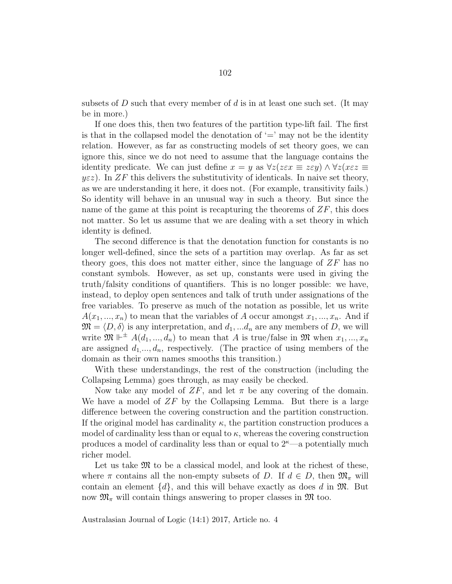subsets of D such that every member of d is in at least one such set. (It may be in more.)

If one does this, then two features of the partition type-lift fail. The first is that in the collapsed model the denotation of  $\prime =$ ' may not be the identity relation. However, as far as constructing models of set theory goes, we can ignore this, since we do not need to assume that the language contains the identity predicate. We can just define  $x = y$  as  $\forall z (z \in \mathbb{Z} \equiv z \in \mathbb{Z}) \land \forall z (x \in \mathbb{Z} \equiv z \in \mathbb{Z})$  $y \in z$ ). In ZF this delivers the substitutivity of identicals. In naive set theory, as we are understanding it here, it does not. (For example, transitivity fails.) So identity will behave in an unusual way in such a theory. But since the name of the game at this point is recapturing the theorems of  $ZF$ , this does not matter. So let us assume that we are dealing with a set theory in which identity is defined.

The second difference is that the denotation function for constants is no longer well-defined, since the sets of a partition may overlap. As far as set theory goes, this does not matter either, since the language of ZF has no constant symbols. However, as set up, constants were used in giving the truth/falsity conditions of quantifiers. This is no longer possible: we have, instead, to deploy open sentences and talk of truth under assignations of the free variables. To preserve as much of the notation as possible, let us write  $A(x_1, ..., x_n)$  to mean that the variables of A occur amongst  $x_1, ..., x_n$ . And if  $\mathfrak{M} = \langle D, \delta \rangle$  is any interpretation, and  $d_1, \dots, d_n$  are any members of D, we will write  $\mathfrak{M} \Vdash^{\pm} A(d_1, ..., d_n)$  to mean that A is true/false in  $\mathfrak{M}$  when  $x_1, ..., x_n$ are assigned  $d_1, ..., d_n$ , respectively. (The practice of using members of the domain as their own names smooths this transition.)

With these understandings, the rest of the construction (including the Collapsing Lemma) goes through, as may easily be checked.

Now take any model of  $ZF$ , and let  $\pi$  be any covering of the domain. We have a model of  $ZF$  by the Collapsing Lemma. But there is a large difference between the covering construction and the partition construction. If the original model has cardinality  $\kappa$ , the partition construction produces a model of cardinality less than or equal to  $\kappa$ , whereas the covering construction produces a model of cardinality less than or equal to  $2<sup>k</sup>$ —a potentially much richer model.

Let us take  $\mathfrak{M}$  to be a classical model, and look at the richest of these, where  $\pi$  contains all the non-empty subsets of D. If  $d \in D$ , then  $\mathfrak{M}_{\pi}$  will contain an element  $\{d\}$ , and this will behave exactly as does d in  $\mathfrak{M}$ . But now  $\mathfrak{M}_{\pi}$  will contain things answering to proper classes in  $\mathfrak{M}$  too.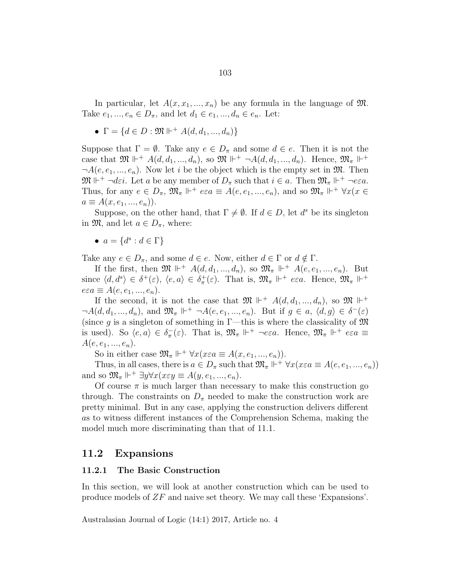In particular, let  $A(x, x_1, ..., x_n)$  be any formula in the language of  $\mathfrak{M}$ . Take  $e_1, ..., e_n \in D_{\pi}$ , and let  $d_1 \in e_1, ..., d_n \in e_n$ . Let:

•  $\Gamma = \{d \in D : \mathfrak{M} \Vdash^+ A(d, d_1, ..., d_n)\}\$ 

Suppose that  $\Gamma = \emptyset$ . Take any  $e \in D_{\pi}$  and some  $d \in e$ . Then it is not the case that  $\mathfrak{M} \Vdash^{+} A(d, d_1, ..., d_n)$ , so  $\mathfrak{M} \Vdash^{+} \neg A(d, d_1, ..., d_n)$ . Hence,  $\mathfrak{M}_{\pi} \Vdash^{+}$  $\neg A(e, e_1, \ldots, e_n)$ . Now let i be the object which is the empty set in  $\mathfrak{M}$ . Then  $\mathfrak{M} \Vdash^+ \neg \text{d}\varepsilon i$ . Let a be any member of  $D_{\pi}$  such that  $i \in a$ . Then  $\mathfrak{M}_{\pi} \Vdash^+ \neg \text{e}\varepsilon a$ . Thus, for any  $e \in D_{\pi}$ ,  $\mathfrak{M}_{\pi} \Vdash^{+} e \in a \equiv A(e, e_1, ..., e_n)$ , and so  $\mathfrak{M}_{\pi} \Vdash^{+} \forall x (x \in$  $a \equiv A(x, e_1, ..., e_n)$ .

Suppose, on the other hand, that  $\Gamma \neq \emptyset$ . If  $d \in D$ , let  $d^s$  be its singleton in  $\mathfrak{M}$ , and let  $a \in D_{\pi}$ , where:

•  $a = \{d^s : d \in \Gamma\}$ 

Take any  $e \in D_{\pi}$ , and some  $d \in e$ . Now, either  $d \in \Gamma$  or  $d \notin \Gamma$ .

If the first, then  $\mathfrak{M} \Vdash^+ A(d, d_1, ..., d_n)$ , so  $\mathfrak{M}_{\pi} \Vdash^+ A(e, e_1, ..., e_n)$ . But since  $\langle d, d^s \rangle \in \delta^+(\varepsilon)$ ,  $\langle e, a \rangle \in \delta^+_{\pi}(\varepsilon)$ . That is,  $\mathfrak{M}_{\pi} \Vdash^+ e \varepsilon a$ . Hence,  $\mathfrak{M}_{\pi} \Vdash^+$  $e \varepsilon a \equiv A(e, e_1, ..., e_n).$ 

If the second, it is not the case that  $\mathfrak{M} \Vdash^+ A(d, d_1, ..., d_n)$ , so  $\mathfrak{M} \Vdash^+$  $\neg A(d, d_1, ..., d_n)$ , and  $\mathfrak{M}_{\pi} \Vdash^{+} \neg A(e, e_1, ..., e_n)$ . But if  $g \in a, \langle d, g \rangle \in \delta^{-}(\varepsilon)$ (since g is a singleton of something in  $\Gamma$ —this is where the classicality of  $\mathfrak{M}$ is used). So  $\langle e, a \rangle \in \delta_{\pi}^{-}(\varepsilon)$ . That is,  $\mathfrak{M}_{\pi} \Vdash^{+} \neg e \varepsilon a$ . Hence,  $\mathfrak{M}_{\pi} \Vdash^{+} e \varepsilon a \equiv$  $A(e, e_1, ..., e_n).$ 

So in either case  $\mathfrak{M}_{\pi} \Vdash^{+} \forall x (x \in a \equiv A(x, e_1, ..., e_n)).$ 

Thus, in all cases, there is  $a \in D_{\pi}$  such that  $\mathfrak{M}_{\pi} \Vdash^+ \forall x(x \in a \equiv A(e, e_1, ..., e_n))$ and so  $\mathfrak{M}_{\pi} \Vdash^{\perp} \exists y \forall x (x \in y \equiv A(y, e_1, ..., e_n)).$ 

Of course  $\pi$  is much larger than necessary to make this construction go through. The constraints on  $D_{\pi}$  needed to make the construction work are pretty minimal. But in any case, applying the construction delivers different as to witness different instances of the Comprehension Schema, making the model much more discriminating than that of 11.1.

#### 11.2 Expansions

#### 11.2.1 The Basic Construction

In this section, we will look at another construction which can be used to produce models of ZF and naive set theory. We may call these 'Expansions'.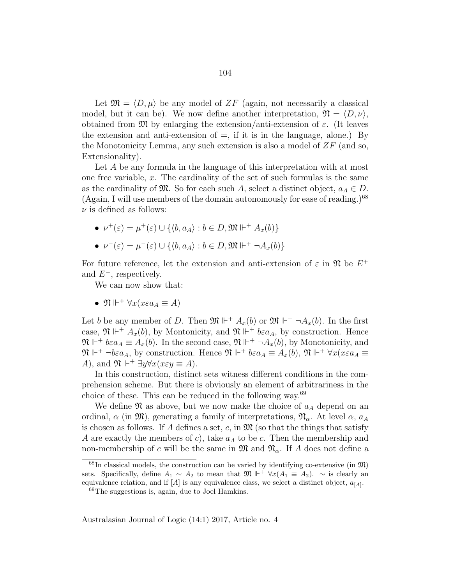Let  $\mathfrak{M} = \langle D, \mu \rangle$  be any model of ZF (again, not necessarily a classical model, but it can be). We now define another interpretation,  $\mathfrak{N} = \langle D, \nu \rangle$ , obtained from  $\mathfrak{M}$  by enlarging the extension/anti-extension of  $\varepsilon$ . (It leaves the extension and anti-extension of  $=$ , if it is in the language, alone.) By the Monotonicity Lemma, any such extension is also a model of  $ZF$  (and so, Extensionality).

Let A be any formula in the language of this interpretation with at most one free variable,  $x$ . The cardinality of the set of such formulas is the same as the cardinality of  $\mathfrak{M}$ . So for each such A, select a distinct object,  $a_A \in D$ . (Again, I will use members of the domain autonomously for ease of reading.) $68$  $\nu$  is defined as follows:

• 
$$
\nu^+(\varepsilon) = \mu^+(\varepsilon) \cup \{ \langle b, a_A \rangle : b \in D, \mathfrak{M} \Vdash^+ A_x(b) \}
$$

• 
$$
\nu^-(\varepsilon) = \mu^-(\varepsilon) \cup \{ \langle b, a_A \rangle : b \in D, \mathfrak{M} \Vdash^+ \neg A_x(b) \}
$$

For future reference, let the extension and anti-extension of  $\varepsilon$  in  $\mathfrak{N}$  be  $E^+$ and  $E^-$ , respectively.

We can now show that:

• 
$$
\mathfrak{N} \Vdash^+ \forall x (x \in a_A \equiv A)
$$

Let b be any member of D. Then  $\mathfrak{M} \Vdash^+ A_x(b)$  or  $\mathfrak{M} \Vdash^+ \neg A_x(b)$ . In the first case,  $\mathfrak{N} \Vdash^+ A_x(b)$ , by Montonicity, and  $\mathfrak{N} \Vdash^+ b \varepsilon a_A$ , by construction. Hence  $\mathfrak{N} \Vdash^{+} bea_{A} \equiv A_{x}(b)$ . In the second case,  $\mathfrak{N} \Vdash^{+} \neg A_{x}(b)$ , by Monotonicity, and  $\mathfrak{N} \Vdash^+ \neg b \varepsilon a_A$ , by construction. Hence  $\mathfrak{N} \Vdash^+ b \varepsilon a_A \equiv A_x(b)$ ,  $\mathfrak{N} \Vdash^+ \forall x (x \varepsilon a_A \equiv$ A), and  $\mathfrak{N} \Vdash^+ \exists y \forall x (x \in y \equiv A).$ 

In this construction, distinct sets witness different conditions in the comprehension scheme. But there is obviously an element of arbitrariness in the choice of these. This can be reduced in the following way.<sup>69</sup>

We define  $\mathfrak N$  as above, but we now make the choice of  $a_A$  depend on an ordinal,  $\alpha$  (in  $\mathfrak{M}$ ), generating a family of interpretations,  $\mathfrak{N}_{\alpha}$ . At level  $\alpha$ ,  $a_A$ is chosen as follows. If A defines a set, c, in  $\mathfrak{M}$  (so that the things that satisfy A are exactly the members of c), take  $a<sub>A</sub>$  to be c. Then the membership and non-membership of c will be the same in  $\mathfrak{M}$  and  $\mathfrak{N}_{\alpha}$ . If A does not define a

 $^{68}$ In classical models, the construction can be varied by identifying co-extensive (in  $\mathfrak{M}$ ) sets. Specifically, define  $A_1 \sim A_2$  to mean that  $\mathfrak{M} \Vdash^+ \forall x (A_1 \equiv A_2)$ .  $\sim$  is clearly an equivalence relation, and if  $[A]$  is any equivalence class, we select a distinct object,  $a_{[A]}$ . <sup>69</sup>The suggestions is, again, due to Joel Hamkins.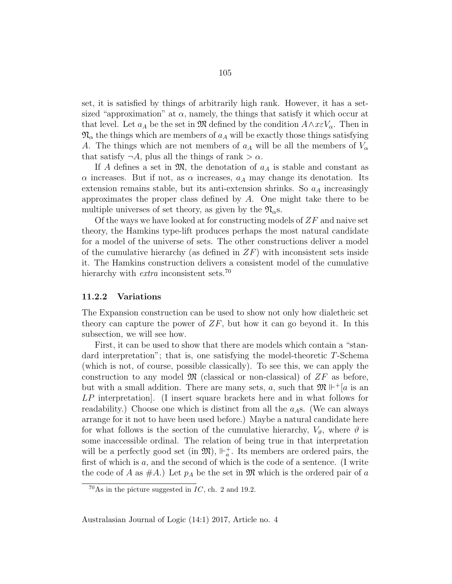set, it is satisfied by things of arbitrarily high rank. However, it has a setsized "approximation" at  $\alpha$ , namely, the things that satisfy it which occur at that level. Let  $a_A$  be the set in M defined by the condition  $A \wedge x \in V_\alpha$ . Then in  $\mathfrak{N}_{\alpha}$  the things which are members of  $a<sub>A</sub>$  will be exactly those things satisfying A. The things which are not members of  $a<sub>A</sub>$  will be all the members of  $V<sub>\alpha</sub>$ that satisfy  $\neg A$ , plus all the things of rank  $>\alpha$ .

If A defines a set in  $\mathfrak{M}$ , the denotation of  $a<sub>A</sub>$  is stable and constant as  $\alpha$  increases. But if not, as  $\alpha$  increases,  $a<sub>A</sub>$  may change its denotation. Its extension remains stable, but its anti-extension shrinks. So  $a<sub>A</sub>$  increasingly approximates the proper class defined by  $A$ . One might take there to be multiple universes of set theory, as given by the  $\mathfrak{N}_{\alpha}$ s.

Of the ways we have looked at for constructing models of  $ZF$  and naive set theory, the Hamkins type-lift produces perhaps the most natural candidate for a model of the universe of sets. The other constructions deliver a model of the cumulative hierarchy (as defined in  $ZF$ ) with inconsistent sets inside it. The Hamkins construction delivers a consistent model of the cumulative hierarchy with *extra* inconsistent sets.<sup>70</sup>

#### 11.2.2 Variations

The Expansion construction can be used to show not only how dialetheic set theory can capture the power of  $ZF$ , but how it can go beyond it. In this subsection, we will see how.

First, it can be used to show that there are models which contain a "standard interpretation"; that is, one satisfying the model-theoretic T-Schema (which is not, of course, possible classically). To see this, we can apply the construction to any model  $\mathfrak{M}$  (classical or non-classical) of  $ZF$  as before, but with a small addition. There are many sets, a, such that  $\mathfrak{M} \Vdash^{\perp}[a]$  is an LP interpretation. (I insert square brackets here and in what follows for readability.) Choose one which is distinct from all the  $a<sub>A</sub>$ s. (We can always arrange for it not to have been used before.) Maybe a natural candidate here for what follows is the section of the cumulative hierarchy,  $V_{\vartheta}$ , where  $\vartheta$  is some inaccessible ordinal. The relation of being true in that interpretation will be a perfectly good set (in  $\mathfrak{M}$ ),  $\mathbb{H}_a^+$ . Its members are ordered pairs, the first of which is  $a$ , and the second of which is the code of a sentence. (I write the code of A as  $\#A$ .) Let  $p_A$  be the set in M which is the ordered pair of a

 $^{70}\text{As}$  in the picture suggested in IC, ch. 2 and 19.2.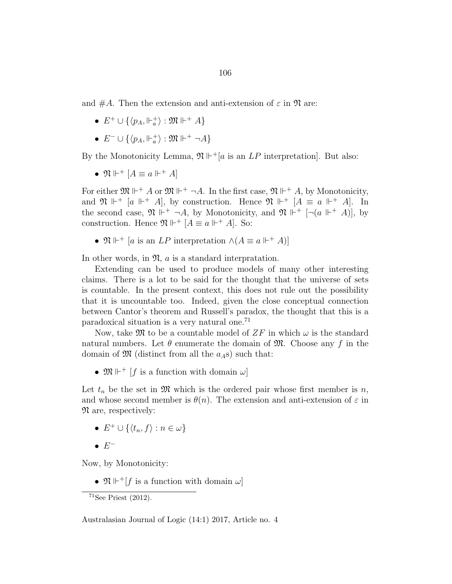and  $\#A$ . Then the extension and anti-extension of  $\varepsilon$  in  $\mathfrak N$  are:

- $E^+ \cup \{ \langle p_A, \Vdash_a^+ \rangle : \mathfrak{M} \Vdash^+ A \}$
- $\bullet\ E^-\cup\{\langle p_A,\Vdash_a^+\rangle:\mathfrak{M}\Vdash^+\neg A\}$

By the Monotonicity Lemma,  $\mathfrak{N} \Vdash^{\dagger} [a \text{ is an } LP \text{ interpretation}]$ . But also:

•  $\mathfrak{N} \Vdash^+ [A \equiv a \Vdash^+ A]$ 

For either  $\mathfrak{M} \Vdash^+ A$  or  $\mathfrak{M} \Vdash^+ \neg A$ . In the first case,  $\mathfrak{N} \Vdash^+ A$ , by Monotonicity, and  $\mathfrak{N} \Vdash^{+} [a \Vdash^{+} A]$ , by construction. Hence  $\mathfrak{N} \Vdash^{+} [A \equiv a \Vdash^{+} A]$ . In the second case,  $\mathfrak{N} \Vdash^{+} \neg A$ , by Monotonicity, and  $\mathfrak{N} \Vdash^{+} [\neg (a \Vdash^{+} A)]$ , by construction. Hence  $\mathfrak{N} \Vdash^{+} [A \equiv a \Vdash^{+} A]$ . So:

•  $\mathfrak{N} \Vdash^{+} [a \text{ is an } LP \text{ interpretation } \wedge (A \equiv a \Vdash^{+} A)]$ 

In other words, in  $\mathfrak{N}, a$  is a standard interpratation.

Extending can be used to produce models of many other interesting claims. There is a lot to be said for the thought that the universe of sets is countable. In the present context, this does not rule out the possibility that it is uncountable too. Indeed, given the close conceptual connection between Cantor's theorem and Russell's paradox, the thought that this is a paradoxical situation is a very natural one.<sup>71</sup>

Now, take  $\mathfrak{M}$  to be a countable model of  $ZF$  in which  $\omega$  is the standard natural numbers. Let  $\theta$  enumerate the domain of  $\mathfrak{M}$ . Choose any f in the domain of  $\mathfrak{M}$  (distinct from all the  $a<sub>A</sub>$ s) such that:

•  $\mathfrak{M} \Vdash^+ [f$  is a function with domain  $\omega$ 

Let  $t_n$  be the set in  $\mathfrak{M}$  which is the ordered pair whose first member is n, and whose second member is  $\theta(n)$ . The extension and anti-extension of  $\varepsilon$  in N are, respectively:

- $E^+ \cup \{\langle t_n, f \rangle : n \in \omega\}$
- $\bullet$   $E^-$

Now, by Monotonicity:

•  $\mathfrak{N} \Vdash^+[f$  is a function with domain  $\omega$ 

 $71$ See Priest (2012).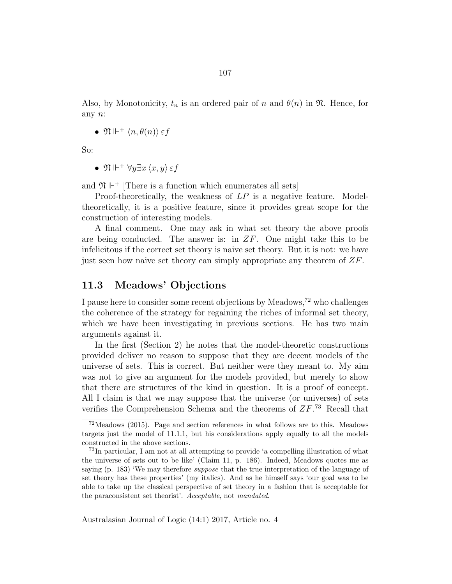Also, by Monotonicity,  $t_n$  is an ordered pair of n and  $\theta(n)$  in  $\mathfrak{N}$ . Hence, for any n:

•  $\mathfrak{N} \Vdash^+ \langle n, \theta(n) \rangle \varepsilon f$ 

So:

•  $\mathfrak{N} \Vdash^+ \forall y \exists x \langle x, y \rangle \varepsilon f$ 

and  $\mathfrak{N} \Vdash^+$  [There is a function which enumerates all sets]

Proof-theoretically, the weakness of  $LP$  is a negative feature. Modeltheoretically, it is a positive feature, since it provides great scope for the construction of interesting models.

A final comment. One may ask in what set theory the above proofs are being conducted. The answer is: in  $ZF$ . One might take this to be infelicitous if the correct set theory is naive set theory. But it is not: we have just seen how naive set theory can simply appropriate any theorem of  $ZF$ .

### 11.3 Meadows' Objections

I pause here to consider some recent objections by Meadows,<sup>72</sup> who challenges the coherence of the strategy for regaining the riches of informal set theory, which we have been investigating in previous sections. He has two main arguments against it.

In the first (Section 2) he notes that the model-theoretic constructions provided deliver no reason to suppose that they are decent models of the universe of sets. This is correct. But neither were they meant to. My aim was not to give an argument for the models provided, but merely to show that there are structures of the kind in question. It is a proof of concept. All I claim is that we may suppose that the universe (or universes) of sets verifies the Comprehension Schema and the theorems of  $ZF$ .<sup>73</sup> Recall that

<sup>72</sup>Meadows (2015). Page and section references in what follows are to this. Meadows targets just the model of 11.1.1, but his considerations apply equally to all the models constructed in the above sections.

<sup>73</sup>In particular, I am not at all attempting to provide 'a compelling illustration of what the universe of sets out to be like' (Claim 11, p. 186). Indeed, Meadows quotes me as saying (p. 183) 'We may therefore *suppose* that the true interpretation of the language of set theory has these properties' (my italics). And as he himself says 'our goal was to be able to take up the classical perspective of set theory in a fashion that is acceptable for the paraconsistent set theorist'. Acceptable, not mandated.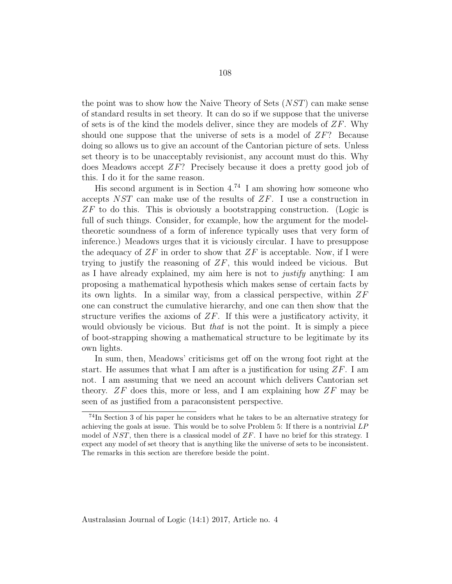the point was to show how the Naive Theory of Sets (NST) can make sense of standard results in set theory. It can do so if we suppose that the universe of sets is of the kind the models deliver, since they are models of  $ZF$ . Why should one suppose that the universe of sets is a model of  $ZF$ ? Because doing so allows us to give an account of the Cantorian picture of sets. Unless set theory is to be unacceptably revisionist, any account must do this. Why does Meadows accept ZF? Precisely because it does a pretty good job of this. I do it for the same reason.

His second argument is in Section  $4^{74}$  I am showing how someone who accepts NST can make use of the results of ZF. I use a construction in  $ZF$  to do this. This is obviously a bootstrapping construction. (Logic is full of such things. Consider, for example, how the argument for the modeltheoretic soundness of a form of inference typically uses that very form of inference.) Meadows urges that it is viciously circular. I have to presuppose the adequacy of  $ZF$  in order to show that  $ZF$  is acceptable. Now, if I were trying to justify the reasoning of  $ZF$ , this would indeed be vicious. But as I have already explained, my aim here is not to justify anything: I am proposing a mathematical hypothesis which makes sense of certain facts by its own lights. In a similar way, from a classical perspective, within  $ZF$ one can construct the cumulative hierarchy, and one can then show that the structure verifies the axioms of  $ZF$ . If this were a justificatory activity, it would obviously be vicious. But *that* is not the point. It is simply a piece of boot-strapping showing a mathematical structure to be legitimate by its own lights.

In sum, then, Meadows' criticisms get off on the wrong foot right at the start. He assumes that what I am after is a justification for using  $ZF$ . I am not. I am assuming that we need an account which delivers Cantorian set theory.  $ZF$  does this, more or less, and I am explaining how  $ZF$  may be seen of as justified from a paraconsistent perspective.

 $74$ In Section 3 of his paper he considers what he takes to be an alternative strategy for achieving the goals at issue. This would be to solve Problem 5: If there is a nontrivial LP model of NST, then there is a classical model of  $ZF$ . I have no brief for this strategy. I expect any model of set theory that is anything like the universe of sets to be inconsistent. The remarks in this section are therefore beside the point.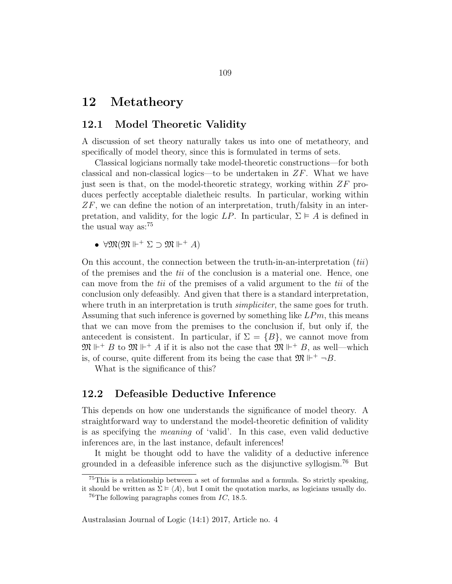# 12 Metatheory

### 12.1 Model Theoretic Validity

A discussion of set theory naturally takes us into one of metatheory, and specifically of model theory, since this is formulated in terms of sets.

Classical logicians normally take model-theoretic constructions—for both classical and non-classical logics—to be undertaken in  $ZF$ . What we have just seen is that, on the model-theoretic strategy, working within  $ZF$  produces perfectly acceptable dialetheic results. In particular, working within  $ZF$ , we can define the notion of an interpretation, truth/falsity in an interpretation, and validity, for the logic  $LP$ . In particular,  $\Sigma \models A$  is defined in the usual way as:<sup>75</sup>

•  $\forall \mathfrak{M}(\mathfrak{M} \Vdash^+ \Sigma \supset \mathfrak{M} \Vdash^+ A)$ 

On this account, the connection between the truth-in-an-interpretation  $(tii)$ of the premises and the tii of the conclusion is a material one. Hence, one can move from the tii of the premises of a valid argument to the tii of the conclusion only defeasibly. And given that there is a standard interpretation, where truth in an interpretation is truth *simpliciter*, the same goes for truth. Assuming that such inference is governed by something like  $LPm$ , this means that we can move from the premises to the conclusion if, but only if, the antecedent is consistent. In particular, if  $\Sigma = \{B\}$ , we cannot move from  $\mathfrak{M} \Vdash^{+} B$  to  $\mathfrak{M} \Vdash^{+} A$  if it is also not the case that  $\mathfrak{M} \Vdash^{+} B$ , as well—which is, of course, quite different from its being the case that  $\mathfrak{M} \Vdash^+ \neg B$ .

What is the significance of this?

#### 12.2 Defeasible Deductive Inference

This depends on how one understands the significance of model theory. A straightforward way to understand the model-theoretic definition of validity is as specifying the meaning of 'valid'. In this case, even valid deductive inferences are, in the last instance, default inferences!

It might be thought odd to have the validity of a deductive inference grounded in a defeasible inference such as the disjunctive syllogism.<sup>76</sup> But

<sup>75</sup>This is a relationship between a set of formulas and a formula. So strictly speaking, it should be written as  $\Sigma \models \langle A \rangle$ , but I omit the quotation marks, as logicians usually do.

<sup>&</sup>lt;sup>76</sup>The following paragraphs comes from  $IC$ , 18.5.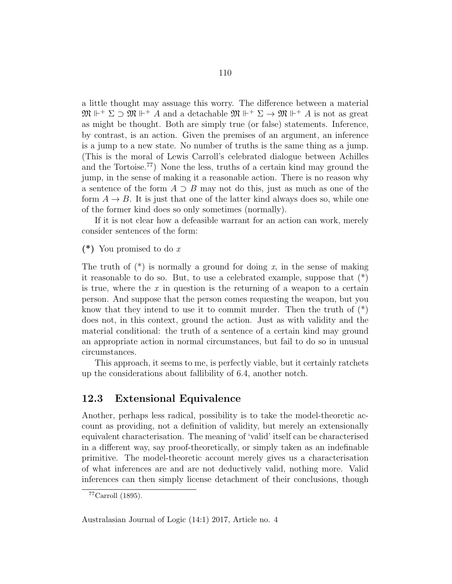a little thought may assuage this worry. The difference between a material  $\mathfrak{M} \Vdash^+ \Sigma \supset \mathfrak{M} \Vdash^+ A$  and a detachable  $\mathfrak{M} \Vdash^+ \Sigma \to \mathfrak{M} \Vdash^+ A$  is not as great as might be thought. Both are simply true (or false) statements. Inference, by contrast, is an action. Given the premises of an argument, an inference is a jump to a new state. No number of truths is the same thing as a jump. (This is the moral of Lewis Carroll's celebrated dialogue between Achilles and the Tortoise.<sup>77</sup>) None the less, truths of a certain kind may ground the jump, in the sense of making it a reasonable action. There is no reason why a sentence of the form  $A \supset B$  may not do this, just as much as one of the form  $A \rightarrow B$ . It is just that one of the latter kind always does so, while one of the former kind does so only sometimes (normally).

If it is not clear how a defeasible warrant for an action can work, merely consider sentences of the form:

 $(*)$  You promised to do x

The truth of  $(*)$  is normally a ground for doing x, in the sense of making it reasonable to do so. But, to use a celebrated example, suppose that (\*) is true, where the  $x$  in question is the returning of a weapon to a certain person. And suppose that the person comes requesting the weapon, but you know that they intend to use it to commit murder. Then the truth of  $(*)$ does not, in this context, ground the action. Just as with validity and the material conditional: the truth of a sentence of a certain kind may ground an appropriate action in normal circumstances, but fail to do so in unusual circumstances.

This approach, it seems to me, is perfectly viable, but it certainly ratchets up the considerations about fallibility of 6.4, another notch.

### 12.3 Extensional Equivalence

Another, perhaps less radical, possibility is to take the model-theoretic account as providing, not a definition of validity, but merely an extensionally equivalent characterisation. The meaning of 'valid' itself can be characterised in a different way, say proof-theoretically, or simply taken as an indefinable primitive. The model-theoretic account merely gives us a characterisation of what inferences are and are not deductively valid, nothing more. Valid inferences can then simply license detachment of their conclusions, though

 $77$ Carroll (1895).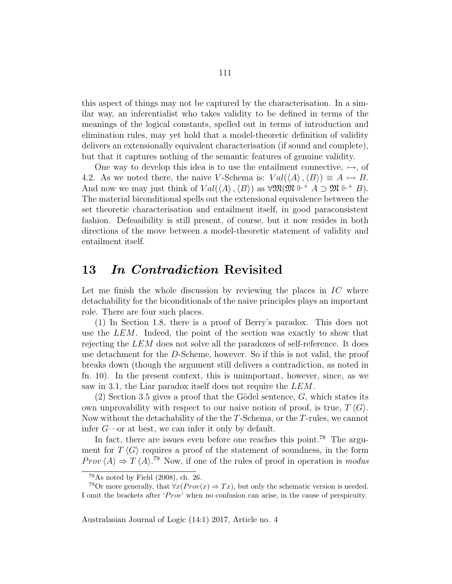this aspect of things may not be captured by the characterisation. In a similar way, an inferentialist who takes validity to be defined in terms of the meanings of the logical constants, spelled out in terms of introduction and elimination rules, may yet hold that a model-theoretic definition of validity delivers an extensionally equivalent characterisation (if sound and complete), but that it captures nothing of the semantic features of genuine validity.

One way to develop this idea is to use the entailment connective,  $\rightarrow$ , of 4.2. As we noted there, the naive V-Schema is:  $Val(\langle A \rangle, \langle B \rangle) \equiv A \rightarrow B$ . And now we may just think of  $Val(\langle A \rangle, \langle B \rangle)$  as  $\forall \mathfrak{M}(\mathfrak{M} \Vdash A \supset \mathfrak{M} \Vdash^+ B)$ . The material biconditional spells out the extensional equivalence between the set theoretic characterisation and entailment itself, in good paraconsistent fashion. Defeasibility is still present, of course, but it now resides in both directions of the move between a model-theoretic statement of validity and entailment itself.

## 13 In Contradiction Revisited

Let me finish the whole discussion by reviewing the places in  $\mathcal{I}C$  where detachability for the biconditionals of the naive principles plays an important role. There are four such places.

(1) In Section 1.8, there is a proof of Berry's paradox. This does not use the LEM. Indeed, the point of the section was exactly to show that rejecting the LEM does not solve all the paradoxes of self-reference. It does use detachment for the D-Scheme, however. So if this is not valid, the proof breaks down (though the argument still delivers a contradiction, as noted in fn. 10). In the present context, this is unimportant, however, since, as we saw in 3.1, the Liar paradox itself does not require the LEM.

(2) Section 3.5 gives a proof that the Gödel sentence,  $G$ , which states its own unprovability with respect to our naive notion of proof, is true,  $T\langle G \rangle$ . Now without the detachability of the the T-Schema, or the T-rules, we cannot infer G—or at best, we can infer it only by default.

In fact, there are issues even before one reaches this point.<sup>78</sup> The argument for  $T \langle G \rangle$  requires a proof of the statement of soundness, in the form  $Prov \langle A \rangle \Rightarrow T \langle A \rangle$ .<sup>79</sup> Now, if one of the rules of proof in operation is modus

 $78\text{As noted by Field } (2008), \text{ ch. } 26.$ 

<sup>&</sup>lt;sup>79</sup>Or more generally, that  $\forall x (Prov(x) \Rightarrow Tx)$ , but only the schematic version is needed. I omit the brackets after ' $Prov'$  when no confusion can arise, in the cause of perspicuity.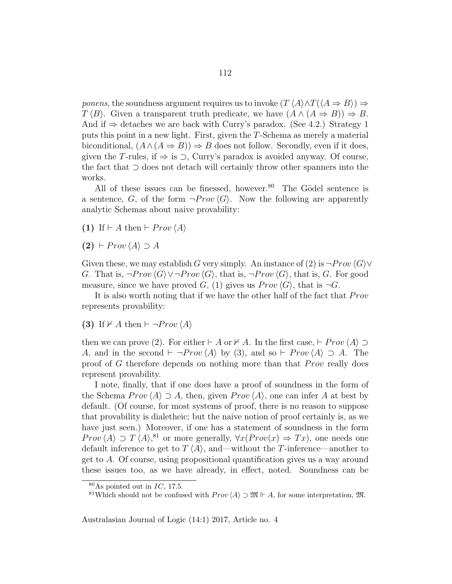*ponens*, the soundness argument requires us to invoke  $(T \langle A \rangle \land T(\langle A \Rightarrow B \rangle) \Rightarrow$  $T \langle B \rangle$ . Given a transparent truth predicate, we have  $(A \land (A \Rightarrow B)) \Rightarrow B$ . And if  $\Rightarrow$  detaches we are back with Curry's paradox. (See 4.2.) Strategy 1 puts this point in a new light. First, given the T-Schema as merely a material biconditional,  $(A \wedge (A \Rightarrow B)) \Rightarrow B$  does not follow. Secondly, even if it does, given the T-rules, if  $\Rightarrow$  is  $\supset$ , Curry's paradox is avoided anyway. Of course, the fact that ⊃ does not detach will certainly throw other spanners into the works.

All of these issues can be finessed, however.<sup>80</sup> The Gödel sentence is a sentence, G, of the form  $\neg Prov \langle G \rangle$ . Now the following are apparently analytic Schemas about naive provability:

(1) If  $\vdash A$  then  $\vdash \text{Prov } \langle A \rangle$ 

 $(2) \vdash \text{Prov} \langle A \rangle \supset A$ 

Given these, we may establish G very simply. An instance of (2) is  $\neg Prov \langle G \rangle \vee$ G. That is,  $\neg Prov \langle G \rangle \vee \neg Prov \langle G \rangle$ , that is,  $\neg Prov \langle G \rangle$ , that is, G. For good measure, since we have proved G, (1) gives us  $Prov \langle G \rangle$ , that is  $\neg G$ .

It is also worth noting that if we have the other half of the fact that  $Prov$ represents provability:

(3) If  $\nvdash A$  then  $\vdash \neg Prov \langle A \rangle$ 

then we can prove (2). For either  $\vdash A$  or  $\nvdash A$ . In the first case,  $\vdash \text{Prov}(\overline{A}) \supset$ A, and in the second  $\vdash \neg Prov(A)$  by (3), and so  $\vdash \text{Prov}(A) \supset A$ . The proof of G therefore depends on nothing more than that  $Prov$  really does represent provability.

I note, finally, that if one does have a proof of soundness in the form of the Schema  $Prov \langle A \rangle \supset A$ , then, given  $Prov \langle A \rangle$ , one can infer A at best by default. (Of course, for most systems of proof, there is no reason to suppose that provability is dialetheic; but the naive notion of proof certainly is, as we have just seen.) Moreover, if one has a statement of soundness in the form  $Prov \langle A \rangle \supset T \langle A \rangle$ <sup>81</sup> or more generally,  $\forall x (Prov(x) \Rightarrow Tx)$ , one needs one default inference to get to  $T \langle A \rangle$ , and—without the T-inference—another to get to A. Of course, using propositional quantification gives us a way around these issues too, as we have already, in effect, noted. Soundness can be

 $80\text{As pointed out in } IC$ , 17.5.

<sup>&</sup>lt;sup>81</sup>Which should not be confused with  $Prov \langle A \rangle \supset \mathfrak{M} \Vdash A$ , for some interpretation,  $\mathfrak{M}$ .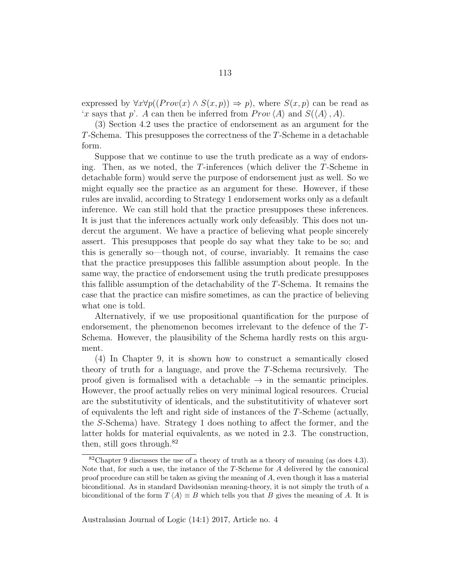expressed by  $\forall x \forall p((Prov(x) \land S(x, p)) \Rightarrow p)$ , where  $S(x, p)$  can be read as 'x says that p'. A can then be inferred from  $Prov \langle A \rangle$  and  $S(\langle A \rangle, A)$ .

(3) Section 4.2 uses the practice of endorsement as an argument for the T-Schema. This presupposes the correctness of the T-Scheme in a detachable form.

Suppose that we continue to use the truth predicate as a way of endorsing. Then, as we noted, the T-inferences (which deliver the T-Scheme in detachable form) would serve the purpose of endorsement just as well. So we might equally see the practice as an argument for these. However, if these rules are invalid, according to Strategy 1 endorsement works only as a default inference. We can still hold that the practice presupposes these inferences. It is just that the inferences actually work only defeasibly. This does not undercut the argument. We have a practice of believing what people sincerely assert. This presupposes that people do say what they take to be so; and this is generally so—though not, of course, invariably. It remains the case that the practice presupposes this fallible assumption about people. In the same way, the practice of endorsement using the truth predicate presupposes this fallible assumption of the detachability of the T-Schema. It remains the case that the practice can misfire sometimes, as can the practice of believing what one is told.

Alternatively, if we use propositional quantification for the purpose of endorsement, the phenomenon becomes irrelevant to the defence of the T-Schema. However, the plausibility of the Schema hardly rests on this argument.

(4) In Chapter 9, it is shown how to construct a semantically closed theory of truth for a language, and prove the T-Schema recursively. The proof given is formalised with a detachable  $\rightarrow$  in the semantic principles. However, the proof actually relies on very minimal logical resources. Crucial are the substitutivity of identicals, and the substitutitivity of whatever sort of equivalents the left and right side of instances of the T-Scheme (actually, the S-Schema) have. Strategy 1 does nothing to affect the former, and the latter holds for material equivalents, as we noted in 2.3. The construction, then, still goes through. $82$ 

<sup>&</sup>lt;sup>82</sup>Chapter 9 discusses the use of a theory of truth as a theory of meaning (as does  $4.3$ ). Note that, for such a use, the instance of the T-Scheme for A delivered by the canonical proof procedure can still be taken as giving the meaning of A, even though it has a material biconditional. As in standard Davidsonian meaning-theory, it is not simply the truth of a biconditional of the form  $T \langle A \rangle \equiv B$  which tells you that B gives the meaning of A. It is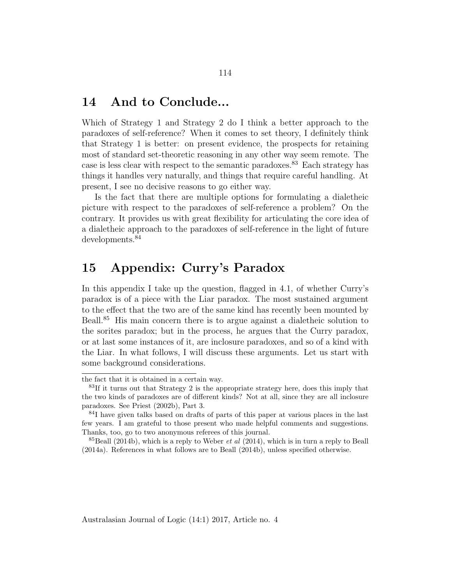## 14 And to Conclude...

Which of Strategy 1 and Strategy 2 do I think a better approach to the paradoxes of self-reference? When it comes to set theory, I definitely think that Strategy 1 is better: on present evidence, the prospects for retaining most of standard set-theoretic reasoning in any other way seem remote. The case is less clear with respect to the semantic paradoxes.<sup>83</sup> Each strategy has things it handles very naturally, and things that require careful handling. At present, I see no decisive reasons to go either way.

Is the fact that there are multiple options for formulating a dialetheic picture with respect to the paradoxes of self-reference a problem? On the contrary. It provides us with great flexibility for articulating the core idea of a dialetheic approach to the paradoxes of self-reference in the light of future developments.<sup>84</sup>

# 15 Appendix: Curry's Paradox

In this appendix I take up the question, flagged in 4.1, of whether Curry's paradox is of a piece with the Liar paradox. The most sustained argument to the effect that the two are of the same kind has recently been mounted by Beall.<sup>85</sup> His main concern there is to argue against a dialetheic solution to the sorites paradox; but in the process, he argues that the Curry paradox, or at last some instances of it, are inclosure paradoxes, and so of a kind with the Liar. In what follows, I will discuss these arguments. Let us start with some background considerations.

the fact that it is obtained in a certain way.

 $83$ If it turns out that Strategy 2 is the appropriate strategy here, does this imply that the two kinds of paradoxes are of different kinds? Not at all, since they are all inclosure paradoxes. See Priest (2002b), Part 3.

<sup>&</sup>lt;sup>84</sup>I have given talks based on drafts of parts of this paper at various places in the last few years. I am grateful to those present who made helpful comments and suggestions. Thanks, too, go to two anonymous referees of this journal.

 ${}^{85}$ Beall (2014b), which is a reply to Weber *et al* (2014), which is in turn a reply to Beall (2014a). References in what follows are to Beall (2014b), unless specified otherwise.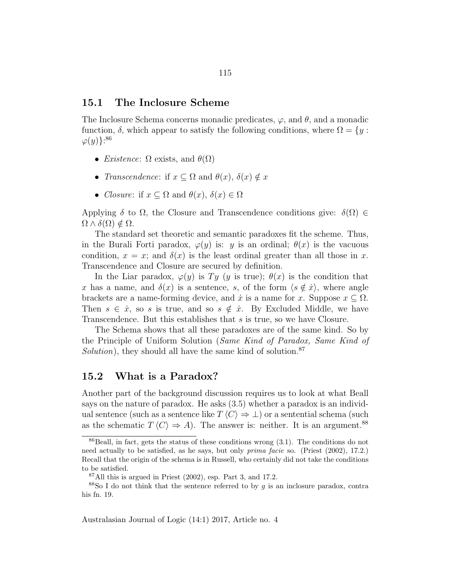#### 15.1 The Inclosure Scheme

The Inclosure Schema concerns monadic predicates,  $\varphi$ , and  $\theta$ , and a monadic function,  $\delta$ , which appear to satisfy the following conditions, where  $\Omega = \{y :$  $\varphi(y)\}$ <sup>86</sup>

- *Existence*:  $\Omega$  exists, and  $\theta(\Omega)$
- *Transcendence*: if  $x \subseteq \Omega$  and  $\theta(x)$ ,  $\delta(x) \notin x$
- Closure: if  $x \subseteq \Omega$  and  $\theta(x)$ ,  $\delta(x) \in \Omega$

Applying  $\delta$  to  $\Omega$ , the Closure and Transcendence conditions give:  $\delta(\Omega) \in$  $\Omega \wedge \delta(\Omega) \notin \Omega$ .

The standard set theoretic and semantic paradoxes fit the scheme. Thus, in the Burali Forti paradox,  $\varphi(y)$  is: y is an ordinal;  $\theta(x)$  is the vacuous condition,  $x = x$ ; and  $\delta(x)$  is the least ordinal greater than all those in x. Transcendence and Closure are secured by definition.

In the Liar paradox,  $\varphi(y)$  is Ty (y is true);  $\theta(x)$  is the condition that x has a name, and  $\delta(x)$  is a sentence, s, of the form  $\langle s \notin \dot{x} \rangle$ , where angle brackets are a name-forming device, and  $\dot{x}$  is a name for x. Suppose  $x \subseteq \Omega$ . Then  $s \in \dot{x}$ , so s is true, and so  $s \notin \dot{x}$ . By Excluded Middle, we have Transcendence. But this establishes that s is true, so we have Closure.

The Schema shows that all these paradoxes are of the same kind. So by the Principle of Uniform Solution (Same Kind of Paradox, Same Kind of Solution), they should all have the same kind of solution.<sup>87</sup>

### 15.2 What is a Paradox?

Another part of the background discussion requires us to look at what Beall says on the nature of paradox. He asks (3.5) whether a paradox is an individual sentence (such as a sentence like  $T \langle C \rangle \Rightarrow \bot$ ) or a sentential schema (such as the schematic  $T\langle C \rangle \Rightarrow A$ ). The answer is: neither. It is an argument.<sup>88</sup>

 $86$ Beall, in fact, gets the status of these conditions wrong  $(3.1)$ . The conditions do not need actually to be satisfied, as he says, but only prima facie so. (Priest (2002), 17.2.) Recall that the origin of the schema is in Russell, who certainly did not take the conditions to be satisfied.

 $87$ All this is argued in Priest  $(2002)$ , esp. Part 3, and 17.2.

 $88$ So I do not think that the sentence referred to by g is an inclosure paradox, contra his fn. 19.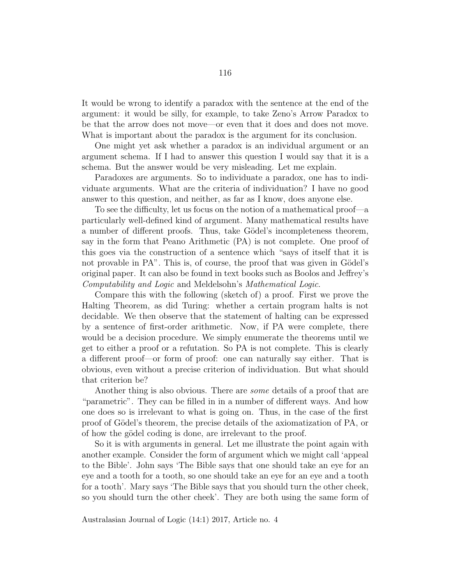It would be wrong to identify a paradox with the sentence at the end of the argument: it would be silly, for example, to take Zeno's Arrow Paradox to be that the arrow does not move—or even that it does and does not move. What is important about the paradox is the argument for its conclusion.

One might yet ask whether a paradox is an individual argument or an argument schema. If I had to answer this question I would say that it is a schema. But the answer would be very misleading. Let me explain.

Paradoxes are arguments. So to individuate a paradox, one has to individuate arguments. What are the criteria of individuation? I have no good answer to this question, and neither, as far as I know, does anyone else.

To see the difficulty, let us focus on the notion of a mathematical proof—a particularly well-defined kind of argument. Many mathematical results have a number of different proofs. Thus, take Gödel's incompleteness theorem, say in the form that Peano Arithmetic (PA) is not complete. One proof of this goes via the construction of a sentence which "says of itself that it is not provable in PA". This is, of course, the proof that was given in Gödel's original paper. It can also be found in text books such as Boolos and Jeffrey's Computability and Logic and Meldelsohn's Mathematical Logic.

Compare this with the following (sketch of) a proof. First we prove the Halting Theorem, as did Turing: whether a certain program halts is not decidable. We then observe that the statement of halting can be expressed by a sentence of first-order arithmetic. Now, if PA were complete, there would be a decision procedure. We simply enumerate the theorems until we get to either a proof or a refutation. So PA is not complete. This is clearly a different proof—or form of proof: one can naturally say either. That is obvious, even without a precise criterion of individuation. But what should that criterion be?

Another thing is also obvious. There are *some* details of a proof that are "parametric". They can be filled in in a number of different ways. And how one does so is irrelevant to what is going on. Thus, in the case of the first proof of Gödel's theorem, the precise details of the axiomatization of PA, or of how the gödel coding is done, are irrelevant to the proof.

So it is with arguments in general. Let me illustrate the point again with another example. Consider the form of argument which we might call 'appeal to the Bible'. John says 'The Bible says that one should take an eye for an eye and a tooth for a tooth, so one should take an eye for an eye and a tooth for a tooth'. Mary says 'The Bible says that you should turn the other cheek, so you should turn the other cheek'. They are both using the same form of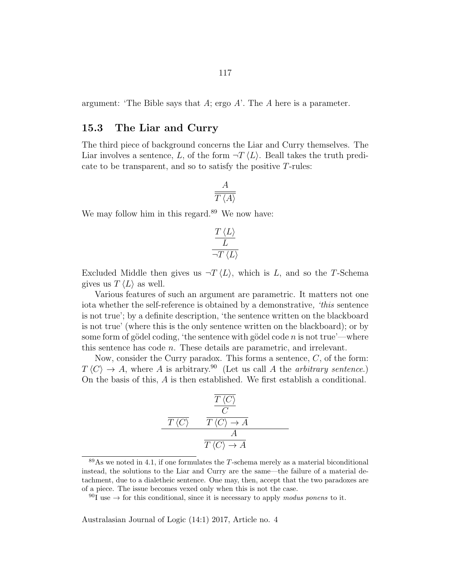argument: 'The Bible says that A; ergo A'. The A here is a parameter.

### 15.3 The Liar and Curry

The third piece of background concerns the Liar and Curry themselves. The Liar involves a sentence, L, of the form  $\neg T \langle L \rangle$ . Beall takes the truth predicate to be transparent, and so to satisfy the positive T-rules:

$$
\frac{A}{\overline{T\left\langle A\right\rangle }}
$$

We may follow him in this regard.<sup>89</sup> We now have:

$$
\frac{\frac{T\left\langle L\right\rangle }{L}}{\neg T\left\langle L\right\rangle }
$$

Excluded Middle then gives us  $\neg T \langle L \rangle$ , which is L, and so the T-Schema gives us  $T \langle L \rangle$  as well.

Various features of such an argument are parametric. It matters not one iota whether the self-reference is obtained by a demonstrative, 'this sentence is not true'; by a definite description, 'the sentence written on the blackboard is not true' (where this is the only sentence written on the blackboard); or by some form of gödel coding, 'the sentence with gödel code n is not true'—where this sentence has code n. These details are parametric, and irrelevant.

Now, consider the Curry paradox. This forms a sentence,  $C$ , of the form:  $T\langle C \rangle \rightarrow A$ , where A is arbitrary.<sup>90</sup> (Let us call A the arbitrary sentence.) On the basis of this, A is then established. We first establish a conditional.

$$
\frac{\frac{\overline{T\left\langle C\right\rangle}}{C}}{\overline{T\left\langle C\right\rangle}\longrightarrow A}
$$
\n
$$
\frac{A}{\overline{T\left\langle C\right\rangle\rightarrow A}}
$$

 $89\text{As}$  we noted in 4.1, if one formulates the T-schema merely as a material biconditional instead, the solutions to the Liar and Curry are the same—the failure of a material detachment, due to a dialetheic sentence. One may, then, accept that the two paradoxes are of a piece. The issue becomes vexed only when this is not the case.

 $90I$  use  $\rightarrow$  for this conditional, since it is necessary to apply modus ponens to it.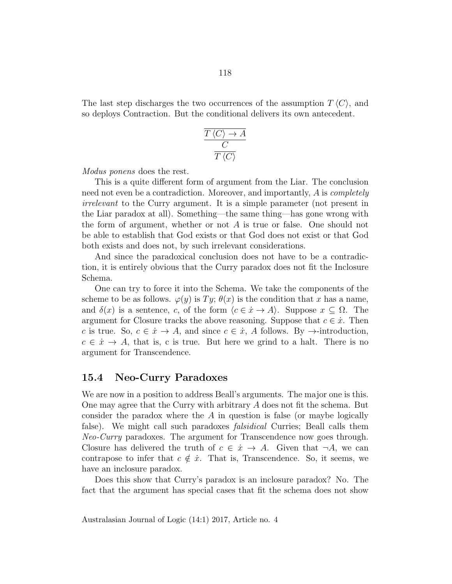The last step discharges the two occurrences of the assumption  $T \langle C \rangle$ , and so deploys Contraction. But the conditional delivers its own antecedent.

$$
\frac{\overline{T}\left\langle C\right\rangle \rightarrow A}{C}
$$

$$
\frac{C}{T\left\langle C\right\rangle}
$$

Modus ponens does the rest.

This is a quite different form of argument from the Liar. The conclusion need not even be a contradiction. Moreover, and importantly, A is *completely* irrelevant to the Curry argument. It is a simple parameter (not present in the Liar paradox at all). Something—the same thing—has gone wrong with the form of argument, whether or not A is true or false. One should not be able to establish that God exists or that God does not exist or that God both exists and does not, by such irrelevant considerations.

And since the paradoxical conclusion does not have to be a contradiction, it is entirely obvious that the Curry paradox does not fit the Inclosure Schema.

One can try to force it into the Schema. We take the components of the scheme to be as follows.  $\varphi(y)$  is  $Ty$ ;  $\theta(x)$  is the condition that x has a name, and  $\delta(x)$  is a sentence, c, of the form  $\langle c \in \dot{x} \to A \rangle$ . Suppose  $x \subseteq \Omega$ . The argument for Closure tracks the above reasoning. Suppose that  $c \in \dot{x}$ . Then c is true. So,  $c \in \dot{x} \to A$ , and since  $c \in \dot{x}$ , A follows. By  $\to$ -introduction,  $c \in \dot{x} \to A$ , that is, c is true. But here we grind to a halt. There is no argument for Transcendence.

#### 15.4 Neo-Curry Paradoxes

We are now in a position to address Beall's arguments. The major one is this. One may agree that the Curry with arbitrary A does not fit the schema. But consider the paradox where the A in question is false (or maybe logically false). We might call such paradoxes *falsidical* Curries; Beall calls them Neo-Curry paradoxes. The argument for Transcendence now goes through. Closure has delivered the truth of  $c \in \dot{x} \to A$ . Given that  $\neg A$ , we can contrapose to infer that  $c \notin \dot{x}$ . That is, Transcendence. So, it seems, we have an inclosure paradox.

Does this show that Curry's paradox is an inclosure paradox? No. The fact that the argument has special cases that fit the schema does not show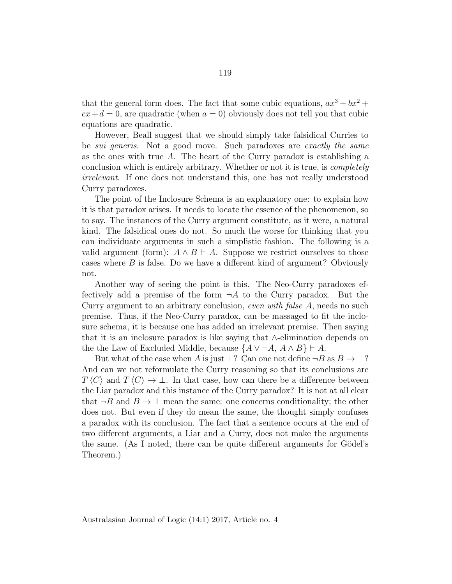that the general form does. The fact that some cubic equations,  $ax^3 + bx^2 +$  $cx+d=0$ , are quadratic (when  $a=0$ ) obviously does not tell you that cubic equations are quadratic.

However, Beall suggest that we should simply take falsidical Curries to be *sui generis*. Not a good move. Such paradoxes are *exactly the same* as the ones with true  $A$ . The heart of the Curry paradox is establishing a conclusion which is entirely arbitrary. Whether or not it is true, is completely irrelevant. If one does not understand this, one has not really understood Curry paradoxes.

The point of the Inclosure Schema is an explanatory one: to explain how it is that paradox arises. It needs to locate the essence of the phenomenon, so to say. The instances of the Curry argument constitute, as it were, a natural kind. The falsidical ones do not. So much the worse for thinking that you can individuate arguments in such a simplistic fashion. The following is a valid argument (form):  $A \wedge B \vdash A$ . Suppose we restrict ourselves to those cases where B is false. Do we have a different kind of argument? Obviously not.

Another way of seeing the point is this. The Neo-Curry paradoxes effectively add a premise of the form  $\neg A$  to the Curry paradox. But the Curry argument to an arbitrary conclusion, even with false A, needs no such premise. Thus, if the Neo-Curry paradox, can be massaged to fit the inclosure schema, it is because one has added an irrelevant premise. Then saying that it is an inclosure paradox is like saying that ∧-elimination depends on the the Law of Excluded Middle, because  $\{A \lor \neg A, A \land B\} \vdash A$ .

But what of the case when A is just  $\perp$ ? Can one not define  $\neg B$  as  $B \to \perp$ ? And can we not reformulate the Curry reasoning so that its conclusions are  $T\langle C \rangle$  and  $T\langle C \rangle \rightarrow \bot$ . In that case, how can there be a difference between the Liar paradox and this instance of the Curry paradox? It is not at all clear that  $\neg B$  and  $B \to \bot$  mean the same: one concerns conditionality; the other does not. But even if they do mean the same, the thought simply confuses a paradox with its conclusion. The fact that a sentence occurs at the end of two different arguments, a Liar and a Curry, does not make the arguments the same. (As I noted, there can be quite different arguments for Gödel's Theorem.)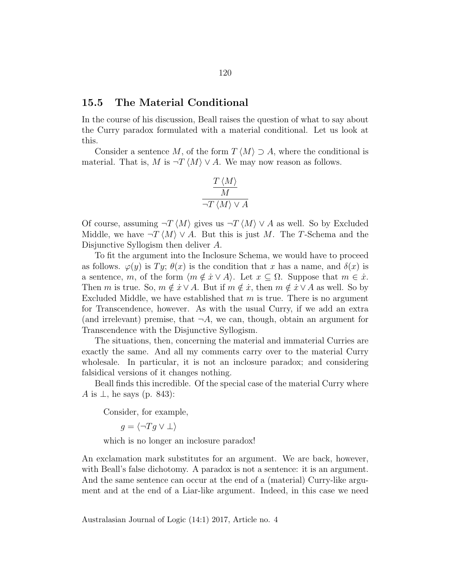### 15.5 The Material Conditional

In the course of his discussion, Beall raises the question of what to say about the Curry paradox formulated with a material conditional. Let us look at this.

Consider a sentence M, of the form  $T \langle M \rangle \supset A$ , where the conditional is material. That is, M is  $\neg T \langle M \rangle \vee A$ . We may now reason as follows.

$$
\frac{\frac{T\langle M \rangle}{M}}{\neg T \langle M \rangle \vee A}
$$

Of course, assuming  $\neg T \langle M \rangle$  gives us  $\neg T \langle M \rangle \vee A$  as well. So by Excluded Middle, we have  $\neg T \langle M \rangle \vee A$ . But this is just M. The T-Schema and the Disjunctive Syllogism then deliver A.

To fit the argument into the Inclosure Schema, we would have to proceed as follows.  $\varphi(y)$  is  $Ty$ ;  $\theta(x)$  is the condition that x has a name, and  $\delta(x)$  is a sentence, m, of the form  $\langle m \notin \dot{x} \vee A \rangle$ . Let  $x \subseteq \Omega$ . Suppose that  $m \in \dot{x}$ . Then m is true. So,  $m \notin \dot{x} \vee A$ . But if  $m \notin \dot{x}$ , then  $m \notin \dot{x} \vee A$  as well. So by Excluded Middle, we have established that  $m$  is true. There is no argument for Transcendence, however. As with the usual Curry, if we add an extra (and irrelevant) premise, that  $\neg A$ , we can, though, obtain an argument for Transcendence with the Disjunctive Syllogism.

The situations, then, concerning the material and immaterial Curries are exactly the same. And all my comments carry over to the material Curry wholesale. In particular, it is not an inclosure paradox; and considering falsidical versions of it changes nothing.

Beall finds this incredible. Of the special case of the material Curry where A is  $\perp$ , he says (p. 843):

Consider, for example,

$$
g = \langle \neg Tg \vee \bot \rangle
$$

which is no longer an inclosure paradox!

An exclamation mark substitutes for an argument. We are back, however, with Beall's false dichotomy. A paradox is not a sentence: it is an argument. And the same sentence can occur at the end of a (material) Curry-like argument and at the end of a Liar-like argument. Indeed, in this case we need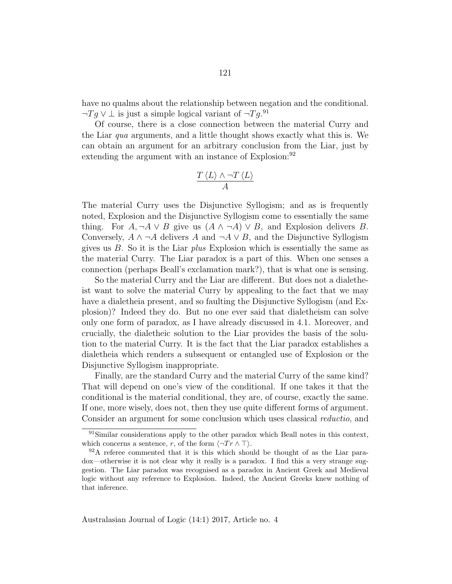have no qualms about the relationship between negation and the conditional.  $\neg Tg \vee \perp$  is just a simple logical variant of  $\neg Tg$ .<sup>91</sup>

Of course, there is a close connection between the material Curry and the Liar qua arguments, and a little thought shows exactly what this is. We can obtain an argument for an arbitrary conclusion from the Liar, just by extending the argument with an instance of Explosion:<sup>92</sup>

$$
\frac{T\left\langle L\right\rangle \wedge\neg T\left\langle L\right\rangle }{A}
$$

The material Curry uses the Disjunctive Syllogism; and as is frequently noted, Explosion and the Disjunctive Syllogism come to essentially the same thing. For  $A, \neg A \lor B$  give us  $(A \land \neg A) \lor B$ , and Explosion delivers B. Conversely,  $A \wedge \neg A$  delivers A and  $\neg A \vee B$ , and the Disjunctive Syllogism gives us  $B$ . So it is the Liar plus Explosion which is essentially the same as the material Curry. The Liar paradox is a part of this. When one senses a connection (perhaps Beall's exclamation mark?), that is what one is sensing.

So the material Curry and the Liar are different. But does not a dialetheist want to solve the material Curry by appealing to the fact that we may have a dialetheia present, and so faulting the Disjunctive Syllogism (and Explosion)? Indeed they do. But no one ever said that dialetheism can solve only one form of paradox, as I have already discussed in 4.1. Moreover, and crucially, the dialetheic solution to the Liar provides the basis of the solution to the material Curry. It is the fact that the Liar paradox establishes a dialetheia which renders a subsequent or entangled use of Explosion or the Disjunctive Syllogism inappropriate.

Finally, are the standard Curry and the material Curry of the same kind? That will depend on one's view of the conditional. If one takes it that the conditional is the material conditional, they are, of course, exactly the same. If one, more wisely, does not, then they use quite different forms of argument. Consider an argument for some conclusion which uses classical reductio, and

<sup>&</sup>lt;sup>91</sup>Similar considerations apply to the other paradox which Beall notes in this context, which concerns a sentence, r, of the form  $\langle \neg Tr \wedge \top \rangle$ .

<sup>92</sup>A referee commented that it is this which should be thought of as the Liar paradox—otherwise it is not clear why it really is a paradox. I find this a very strange suggestion. The Liar paradox was recognised as a paradox in Ancient Greek and Medieval logic without any reference to Explosion. Indeed, the Ancient Greeks knew nothing of that inference.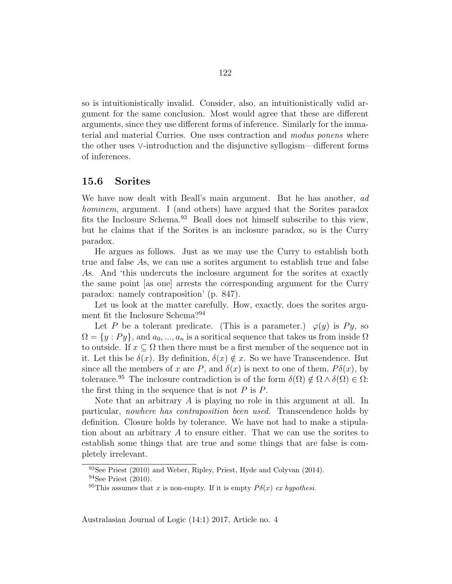so is intuitionistically invalid. Consider, also, an intuitionistically valid argument for the same conclusion. Most would agree that these are different arguments, since they use different forms of inference. Similarly for the immaterial and material Curries. One uses contraction and modus ponens where the other uses ∨-introduction and the disjunctive syllogism—different forms of inferences.

#### 15.6 Sorites

We have now dealt with Beall's main argument. But he has another, ad hominem, argument. I (and others) have argued that the Sorites paradox fits the Inclosure Schema.<sup>93</sup> Beall does not himself subscribe to this view, but he claims that if the Sorites is an inclosure paradox, so is the Curry paradox.

He argues as follows. Just as we may use the Curry to establish both true and false As, we can use a sorites argument to establish true and false As. And 'this undercuts the inclosure argument for the sorites at exactly the same point [as one] arrests the corresponding argument for the Curry paradox: namely contraposition' (p. 847).

Let us look at the matter carefully. How, exactly, does the sorites argument fit the Inclosure Schema?<sup>94</sup>

Let P be a tolerant predicate. (This is a parameter.)  $\varphi(y)$  is Py, so  $\Omega = \{y : Py\}$ , and  $a_0, ..., a_n$  is a soritical sequence that takes us from inside  $\Omega$ to outside. If  $x \subseteq \Omega$  then there must be a first member of the sequence not in it. Let this be  $\delta(x)$ . By definition,  $\delta(x) \notin x$ . So we have Transcendence. But since all the members of x are P, and  $\delta(x)$  is next to one of them,  $P\delta(x)$ , by tolerance.<sup>95</sup> The inclosure contradiction is of the form  $\delta(\Omega) \notin \Omega \wedge \delta(\Omega) \in \Omega$ : the first thing in the sequence that is not  $P$  is  $P$ .

Note that an arbitrary  $A$  is playing no role in this argument at all. In particular, nowhere has contraposition been used. Transcendence holds by definition. Closure holds by tolerance. We have not had to make a stipulation about an arbitrary A to ensure either. That we can use the sorites to establish some things that are true and some things that are false is completely irrelevant.

<sup>93</sup>See Priest (2010) and Weber, Ripley, Priest, Hyde and Colyvan (2014). <sup>94</sup>See Priest (2010).

<sup>&</sup>lt;sup>95</sup>This assumes that x is non-empty. If it is empty  $P\delta(x)$  ex hypothesi.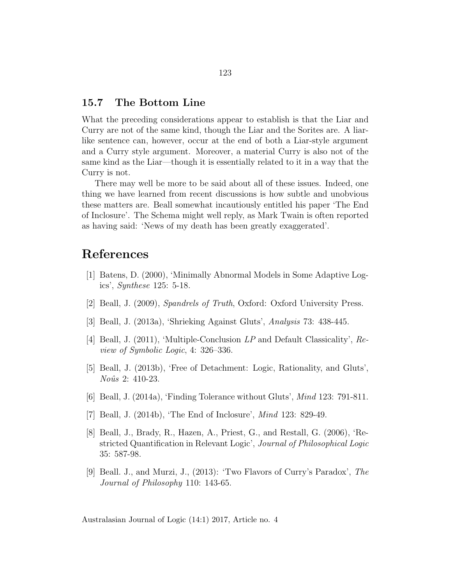### 15.7 The Bottom Line

What the preceding considerations appear to establish is that the Liar and Curry are not of the same kind, though the Liar and the Sorites are. A liarlike sentence can, however, occur at the end of both a Liar-style argument and a Curry style argument. Moreover, a material Curry is also not of the same kind as the Liar—though it is essentially related to it in a way that the Curry is not.

There may well be more to be said about all of these issues. Indeed, one thing we have learned from recent discussions is how subtle and unobvious these matters are. Beall somewhat incautiously entitled his paper 'The End of Inclosure'. The Schema might well reply, as Mark Twain is often reported as having said: 'News of my death has been greatly exaggerated'.

# References

- [1] Batens, D. (2000), 'Minimally Abnormal Models in Some Adaptive Logics', Synthese 125: 5-18.
- [2] Beall, J. (2009), Spandrels of Truth, Oxford: Oxford University Press.
- [3] Beall, J. (2013a), 'Shrieking Against Gluts', Analysis 73: 438-445.
- [4] Beall, J. (2011), 'Multiple-Conclusion LP and Default Classicality', Review of Symbolic Logic, 4: 326–336.
- [5] Beall, J. (2013b), 'Free of Detachment: Logic, Rationality, and Gluts', Noûs 2: 410-23.
- [6] Beall, J. (2014a), 'Finding Tolerance without Gluts', Mind 123: 791-811.
- [7] Beall, J. (2014b), 'The End of Inclosure', Mind 123: 829-49.
- [8] Beall, J., Brady, R., Hazen, A., Priest, G., and Restall, G. (2006), 'Restricted Quantification in Relevant Logic', Journal of Philosophical Logic 35: 587-98.
- [9] Beall. J., and Murzi, J., (2013): 'Two Flavors of Curry's Paradox', The Journal of Philosophy 110: 143-65.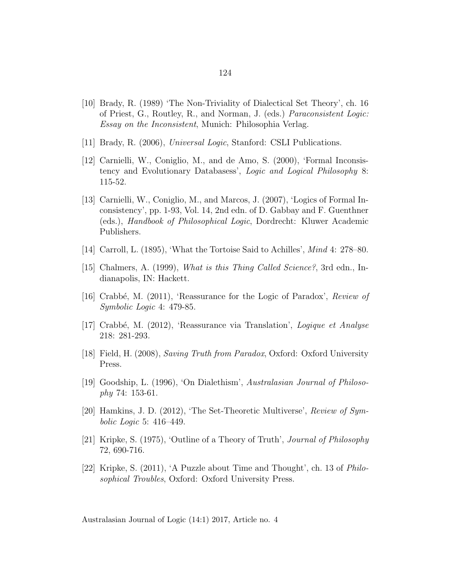- [10] Brady, R. (1989) 'The Non-Triviality of Dialectical Set Theory', ch. 16 of Priest, G., Routley, R., and Norman, J. (eds.) Paraconsistent Logic: Essay on the Inconsistent, Munich: Philosophia Verlag.
- [11] Brady, R. (2006), Universal Logic, Stanford: CSLI Publications.
- [12] Carnielli, W., Coniglio, M., and de Amo, S. (2000), 'Formal Inconsistency and Evolutionary Databasess', Logic and Logical Philosophy 8: 115-52.
- [13] Carnielli, W., Coniglio, M., and Marcos, J. (2007), 'Logics of Formal Inconsistency', pp. 1-93, Vol. 14, 2nd edn. of D. Gabbay and F. Guenthner (eds.), Handbook of Philosophical Logic, Dordrecht: Kluwer Academic Publishers.
- [14] Carroll, L. (1895), 'What the Tortoise Said to Achilles', Mind 4: 278–80.
- [15] Chalmers, A. (1999), What is this Thing Called Science?, 3rd edn., Indianapolis, IN: Hackett.
- [16] Crabbé, M.  $(2011)$ , 'Reassurance for the Logic of Paradox', Review of Symbolic Logic 4: 479-85.
- [17] Crabbé, M. (2012), 'Reassurance via Translation', Logique et Analyse 218: 281-293.
- [18] Field, H. (2008), Saving Truth from Paradox, Oxford: Oxford University Press.
- [19] Goodship, L. (1996), 'On Dialethism', Australasian Journal of Philosophy 74: 153-61.
- [20] Hamkins, J. D. (2012), 'The Set-Theoretic Multiverse', Review of Symbolic Logic 5: 416–449.
- [21] Kripke, S. (1975), 'Outline of a Theory of Truth', Journal of Philosophy 72, 690-716.
- [22] Kripke, S. (2011), 'A Puzzle about Time and Thought', ch. 13 of Philosophical Troubles, Oxford: Oxford University Press.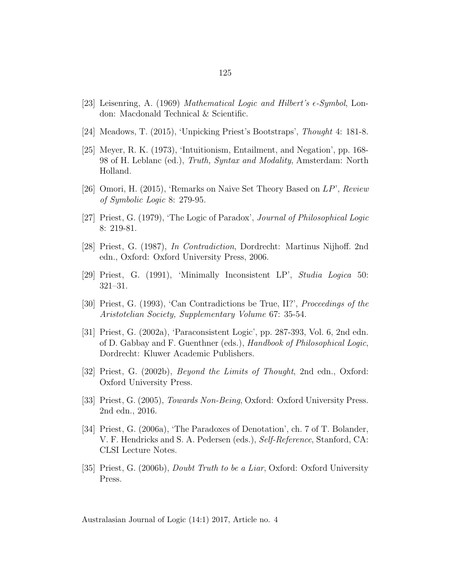- [23] Leisenring, A. (1969) Mathematical Logic and Hilbert's  $\epsilon$ -Symbol, London: Macdonald Technical & Scientific.
- [24] Meadows, T. (2015), 'Unpicking Priest's Bootstraps', Thought 4: 181-8.
- [25] Meyer, R. K. (1973), 'Intuitionism, Entailment, and Negation', pp. 168- 98 of H. Leblanc (ed.), Truth, Syntax and Modality, Amsterdam: North Holland.
- [26] Omori, H. (2015), 'Remarks on Naive Set Theory Based on LP', Review of Symbolic Logic 8: 279-95.
- [27] Priest, G. (1979), 'The Logic of Paradox', Journal of Philosophical Logic 8: 219-81.
- [28] Priest, G. (1987), In Contradiction, Dordrecht: Martinus Nijhoff. 2nd edn., Oxford: Oxford University Press, 2006.
- [29] Priest, G. (1991), 'Minimally Inconsistent LP', Studia Logica 50: 321–31.
- [30] Priest, G. (1993), 'Can Contradictions be True, II?', Proceedings of the Aristotelian Society, Supplementary Volume 67: 35-54.
- [31] Priest, G. (2002a), 'Paraconsistent Logic', pp. 287-393, Vol. 6, 2nd edn. of D. Gabbay and F. Guenthner (eds.), Handbook of Philosophical Logic, Dordrecht: Kluwer Academic Publishers.
- [32] Priest, G. (2002b), Beyond the Limits of Thought, 2nd edn., Oxford: Oxford University Press.
- [33] Priest, G. (2005), *Towards Non-Being*, Oxford: Oxford University Press. 2nd edn., 2016.
- [34] Priest, G. (2006a), 'The Paradoxes of Denotation', ch. 7 of T. Bolander, V. F. Hendricks and S. A. Pedersen (eds.), Self-Reference, Stanford, CA: CLSI Lecture Notes.
- [35] Priest, G. (2006b), *Doubt Truth to be a Liar*, Oxford: Oxford University Press.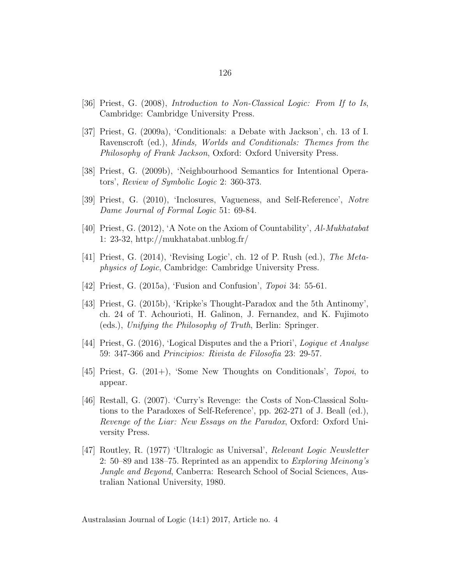- [36] Priest, G. (2008), Introduction to Non-Classical Logic: From If to Is, Cambridge: Cambridge University Press.
- [37] Priest, G. (2009a), 'Conditionals: a Debate with Jackson', ch. 13 of I. Ravenscroft (ed.), Minds, Worlds and Conditionals: Themes from the Philosophy of Frank Jackson, Oxford: Oxford University Press.
- [38] Priest, G. (2009b), 'Neighbourhood Semantics for Intentional Operators', Review of Symbolic Logic 2: 360-373.
- [39] Priest, G. (2010), 'Inclosures, Vagueness, and Self-Reference', Notre Dame Journal of Formal Logic 51: 69-84.
- [40] Priest, G. (2012), 'A Note on the Axiom of Countability', Al-Mukhatabat 1: 23-32, http://mukhatabat.unblog.fr/
- [41] Priest, G. (2014), 'Revising Logic', ch. 12 of P. Rush (ed.), The Metaphysics of Logic, Cambridge: Cambridge University Press.
- [42] Priest, G. (2015a), 'Fusion and Confusion', Topoi 34: 55-61.
- [43] Priest, G. (2015b), 'Kripke's Thought-Paradox and the 5th Antinomy', ch. 24 of T. Achourioti, H. Galinon, J. Fernandez, and K. Fujimoto (eds.), Unifying the Philosophy of Truth, Berlin: Springer.
- [44] Priest, G. (2016), 'Logical Disputes and the a Priori', Logique et Analyse 59: 347-366 and Principios: Rivista de Filosofia 23: 29-57.
- $[45]$  Priest, G.  $(201+)$ , 'Some New Thoughts on Conditionals', Topoi, to appear.
- [46] Restall, G. (2007). 'Curry's Revenge: the Costs of Non-Classical Solutions to the Paradoxes of Self-Reference', pp. 262-271 of J. Beall (ed.), Revenge of the Liar: New Essays on the Paradox, Oxford: Oxford University Press.
- [47] Routley, R. (1977) 'Ultralogic as Universal', Relevant Logic Newsletter 2: 50–89 and 138–75. Reprinted as an appendix to *Exploring Meinong's* Jungle and Beyond, Canberra: Research School of Social Sciences, Australian National University, 1980.

Australasian Journal of Logic (14:1) 2017, Article no. 4